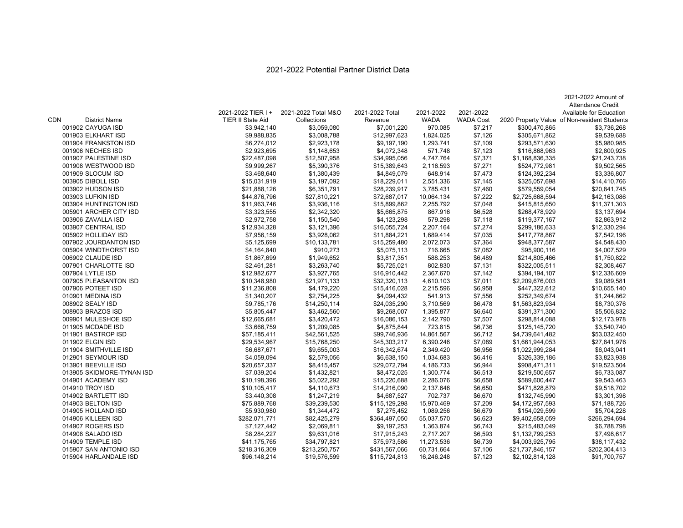## 2021-2022 Potential Partner District Data

|     |                                            |                                         |                                    |                              |                          |                               |                                  | 2021-2022 Amount of                                                     |
|-----|--------------------------------------------|-----------------------------------------|------------------------------------|------------------------------|--------------------------|-------------------------------|----------------------------------|-------------------------------------------------------------------------|
|     |                                            |                                         |                                    |                              |                          |                               |                                  | <b>Attendance Credit</b>                                                |
| CDN | <b>District Name</b>                       | 2021-2022 TIER I +<br>TIER II State Aid | 2021-2022 Total M&O<br>Collections | 2021-2022 Total<br>Revenue   | 2021-2022<br><b>WADA</b> | 2021-2022<br><b>WADA Cost</b> |                                  | Available for Education<br>2020 Property Value of Non-resident Students |
|     | 001902 CAYUGA ISD                          | \$3,942,140                             | \$3,059,080                        | \$7,001,220                  | 970.085                  | \$7,217                       | \$300,470,865                    | \$3,736,268                                                             |
|     | 001903 ELKHART ISD                         | \$9,988,835                             | \$3,008,788                        | \$12,997,623                 | 1,824.025                | \$7,126                       | \$305,671,862                    | \$9,539,688                                                             |
|     | 001904 FRANKSTON ISD                       |                                         |                                    | \$9,197,190                  | 1,293.741                |                               |                                  | \$5,980,985                                                             |
|     | 001906 NECHES ISD                          | \$6,274,012<br>\$2,923,695              | \$2,923,178<br>\$1,148,653         | \$4,072,348                  | 571.748                  | \$7,109<br>\$7,123            | \$293,571,630<br>\$116,868,963   | \$2,800,925                                                             |
|     | 001907 PALESTINE ISD                       |                                         |                                    |                              |                          | \$7,371                       |                                  |                                                                         |
|     |                                            | \$22,487,098                            | \$12,507,958                       | \$34,995,056                 | 4,747.764                |                               | \$1,168,836,335                  | \$21,243,738                                                            |
|     | 001908 WESTWOOD ISD                        | \$9,999,267                             | \$5,390,376                        | \$15,389,643<br>\$4,849,079  | 2,116.593<br>648.914     | \$7,271<br>\$7,473            | \$524,772,981                    | \$9,502,565<br>\$3,336,807                                              |
|     | 001909 SLOCUM ISD                          | \$3,468,640                             | \$1,380,439                        |                              |                          |                               | \$124,392,234                    |                                                                         |
|     | 003905 DIBOLL ISD                          | \$15,031,919                            | \$3,197,092                        | \$18,229,011<br>\$28,239,917 | 2,551.336<br>3,785.431   | \$7,145                       | \$325,057,698                    | \$14,410,766                                                            |
|     | 003902 HUDSON ISD                          | \$21,888,126                            | \$6,351,791                        |                              |                          | \$7,460                       | \$579,559,054                    | \$20,841,745                                                            |
|     | 003903 LUFKIN ISD<br>003904 HUNTINGTON ISD | \$44,876,796                            | \$27,810,221<br>\$3,936,116        | \$72,687,017<br>\$15,899,862 | 10,064.134<br>2,255.792  | \$7,222<br>\$7,048            | \$2,725,668,594<br>\$415,815,650 | \$42,163,086<br>\$11,371,303                                            |
|     |                                            | \$11,963,746                            |                                    |                              |                          |                               |                                  |                                                                         |
|     | 005901 ARCHER CITY ISD                     | \$3,323,555                             | \$2,342,320                        | \$5,665,875                  | 867.916<br>579.298       | \$6,528                       | \$268,478,929                    | \$3,137,694                                                             |
|     | 003906 ZAVALLA ISD                         | \$2,972,758                             | \$1,150,540                        | \$4,123,298                  |                          | \$7,118                       | \$119,377,167                    | \$2,863,912                                                             |
|     | 003907 CENTRAL ISD                         | \$12,934,328                            | \$3,121,396                        | \$16,055,724                 | 2,207.164                | \$7,274                       | \$299,186,633                    | \$12,330,294                                                            |
|     | 005902 HOLLIDAY ISD                        | \$7,956,159                             | \$3,928,062                        | \$11,884,221                 | 1,689.414                | \$7,035                       | \$417,778,867                    | \$7,542,196                                                             |
|     | 007902 JOURDANTON ISD                      | \$5,125,699                             | \$10,133,781                       | \$15,259,480                 | 2,072.073                | \$7,364                       | \$948,377,587                    | \$4,548,430                                                             |
|     | 005904 WINDTHORST ISD                      | \$4,164,840                             | \$910,273                          | \$5,075,113                  | 716.665                  | \$7,082                       | \$95,900,116                     | \$4,007,529                                                             |
|     | 006902 CLAUDE ISD                          | \$1,867,699                             | \$1,949,652                        | \$3,817,351                  | 588.253                  | \$6,489                       | \$214,805,466                    | \$1,750,822                                                             |
|     | 007901 CHARLOTTE ISD                       | \$2,461,281                             | \$3,263,740                        | \$5,725,021                  | 802.830                  | \$7,131                       | \$322,005,511                    | \$2,308,467                                                             |
|     | 007904 LYTLE ISD                           | \$12,982,677                            | \$3,927,765                        | \$16,910,442                 | 2,367.670                | \$7,142                       | \$394,194,107                    | \$12,336,609                                                            |
|     | 007905 PLEASANTON ISD                      | \$10,348,980                            | \$21,971,133                       | \$32,320,113                 | 4,610.103                | \$7,011                       | \$2,209,676,003                  | \$9,089,581                                                             |
|     | 007906 POTEET ISD                          | \$11,236,808                            | \$4,179,220                        | \$15,416,028                 | 2,215.596                | \$6,958                       | \$447,322,612                    | \$10,655,140                                                            |
|     | 010901 MEDINA ISD                          | \$1,340,207                             | \$2,754,225                        | \$4,094,432                  | 541.913                  | \$7,556                       | \$252,349,674                    | \$1,244,862                                                             |
|     | 008902 SEALY ISD                           | \$9,785,176                             | \$14,250,114                       | \$24,035,290                 | 3,710.569                | \$6,478                       | \$1,563,823,934                  | \$8,730,376                                                             |
|     | 008903 BRAZOS ISD                          | \$5,805,447                             | \$3,462,560                        | \$9,268,007                  | 1,395.877                | \$6,640                       | \$391,371,300                    | \$5,506,832                                                             |
|     | 009901 MULESHOE ISD                        | \$12,665,681                            | \$3,420,472                        | \$16,086,153                 | 2,142.790                | \$7,507                       | \$298,814,088                    | \$12,173,978                                                            |
|     | 011905 MCDADE ISD                          | \$3,666,759                             | \$1,209,085                        | \$4,875,844                  | 723.815                  | \$6,736                       | \$125,145,720                    | \$3,540,740                                                             |
|     | 011901 BASTROP ISD                         | \$57,185,411                            | \$42,561,525                       | \$99,746,936                 | 14,861.567               | \$6,712                       | \$4,739,641,482                  | \$53,032,450                                                            |
|     | 011902 ELGIN ISD                           | \$29,534,967                            | \$15,768,250                       | \$45,303,217                 | 6,390.246                | \$7,089                       | \$1,661,944,053                  | \$27,841,976                                                            |
|     | 011904 SMITHVILLE ISD                      | \$6,687,671                             | \$9,655,003                        | \$16,342,674                 | 2,349.420                | \$6,956                       | \$1,022,999,284                  | \$6,043,041                                                             |
|     | 012901 SEYMOUR ISD                         | \$4,059,094                             | \$2,579,056                        | \$6,638,150                  | 1.034.683                | \$6.416                       | \$326,339,186                    | \$3,823,938                                                             |
|     | 013901 BEEVILLE ISD                        | \$20,657,337                            | \$8,415,457                        | \$29,072,794                 | 4,186.733                | \$6,944                       | \$908,471,311                    | \$19,523,504                                                            |
|     | 013905 SKIDMORE-TYNAN ISD                  | \$7,039,204                             | \$1,432,821                        | \$8,472,025                  | 1,300.774                | \$6,513                       | \$219,500,657                    | \$6,733,087                                                             |
|     | 014901 ACADEMY ISD                         | \$10,198,396                            | \$5,022,292                        | \$15,220,688                 | 2,286.076                | \$6,658                       | \$589,600,447                    | \$9,543,463                                                             |
|     | 014910 TROY ISD                            | \$10,105,417                            | \$4,110,673                        | \$14,216,090                 | 2,137.646                | \$6,650                       | \$471,828,879                    | \$9,518,702                                                             |
|     | 014902 BARTLETT ISD                        | \$3,440,308                             | \$1,247,219                        | \$4,687,527                  | 702.737                  | \$6,670                       | \$132,745,990                    | \$3,301,398                                                             |
|     | 014903 BELTON ISD                          | \$75,889,768                            | \$39,239,530                       | \$115,129,298                | 15,970.469               | \$7,209                       | \$4,172,957,593                  | \$71,188,726                                                            |
|     | 014905 HOLLAND ISD                         | \$5,930,980                             | \$1,344,472                        | \$7,275,452                  | 1,089.256                | \$6,679                       | \$154,029,599                    | \$5,704,228                                                             |
|     | 014906 KILLEEN ISD                         | \$282,071,771                           | \$82,425,279                       | \$364,497,050                | 55,037.570               | \$6,623                       | \$9,402,658,059                  | \$266,294,694                                                           |
|     | 014907 ROGERS ISD                          | \$7,127,442                             | \$2,069,811                        | \$9,197,253                  | 1,363.874                | \$6,743                       | \$215,483,049                    | \$6,788,798                                                             |
|     | 014908 SALADO ISD                          | \$8,284,227                             | \$9,631,016                        | \$17,915,243                 | 2,717.207                | \$6,593                       | \$1,132,799,253                  | \$7,498,617                                                             |
|     | 014909 TEMPLE ISD                          | \$41,175,765                            | \$34,797,821                       | \$75,973,586                 | 11,273.536               | \$6,739                       | \$4,003,925,795                  | \$38,117,432                                                            |
|     | 015907 SAN ANTONIO ISD                     | \$218,316,309                           | \$213,250,757                      | \$431,567,066                | 60,731.664               | \$7,106                       | \$21,737,846,157                 | \$202,304,413                                                           |
|     | 015904 HARLANDALE ISD                      | \$96,148,214                            | \$19,576,599                       | \$115,724,813                | 16,246.248               | \$7,123                       | \$2,102,814,128                  | \$91,700,757                                                            |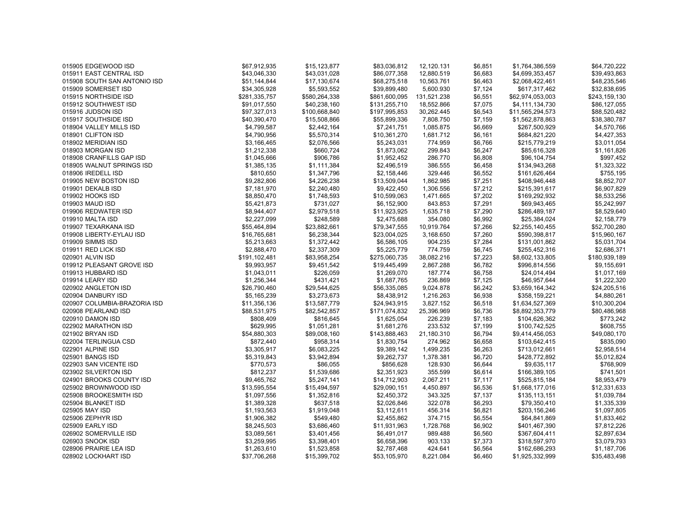| 015905 EDGEWOOD ISD          | \$67,912,935  | \$15,123,877  | \$83,036,812  | 12,120.131  | \$6,851 | \$1,764,386,559  | \$64,720,222  |
|------------------------------|---------------|---------------|---------------|-------------|---------|------------------|---------------|
| 015911 EAST CENTRAL ISD      | \$43,046,330  | \$43,031,028  | \$86,077,358  | 12,880.519  | \$6,683 | \$4,699,353,457  | \$39,493,863  |
| 015908 SOUTH SAN ANTONIO ISD | \$51,144,844  | \$17,130,674  | \$68,275,518  | 10,563.761  | \$6.463 | \$2,068,422,461  | \$48,235,546  |
| 015909 SOMERSET ISD          | \$34,305,928  | \$5,593,552   | \$39,899,480  | 5,600.930   | \$7,124 | \$617,317,462    | \$32,838,695  |
| 015915 NORTHSIDE ISD         | \$281,335,757 | \$580,264,338 | \$861,600,095 | 131,521.238 | \$6,551 | \$62,974,053,003 | \$243,159,130 |
| 015912 SOUTHWEST ISD         | \$91,017,550  | \$40,238,160  | \$131,255,710 | 18,552.866  | \$7,075 | \$4,111,134,730  | \$86,127,055  |
| 015916 JUDSON ISD            | \$97,327,013  | \$100,668,840 | \$197,995,853 | 30,262.445  | \$6,543 | \$11,565,294,573 | \$88,520,482  |
| 015917 SOUTHSIDE ISD         | \$40,390,470  | \$15,508,866  | \$55,899,336  | 7,808.750   | \$7,159 | \$1,562,878,863  | \$38,380,787  |
| 018904 VALLEY MILLS ISD      | \$4,799,587   | \$2,442,164   | \$7,241,751   | 1,085.875   | \$6,669 | \$267,500,929    | \$4,570,766   |
| 018901 CLIFTON ISD           | \$4,790,956   | \$5,570,314   | \$10,361,270  | 1,681.712   | \$6,161 | \$684,821,220    | \$4,427,353   |
| 018902 MERIDIAN ISD          | \$3,166,465   | \$2,076,566   | \$5,243,031   | 774.959     | \$6,766 | \$215,779,219    | \$3,011,054   |
| 018903 MORGAN ISD            | \$1,212,338   | \$660,724     | \$1,873,062   | 299.843     | \$6,247 | \$85,616,328     | \$1,161,826   |
| 018908 CRANFILLS GAP ISD     | \$1,045,666   | \$906,786     | \$1,952,452   | 286.770     | \$6,808 | \$96,104,754     | \$997,452     |
| 018905 WALNUT SPRINGS ISD    | \$1,385,135   | \$1,111,384   | \$2,496,519   | 386.555     | \$6,458 | \$134,943,268    | \$1,323,322   |
| 018906 IREDELL ISD           | \$810,650     | \$1,347,796   | \$2,158,446   | 329.446     | \$6,552 | \$161,626,464    | \$755,195     |
| 019905 NEW BOSTON ISD        | \$9,282,806   | \$4,226,238   | \$13,509,044  | 1,862.985   | \$7,251 | \$408,946,448    | \$8,852,707   |
| 019901 DEKALB ISD            | \$7,181,970   | \$2,240,480   | \$9,422,450   | 1,306.556   | \$7,212 | \$215,391,617    | \$6,907,829   |
| 019902 HOOKS ISD             | \$8,850,470   | \$1,748,593   | \$10,599,063  | 1,471.665   | \$7,202 | \$169,292,932    | \$8,533,256   |
| 019903 MAUD ISD              | \$5,421,873   | \$731,027     | \$6,152,900   | 843.853     | \$7,291 | \$69,943,465     | \$5,242,997   |
| 019906 REDWATER ISD          | \$8,944,407   | \$2,979,518   | \$11,923,925  | 1,635.718   | \$7,290 | \$286,489,187    | \$8,529,640   |
| 019910 MALTA ISD             | \$2,227,099   | \$248,589     | \$2,475,688   | 354.080     | \$6,992 | \$25,384,024     | \$2,158,779   |
| 019907 TEXARKANA ISD         | \$55,464,894  | \$23,882,661  | \$79,347,555  | 10,919.764  | \$7,266 | \$2,255,140,455  | \$52,700,280  |
| 019908 LIBERTY-EYLAU ISD     | \$16,765,681  | \$6,238,344   | \$23,004,025  | 3,168.650   | \$7,260 | \$590,398,817    | \$15,960,167  |
| 019909 SIMMS ISD             | \$5,213,663   | \$1,372,442   | \$6,586,105   | 904.235     | \$7,284 | \$131,001,862    | \$5,031,704   |
| 019911 RED LICK ISD          | \$2,888,470   | \$2,337,309   | \$5,225,779   | 774.759     | \$6,745 | \$255,452,316    | \$2,686,371   |
| 020901 ALVIN ISD             | \$191,102,481 | \$83,958,254  | \$275,060,735 | 38,082.216  | \$7,223 | \$8,602,133,805  | \$180,939,189 |
| 019912 PLEASANT GROVE ISD    | \$9,993,957   | \$9,451,542   | \$19,445,499  | 2,867.288   | \$6,782 | \$996,814,556    | \$9,155,691   |
| 019913 HUBBARD ISD           | \$1,043,011   | \$226,059     | \$1,269,070   | 187.774     | \$6,758 | \$24,014,494     | \$1,017,169   |
| 019914 LEARY ISD             | \$1,256,344   | \$431,421     | \$1,687,765   | 236.869     | \$7,125 | \$46,957,644     | \$1,222,320   |
| 020902 ANGLETON ISD          | \$26,790,460  | \$29,544,625  | \$56,335,085  | 9,024.878   | \$6,242 | \$3,659,164,342  | \$24,205,516  |
| 020904 DANBURY ISD           | \$5,165,239   | \$3,273,673   | \$8,438,912   | 1,216.263   | \$6,938 | \$358,159,221    | \$4,880,261   |
| 020907 COLUMBIA-BRAZORIA ISD | \$11,356,136  | \$13,587,779  | \$24,943,915  | 3,827.152   | \$6,518 | \$1,634,527,369  | \$10,300,204  |
| 020908 PEARLAND ISD          | \$88,531,975  | \$82,542,857  | \$171,074,832 | 25,396.969  | \$6,736 | \$8,892,353,779  | \$80,486,968  |
| 020910 DAMON ISD             | \$808,409     | \$816,645     | \$1,625,054   | 226.239     | \$7,183 | \$104,626,362    | \$773,242     |
| 022902 MARATHON ISD          | \$629,995     | \$1,051,281   | \$1,681,276   | 233.532     | \$7,199 | \$100,742,525    | \$608,755     |
| 021902 BRYAN ISD             | \$54,880,303  | \$89,008,160  | \$143,888,463 | 21,180.310  | \$6,794 | \$9,414,456,053  | \$49,080,170  |
| 022004 TERLINGUA CSD         | \$872,440     | \$958,314     | \$1,830,754   | 274.962     | \$6,658 | \$103,642,415    | \$835,090     |
| 022901 ALPINE ISD            | \$3,305,917   | \$6,083,225   | \$9,389,142   | 1,499.235   | \$6,263 | \$713,012,661    | \$2,958,514   |
| 025901 BANGS ISD             | \$5,319,843   | \$3,942,894   | \$9,262,737   | 1,378.381   | \$6,720 | \$428,772,892    | \$5,012,824   |
| 022903 SAN VICENTE ISD       | \$770,573     | \$86,055      | \$856,628     | 128.930     | \$6,644 | \$9,635,117      | \$768,909     |
| 023902 SILVERTON ISD         | \$812,237     | \$1,539,686   | \$2,351,923   | 355.599     | \$6,614 | \$166,389,105    | \$741,501     |
| 024901 BROOKS COUNTY ISD     | \$9,465,762   | \$5,247,141   | \$14,712,903  | 2,067.211   | \$7,117 | \$525,815,184    | \$8,953,479   |
| 025902 BROWNWOOD ISD         | \$13,595,554  | \$15,494,597  | \$29,090,151  | 4,450.897   | \$6,536 | \$1,668,177,016  | \$12,331,633  |
| 025908 BROOKESMITH ISD       | \$1,097,556   | \$1,352,816   | \$2,450,372   | 343.325     | \$7,137 | \$135,113,151    | \$1,039,784   |
| 025904 BLANKET ISD           | \$1,389,328   | \$637,518     | \$2,026,846   | 322.078     | \$6,293 | \$79,350,410     | \$1,335,339   |
| 025905 MAY ISD               | \$1,193,563   | \$1,919,048   | \$3,112,611   | 456.314     | \$6,821 | \$203,156,246    | \$1,097,805   |
| 025906 ZEPHYR ISD            | \$1,906,382   | \$549,480     | \$2,455,862   | 374.715     | \$6,554 | \$64,841,869     | \$1,833,462   |
| 025909 EARLY ISD             | \$8,245,503   | \$3,686,460   | \$11,931,963  | 1,728.768   | \$6,902 | \$401,467,390    | \$7,812,226   |
| 026902 SOMERVILLE ISD        | \$3,089,561   | \$3,401,456   | \$6,491,017   | 989.488     | \$6,560 | \$367,604,411    | \$2,897,634   |
| 026903 SNOOK ISD             | \$3,259,995   | \$3,398,401   | \$6,658,396   | 903.133     | \$7,373 | \$318,597,970    | \$3,079,793   |
| 028906 PRAIRIE LEA ISD       | \$1,263,610   | \$1,523,858   | \$2,787,468   | 424.641     | \$6,564 | \$162,686,293    | \$1,187,706   |
| 028902 LOCKHART ISD          | \$37,706,268  | \$15,399,702  | \$53,105,970  | 8,221.084   | \$6,460 | \$1,925,332,999  | \$35,483,498  |
|                              |               |               |               |             |         |                  |               |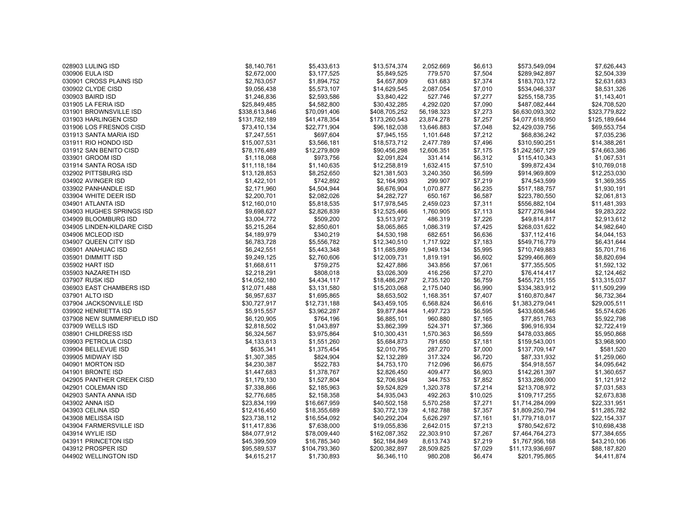| 028903 LULING ISD          | \$8,140,761   | \$5,433,613   | \$13,574,374  | 2,052.669  | \$6,613  | \$573,549,094    | \$7,626,443   |
|----------------------------|---------------|---------------|---------------|------------|----------|------------------|---------------|
| 030906 EULA ISD            | \$2,672,000   | \$3,177,525   | \$5,849,525   | 779.570    | \$7,504  | \$289,942,897    | \$2,504,339   |
| 030901 CROSS PLAINS ISD    | \$2,763,057   | \$1,894,752   | \$4,657,809   | 631.683    | \$7,374  | \$183,703,172    | \$2,631,683   |
| 030902 CLYDE CISD          | \$9,056,438   | \$5,573,107   | \$14,629,545  | 2,087.054  | \$7,010  | \$534,046,337    | \$8,531,326   |
| 030903 BAIRD ISD           | \$1,246,836   | \$2,593,586   | \$3,840,422   | 527.746    | \$7,277  | \$255,158,735    | \$1,143,401   |
| 031905 LA FERIA ISD        | \$25,849,485  | \$4,582,800   | \$30,432,285  | 4,292.020  | \$7,090  | \$487,082,444    | \$24,708,520  |
| 031901 BROWNSVILLE ISD     | \$338,613,846 | \$70,091,406  | \$408,705,252 | 56,198.323 | \$7,273  | \$6,630,093,302  | \$323,779,822 |
| 031903 HARLINGEN CISD      | \$131,782,189 | \$41,478,354  | \$173,260,543 | 23,874.278 | \$7,257  | \$4,077,618,950  | \$125,189,644 |
| 031906 LOS FRESNOS CISD    | \$73,410,134  | \$22,771,904  | \$96,182,038  | 13,646.883 | \$7,048  | \$2,429,039,756  | \$69,553,754  |
| 031913 SANTA MARIA ISD     | \$7,247,551   | \$697,604     | \$7,945,155   | 1,101.648  | \$7,212  | \$68,836,242     | \$7,035,236   |
| 031911 RIO HONDO ISD       | \$15,007,531  | \$3,566,181   | \$18,573,712  | 2,477.789  | \$7,496  | \$310,590,251    | \$14,388,261  |
| 031912 SAN BENITO CISD     | \$78,176,489  | \$12,279,809  | \$90,456,298  | 12,606.351 | \$7,175  | \$1,242,567,129  | \$74,663,386  |
| 033901 GROOM ISD           | \$1,118,068   | \$973,756     | \$2,091,824   | 331.414    | \$6,312  | \$115,410,343    | \$1,067,531   |
| 031914 SANTA ROSA ISD      | \$11,118,184  | \$1,140,635   | \$12,258,819  | 1,632.415  | \$7,510  | \$99,872,434     | \$10,769,018  |
| 032902 PITTSBURG ISD       | \$13,128,853  | \$8,252,650   | \$21,381,503  | 3,240.350  | \$6,599  | \$914,969,809    | \$12,253,030  |
| 034902 AVINGER ISD         | \$1,422,101   | \$742,892     | \$2,164,993   | 299.907    | \$7,219  | \$74,543,599     | \$1,369,355   |
| 033902 PANHANDLE ISD       | \$2,171,960   | \$4,504,944   | \$6,676,904   | 1,070.877  | \$6,235  | \$517,188,757    | \$1,930,191   |
| 033904 WHITE DEER ISD      | \$2,200,701   | \$2,082,026   | \$4,282,727   | 650.167    | \$6,587  | \$223,780,550    | \$2,061,813   |
| 034901 ATLANTA ISD         | \$12,160,010  | \$5,818,535   | \$17,978,545  | 2,459.023  | \$7,311  | \$556,882,104    | \$11,481,393  |
| 034903 HUGHES SPRINGS ISD  | \$9,698,627   | \$2,826,839   | \$12,525,466  | 1,760.905  | \$7,113  | \$277,276,944    | \$9,283,222   |
| 034909 BLOOMBURG ISD       | \$3,004,772   | \$509,200     | \$3,513,972   | 486.319    | \$7,226  | \$49,814,817     | \$2,913,612   |
| 034905 LINDEN-KILDARE CISD | \$5,215,264   | \$2,850,601   | \$8,065,865   | 1,086.319  | \$7,425  | \$268,031,622    | \$4,982,640   |
| 034906 MCLEOD ISD          | \$4,189,979   | \$340,219     | \$4,530,198   | 682.651    | \$6,636  | \$37,112,416     | \$4,044,153   |
| 034907 QUEEN CITY ISD      | \$6,783,728   | \$5,556,782   | \$12,340,510  | 1,717.922  | \$7,183  | \$549,716,779    | \$6,431,644   |
| 036901 ANAHUAC ISD         | \$6,242,551   | \$5,443,348   | \$11,685,899  | 1,949.134  | \$5,995  | \$710,749,883    | \$5,701,716   |
| 035901 DIMMITT ISD         | \$9,249,125   | \$2,760,606   | \$12,009,731  | 1,819.191  | \$6,602  | \$299,466,869    | \$8,820,694   |
| 035902 HART ISD            | \$1,668,611   | \$759,275     | \$2,427,886   | 343.856    | \$7,061  | \$77,355,505     | \$1,592,132   |
| 035903 NAZARETH ISD        | \$2,218,291   | \$808,018     | \$3,026,309   | 416.256    | \$7,270  | \$76,414,417     | \$2,124,462   |
| 037907 RUSK ISD            | \$14,052,180  | \$4,434,117   | \$18,486,297  | 2,735.120  | \$6,759  | \$455,721,155    | \$13,315,037  |
| 036903 EAST CHAMBERS ISD   | \$12,071,488  | \$3,131,580   | \$15,203,068  | 2,175.040  | \$6,990  | \$334,383,912    | \$11,509,299  |
| 037901 ALTO ISD            | \$6,957,637   | \$1,695,865   | \$8,653,502   | 1,168.351  | \$7,407  | \$160,870,847    | \$6,732,364   |
| 037904 JACKSONVILLE ISD    | \$30,727,917  | \$12,731,188  | \$43,459,105  | 6,568.824  | \$6,616  | \$1,383,279,041  | \$29,005,511  |
| 039902 HENRIETTA ISD       | \$5,915,557   | \$3,962,287   | \$9,877,844   | 1,497.723  | \$6,595  | \$433,608,546    | \$5,574,626   |
| 037908 NEW SUMMERFIELD ISD | \$6,120,905   | \$764,196     | \$6,885,101   | 960.880    | \$7,165  | \$77,851,763     | \$5,922,798   |
| 037909 WELLS ISD           | \$2,818,502   | \$1,043,897   | \$3,862,399   | 524.371    | \$7,366  | \$96,916,934     | \$2,722,419   |
| 038901 CHILDRESS ISD       | \$6,324,567   | \$3,975,864   | \$10,300,431  | 1,570.363  | \$6,559  | \$478,033,865    | \$5,950,868   |
| 039903 PETROLIA CISD       | \$4,133,613   | \$1,551,260   | \$5,684,873   | 791.650    | \$7,181  | \$159,543,001    | \$3,968,900   |
| 039904 BELLEVUE ISD        | \$635,341     | \$1,375,454   | \$2,010,795   | 287.270    | \$7,000  | \$137,709,147    | \$581,520     |
| 039905 MIDWAY ISD          | \$1,307,385   | \$824,904     | \$2,132,289   | 317.324    | \$6,720  | \$87,331,932     | \$1,259,060   |
| 040901 MORTON ISD          | \$4,230,387   | \$522,783     | \$4,753,170   | 712.096    | \$6,675  | \$54,918,557     | \$4,095,642   |
| 041901 BRONTE ISD          | \$1,447,683   | \$1,378,767   | \$2,826,450   | 409.477    | \$6,903  | \$142,261,397    | \$1,360,657   |
| 042905 PANTHER CREEK CISD  | \$1,179,130   | \$1,527,804   | \$2,706,934   | 344.753    | \$7,852  | \$133,286,000    | \$1,121,912   |
| 042901 COLEMAN ISD         | \$7,338,866   | \$2,185,963   | \$9,524,829   | 1,320.378  | \$7,214  | \$213,708,972    | \$7,031,583   |
| 042903 SANTA ANNA ISD      | \$2,776,685   | \$2,158,358   | \$4,935,043   | 492.263    | \$10,025 | \$109,717,255    | \$2,673,838   |
| 043902 ANNA ISD            | \$23,834,199  | \$16,667,959  | \$40,502,158  | 5,570.258  | \$7,271  | \$1,714,284,099  | \$22,331,951  |
| 043903 CELINA ISD          | \$12,416,450  | \$18,355,689  | \$30,772,139  | 4,182.788  | \$7,357  | \$1,809,250,794  | \$11,285,782  |
| 043908 MELISSA ISD         | \$23,738,112  | \$16,554,092  | \$40,292,204  | 5,626.297  | \$7,161  | \$1,779,718,017  | \$22,154,337  |
| 043904 FARMERSVILLE ISD    | \$11,417,836  | \$7,638,000   | \$19,055,836  | 2,642.015  | \$7,213  | \$780,542,672    | \$10,698,438  |
| 043914 WYLIE ISD           | \$84,077,912  | \$78,009,440  | \$162,087,352 | 22,303.910 | \$7,267  | \$7,464,764,273  | \$77,384,655  |
| 043911 PRINCETON ISD       | \$45,399,509  | \$16,785,340  | \$62,184,849  | 8,613.743  | \$7,219  | \$1,767,956,168  | \$43,210,106  |
| 043912 PROSPER ISD         | \$95,589,537  | \$104,793,360 | \$200,382,897 | 28,509.825 | \$7,029  | \$11,173,936,697 | \$88,187,820  |
| 044902 WELLINGTON ISD      | \$4,615,217   | \$1,730,893   | \$6.346.110   | 980.208    | \$6,474  | \$201,795,865    | \$4,411,874   |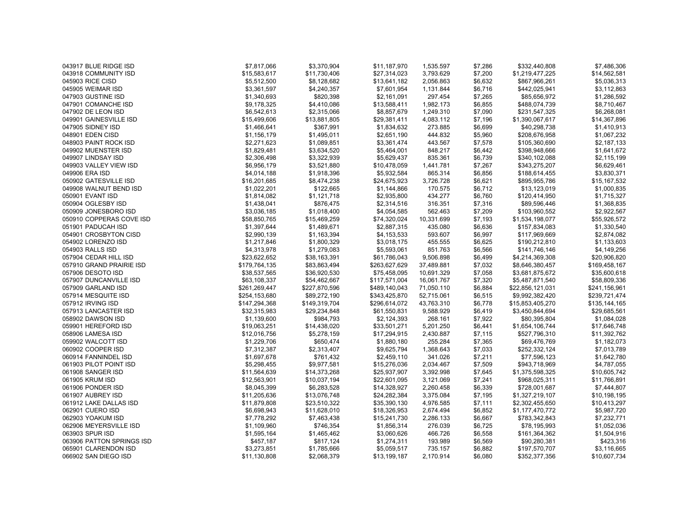| 043917 BLUE RIDGE ISD     | \$7,817,066   | \$3,370,904   | \$11,187,970  | 1,535.597  | \$7,286 | \$332,440,808    | \$7,486,306   |
|---------------------------|---------------|---------------|---------------|------------|---------|------------------|---------------|
| 043918 COMMUNITY ISD      | \$15,583,617  | \$11,730,406  | \$27,314,023  | 3,793.629  | \$7,200 | \$1,219,477,225  | \$14,562,581  |
| 045903 RICE CISD          | \$5,512,500   | \$8,128,682   | \$13,641,182  | 2,056.863  | \$6.632 | \$867,966,261    | \$5,036,313   |
| 045905 WEIMAR ISD         | \$3,361,597   | \$4,240,357   | \$7,601,954   | 1,131.844  | \$6,716 | \$442,025,941    | \$3,112,863   |
| 047903 GUSTINE ISD        | \$1,340,693   | \$820,398     | \$2,161,091   | 297.454    | \$7,265 | \$85,656,972     | \$1,286,592   |
| 047901 COMANCHE ISD       | \$9,178,325   | \$4,410,086   | \$13,588,411  | 1,982.173  | \$6,855 | \$488,074,739    | \$8,710,467   |
| 047902 DE LEON ISD        | \$6,542,613   | \$2,315,066   | \$8,857,679   | 1,249.310  | \$7,090 | \$231,547,325    | \$6,268,081   |
| 049901 GAINESVILLE ISD    | \$15,499,606  | \$13,881,805  | \$29,381,411  | 4,083.112  | \$7,196 | \$1,390,067,617  | \$14,367,896  |
| 047905 SIDNEY ISD         | \$1,466,641   | \$367,991     | \$1,834,632   | 273.885    | \$6,699 | \$40,298,738     | \$1,410,913   |
| 048901 EDEN CISD          | \$1,156,179   | \$1,495,011   | \$2,651,190   | 444.832    | \$5,960 | \$208,676,958    | \$1,067,232   |
| 048903 PAINT ROCK ISD     | \$2,271,623   | \$1,089,851   | \$3,361,474   | 443.567    | \$7,578 | \$105,360,690    | \$2,187,133   |
| 049902 MUENSTER ISD       | \$1,829,481   | \$3,634,520   | \$5,464,001   | 848.217    | \$6,442 | \$398,948,666    | \$1,641,672   |
| 049907 LINDSAY ISD        | \$2,306,498   | \$3,322,939   | \$5,629,437   | 835.361    | \$6,739 | \$340,102,088    | \$2,115,199   |
| 049903 VALLEY VIEW ISD    | \$6,956,179   | \$3,521,880   | \$10,478,059  | 1,441.781  | \$7,267 | \$343,275,207    | \$6,629,461   |
| 049906 ERA ISD            | \$4,014,188   | \$1,918,396   | \$5,932,584   | 865.314    | \$6,856 | \$188,614,455    | \$3,830,371   |
| 050902 GATESVILLE ISD     | \$16,201,685  | \$8,474,238   | \$24,675,923  | 3,726.728  | \$6,621 | \$895,955,786    | \$15,167,532  |
| 049908 WALNUT BEND ISD    | \$1,022,201   | \$122,665     | \$1,144,866   | 170.575    | \$6,712 | \$13,123,019     | \$1,000,835   |
| 050901 EVANT ISD          | \$1,814,082   | \$1,121,718   | \$2,935,800   | 434.277    | \$6,760 | \$120,414,950    | \$1,715,327   |
| 050904 OGLESBY ISD        | \$1,438,041   | \$876,475     | \$2,314,516   | 316.351    | \$7,316 | \$89,596,446     | \$1,368,835   |
| 050909 JONESBORO ISD      | \$3,036,185   | \$1,018,400   | \$4,054,585   | 562.463    | \$7,209 | \$103,960,552    | \$2,922,567   |
| 050910 COPPERAS COVE ISD  | \$58,850,765  | \$15,469,259  | \$74,320,024  | 10,331.699 | \$7,193 | \$1,534,198,077  | \$55,926,572  |
| 051901 PADUCAH ISD        | \$1,397,644   | \$1,489,671   | \$2,887,315   | 435.080    | \$6,636 | \$157,834,083    | \$1,330,540   |
| 054901 CROSBYTON CISD     | \$2,990,139   | \$1,163,394   | \$4,153,533   | 593.607    | \$6,997 | \$117,969,669    | \$2,874,082   |
| 054902 LORENZO ISD        | \$1,217,846   | \$1,800,329   | \$3,018,175   | 455.555    | \$6,625 | \$190,212,810    | \$1,133,603   |
| 054903 RALLS ISD          | \$4,313,978   | \$1,279,083   | \$5,593,061   | 851.763    | \$6,566 | \$141,746,146    | \$4,149,256   |
| 057904 CEDAR HILL ISD     | \$23,622,652  | \$38,163,391  | \$61,786,043  | 9,506.898  | \$6,499 | \$4,214,369,308  | \$20,906,820  |
| 057910 GRAND PRAIRIE ISD  | \$179,764,135 | \$83,863,494  | \$263,627,629 | 37,489.881 | \$7,032 | \$8,646,380,457  | \$169,458,167 |
| 057906 DESOTO ISD         | \$38,537,565  | \$36,920,530  | \$75,458,095  | 10,691.329 | \$7,058 | \$3,681,875,672  | \$35,600,618  |
| 057907 DUNCANVILLE ISD    | \$63,108,337  | \$54,462,667  | \$117,571,004 | 16,061.767 | \$7,320 | \$5,487,871,540  | \$58,809,336  |
| 057909 GARLAND ISD        | \$261,269,447 | \$227,870,596 | \$489,140,043 | 71,050.110 | \$6,884 | \$22,856,121,031 | \$241,156,961 |
| 057914 MESQUITE ISD       | \$254,153,680 | \$89,272,190  | \$343,425,870 | 52,715.061 | \$6,515 | \$9,992,382,420  | \$239,721,474 |
| 057912 IRVING ISD         | \$147,294,368 | \$149,319,704 | \$296,614,072 | 43,763.310 | \$6,778 | \$15,853,405,270 | \$135,144,165 |
| 057913 LANCASTER ISD      | \$32,315,983  | \$29,234,848  | \$61,550,831  | 9,588.929  | \$6,419 | \$3,450,844,694  | \$29,685,561  |
| 058902 DAWSON ISD         | \$1,139,600   | \$984,793     | \$2,124,393   | 268.161    | \$7,922 | \$80,395,804     | \$1,084,028   |
| 059901 HEREFORD ISD       | \$19,063,251  | \$14,438,020  | \$33,501,271  | 5,201.250  | \$6,441 | \$1,654,106,744  | \$17,646,748  |
| 058906 LAMESA ISD         | \$12,016,756  | \$5,278,159   | \$17,294,915  | 2,430.887  | \$7,115 | \$527,796,310    | \$11,392,762  |
| 059902 WALCOTT ISD        | \$1,229,706   | \$650,474     | \$1,880,180   | 255.284    | \$7,365 | \$69,476,769     | \$1,182,073   |
| 060902 COOPER ISD         | \$7,312,387   | \$2,313,407   | \$9,625,794   | 1,368.643  | \$7,033 | \$252,332,124    | \$7,013,789   |
| 060914 FANNINDEL ISD      | \$1,697,678   | \$761,432     | \$2,459,110   | 341.026    | \$7,211 | \$77,596,123     | \$1,642,780   |
| 061903 PILOT POINT ISD    | \$5,298,455   | \$9,977,581   | \$15,276,036  | 2,034.467  | \$7,509 | \$943,718,969    | \$4,787,055   |
| 061908 SANGER ISD         | \$11,564,639  | \$14,373,268  | \$25,937,907  | 3,392.998  | \$7,645 | \$1,375,598,325  | \$10,605,742  |
| 061905 KRUM ISD           | \$12,563,901  | \$10,037,194  | \$22,601,095  | 3,121.069  | \$7,241 | \$968,025,311    | \$11,766,891  |
| 061906 PONDER ISD         | \$8,045,399   | \$6,283,528   | \$14,328,927  | 2,260.458  | \$6,339 | \$728,001,687    | \$7,444,807   |
| 061907 AUBREY ISD         | \$11,205,636  | \$13,076,748  | \$24,282,384  | 3,375.084  | \$7,195 | \$1,327,219,107  | \$10,198,195  |
| 061912 LAKE DALLAS ISD    | \$11,879,808  | \$23,510,322  | \$35,390,130  | 4,976.585  | \$7,111 | \$2,302,455,650  | \$10,413,297  |
| 062901 CUERO ISD          | \$6,698,943   | \$11,628,010  |               |            | \$6,852 | \$1,177,470,772  | \$5,987,720   |
|                           |               |               | \$18,326,953  | 2,674.494  |         |                  |               |
| 062903 YOAKUM ISD         | \$7,778,292   | \$7,463,438   | \$15,241,730  | 2,286.133  | \$6,667 | \$783,342,843    | \$7,232,771   |
| 062906 MEYERSVILLE ISD    | \$1,109,960   | \$746,354     | \$1,856,314   | 276.039    | \$6,725 | \$78,195,993     | \$1,052,036   |
| 063903 SPUR ISD           | \$1,595,164   | \$1,465,462   | \$3,060,626   | 466.726    | \$6,558 | \$161,364,362    | \$1,504,916   |
| 063906 PATTON SPRINGS ISD | \$457,187     | \$817,124     | \$1,274,311   | 193.989    | \$6,569 | \$90,280,381     | \$423,316     |
| 065901 CLARENDON ISD      | \$3,273,851   | \$1,785,666   | \$5,059,517   | 735.157    | \$6,882 | \$197,570,707    | \$3,116,665   |
| 066902 SAN DIEGO ISD      | \$11,130,808  | \$2,068,379   | \$13,199,187  | 2,170.914  | \$6,080 | \$352,377,356    | \$10,607,734  |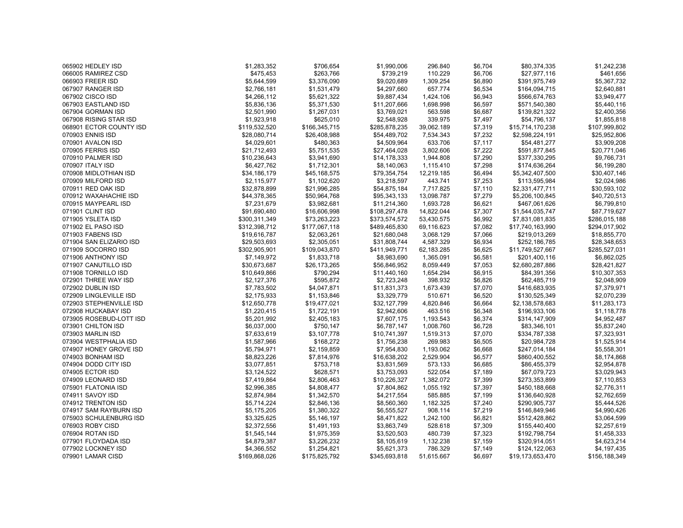| 065902 HEDLEY ISD                       | \$1,283,352                | \$706,654                | \$1,990,006   | 296.840                | \$6,704 | \$80,374,335                  | \$1,242,238                |
|-----------------------------------------|----------------------------|--------------------------|---------------|------------------------|---------|-------------------------------|----------------------------|
| 066005 RAMIREZ CSD                      | \$475,453                  | \$263,766                | \$739,219     | 110.229                | \$6,706 | \$27,977,116                  | \$461,656                  |
| 066903 FREER ISD                        | \$5,644,599                | \$3,376,090              | \$9,020,689   | 1,309.254              | \$6.890 | \$391,975,749                 | \$5,367,732                |
| 067907 RANGER ISD                       | \$2,766,181                | \$1,531,479              | \$4,297,660   | 657.774                | \$6,534 | \$164,094,715                 | \$2,640,881                |
| 067902 CISCO ISD                        | \$4,266,112                | \$5,621,322              | \$9,887,434   | 1,424.106              | \$6,943 | \$566,674,763                 | \$3,949,477                |
| 067903 EASTLAND ISD                     | \$5,836,136                | \$5,371,530              | \$11,207,666  | 1,698.998              | \$6,597 | \$571,540,380                 | \$5,440,116                |
| 067904 GORMAN ISD                       | \$2,501,990                | \$1,267,031              | \$3,769,021   | 563.598                | \$6,687 | \$139,821,322                 | \$2,400,356                |
| 067908 RISING STAR ISD                  | \$1,923,918                | \$625,010                | \$2,548,928   | 339.975                | \$7,497 | \$54,796,137                  | \$1,855,818                |
| 068901 ECTOR COUNTY ISD                 | \$119,532,520              | \$166,345,715            | \$285,878,235 | 39,062.189             | \$7,319 | \$15,714,170,238              | \$107,999,802              |
| 070903 ENNIS ISD                        | \$28,080,714               | \$26,408,988             | \$54,489,702  | 7,534.343              | \$7,232 | \$2,598,224,191               | \$25,952,806               |
| 070901 AVALON ISD                       | \$4,029,601                | \$480,363                | \$4,509,964   | 633.706                | \$7,117 | \$54,481,277                  | \$3,909,208                |
| 070905 FERRIS ISD                       | \$21,712,493               | \$5,751,535              | \$27,464,028  | 3,802.606              | \$7,222 | \$591,877,845                 | \$20,771,046               |
| 070910 PALMER ISD                       | \$10,236,643               | \$3,941,690              | \$14,178,333  | 1,944.808              | \$7,290 | \$377,330,295                 | \$9,766,731                |
| 070907 ITALY ISD                        | \$6,427,762                | \$1,712,301              | \$8,140,063   | 1,115.410              | \$7,298 | \$174,636,264                 | \$6,199,280                |
| 070908 MIDLOTHIAN ISD                   | \$34,186,179               | \$45,168,575             | \$79,354,754  | 12,219.185             | \$6,494 | \$5,342,407,500               | \$30,407,146               |
| 070909 MILFORD ISD                      | \$2,115,977                | \$1,102,620              | \$3,218,597   | 443.741                | \$7,253 | \$113,595,984                 | \$2,024,986                |
| 070911 RED OAK ISD                      | \$32,878,899               | \$21,996,285             | \$54,875,184  | 7,717.825              | \$7,110 | \$2,331,477,711               | \$30,593,102               |
| 070912 WAXAHACHIE ISD                   | \$44,378,365               | \$50,964,768             | \$95,343,133  | 13,098.787             | \$7,279 | \$5,206,100,845               | \$40,720,513               |
| 070915 MAYPEARL ISD                     | \$7,231,679                | \$3,982,681              | \$11,214,360  | 1,693.728              | \$6,621 | \$467,061,626                 | \$6,799,810                |
| 071901 CLINT ISD                        | \$91,690,480               | \$16,606,998             | \$108,297,478 | 14,822.044             | \$7,307 | \$1,544,035,747               | \$87,719,627               |
| 071905 YSLETA ISD                       | \$300,311,349              | \$73,263,223             | \$373,574,572 | 53,430.575             | \$6,992 | \$7,831,081,835               | \$286,015,188              |
| 071902 EL PASO ISD                      | \$312,398,712              | \$177,067,118            | \$489,465,830 | 69,116.623             | \$7,082 | \$17,740,163,990              | \$294,017,902              |
| 071903 FABENS ISD                       | \$19,616,787               | \$2,063,261              | \$21,680,048  | 3,068.129              | \$7,066 | \$219,013,269                 | \$18,855,770               |
| 071904 SAN ELIZARIO ISD                 | \$29,503,693               | \$2,305,051              | \$31,808,744  | 4,587.329              | \$6,934 | \$252,186,785                 | \$28,348,653               |
| 071909 SOCORRO ISD                      | \$302,905,901              | \$109,043,870            | \$411,949,771 | 62,183.285             | \$6,625 | \$11,749,527,667              | \$285,527,031              |
| 071906 ANTHONY ISD                      | \$7,149,972                | \$1,833,718              | \$8,983,690   | 1,365.091              | \$6,581 | \$201,400,116                 | \$6,862,025                |
| 071907 CANUTILLO ISD                    | \$30,673,687               | \$26,173,265             | \$56,846,952  | 8,059.449              | \$7,053 | \$2,680,287,886               | \$28,421,827               |
| 071908 TORNILLO ISD                     | \$10,649,866               | \$790,294                | \$11,440,160  | 1,654.294              | \$6,915 | \$84,391,356                  | \$10,307,353               |
| 072901 THREE WAY ISD                    | \$2,127,376                | \$595,872                | \$2,723,248   | 398.932                | \$6,826 | \$62,485,719                  | \$2,048,909                |
| 072902 DUBLIN ISD                       | \$7,783,502                | \$4,047,871              | \$11,831,373  | 1,673.439              | \$7,070 | \$416,683,935                 | \$7,379,971                |
| 072909 LINGLEVILLE ISD                  | \$2,175,933                | \$1,153,846              | \$3,329,779   | 510.671                | \$6,520 | \$130,525,349                 | \$2,070,239                |
| 072903 STEPHENVILLE ISD                 | \$12,650,778               | \$19,477,021             | \$32,127,799  | 4,820.846              | \$6,664 | \$2,138,578,683               | \$11,283,173               |
| 072908 HUCKABAY ISD                     | \$1,220,415                | \$1,722,191              | \$2,942,606   | 463.516                | \$6,348 | \$196,933,106                 | \$1,118,778                |
| 073905 ROSEBUD-LOTT ISD                 | \$5,201,992                | \$2,405,183              | \$7,607,175   |                        | \$6,374 | \$314,147,909                 | \$4,952,487                |
| 073901 CHILTON ISD                      | \$6,037,000                | \$750,147                | \$6,787,147   | 1,193.543<br>1,008.760 | \$6,728 | \$83,346,101                  | \$5,837,240                |
| 073903 MARLIN ISD                       | \$7,633,619                | \$3,107,778              | \$10,741,397  | 1,519.313              | \$7,070 | \$334,787,338                 | \$7,323,931                |
| 073904 WESTPHALIA ISD                   | \$1,587,966                | \$168,272                | \$1,756,238   | 269.983                | \$6,505 | \$20,984,728                  | \$1,525,914                |
| 074907 HONEY GROVE ISD                  | \$5,794,971                | \$2,159,859              | \$7,954,830   | 1,193.062              | \$6,668 | \$247,014,184                 | \$5,558,301                |
| 074903 BONHAM ISD                       | \$8,823,226                |                          | \$16,638,202  | 2,529.904              | \$6,577 |                               | \$8,174,868                |
| 074904 DODD CITY ISD                    | \$3,077,851                | \$7,814,976<br>\$753,718 | \$3,831,569   | 573.133                | \$6,685 | \$860,400,552<br>\$86,455,379 |                            |
| 074905 ECTOR ISD                        |                            | \$628,571                |               | 522.054                | \$7,189 | \$67,079,723                  | \$2,954,878<br>\$3,029,943 |
|                                         | \$3,124,522<br>\$7,419,864 |                          | \$3,753,093   |                        |         |                               |                            |
| 074909 LEONARD ISD                      |                            | \$2,806,463              | \$10,226,327  | 1,382.072              | \$7,399 | \$273,353,899                 | \$7,110,853                |
| 075901 FLATONIA ISD<br>074911 SAVOY ISD | \$2,996,385                | \$4,808,477              | \$7,804,862   | 1,055.192              | \$7,397 | \$450,188,668                 | \$2,776,311                |
|                                         | \$2,874,984                | \$1,342,570              | \$4,217,554   | 585.885                | \$7,199 | \$136,640,928                 | \$2,762,659                |
| 074912 TRENTON ISD                      | \$5,714,224                | \$2,846,136              | \$8,560,360   | 1,182.325              | \$7,240 | \$290,905,737                 | \$5,444,526                |
| 074917 SAM RAYBURN ISD                  | \$5,175,205                | \$1,380,322              | \$6,555,527   | 908.114                | \$7,219 | \$146,849,946                 | \$4,990,426                |
| 075903 SCHULENBURG ISD                  | \$3,325,625                | \$5,146,197              | \$8,471,822   | 1,242.100              | \$6,821 | \$512,428,862                 | \$3,064,599                |
| 076903 ROBY CISD                        | \$2,372,556                | \$1,491,193              | \$3,863,749   | 528.618                | \$7,309 | \$155,440,400                 | \$2,257,619                |
| 076904 ROTAN ISD                        | \$1,545,144                | \$1,975,359              | \$3,520,503   | 480.739                | \$7,323 | \$192,798,754                 | \$1,458,333                |
| 077901 FLOYDADA ISD                     | \$4,879,387                | \$3,226,232              | \$8,105,619   | 1,132.238              | \$7,159 | \$320,914,051                 | \$4,623,214                |
| 077902 LOCKNEY ISD                      | \$4,366,552                | \$1,254,821              | \$5,621,373   | 786.329                | \$7,149 | \$124,122,063                 | \$4,197,435                |
| 079901 LAMAR CISD                       | \$169.868.026              | \$175,825,792            | \$345.693.818 | 51,615.667             | \$6.697 | \$19,173,653,470              | \$156.188.349              |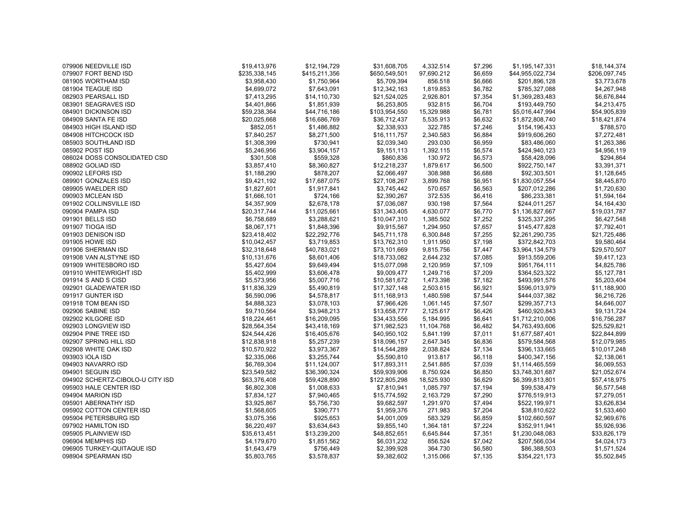| 079906 NEEDVILLE ISD             | \$19,413,976  | \$12,194,729  | \$31,608,705  | 4,332.514  | \$7,296 | \$1,195,147,331  | \$18,144,374  |
|----------------------------------|---------------|---------------|---------------|------------|---------|------------------|---------------|
| 079907 FORT BEND ISD             | \$235,338,145 | \$415,211,356 | \$650,549,501 | 97,690.212 | \$6,659 | \$44,955,022,734 | \$206,097,745 |
| 081905 WORTHAM ISD               | \$3,958,430   | \$1,750,964   | \$5,709,394   | 856.518    | \$6,666 | \$201,896,128    | \$3,773,678   |
| 081904 TEAGUE ISD                | \$4,699,072   | \$7,643,091   | \$12,342,163  | 1,819.853  | \$6,782 | \$785,327,088    | \$4,267,948   |
| 082903 PEARSALL ISD              | \$7,413,295   | \$14,110,730  | \$21,524,025  | 2,926.801  | \$7,354 | \$1,369,283,483  | \$6,676,844   |
| 083901 SEAGRAVES ISD             | \$4,401,866   | \$1,851,939   | \$6,253,805   | 932.815    | \$6,704 | \$193,449,750    | \$4,213,475   |
| 084901 DICKINSON ISD             | \$59,238,364  | \$44,716,186  | \$103,954,550 | 15,329.988 | \$6,781 | \$5,016,447,994  | \$54,905,839  |
| 084909 SANTA FE ISD              | \$20,025,668  | \$16,686,769  | \$36,712,437  | 5,535.913  | \$6,632 | \$1,872,808,740  | \$18,421,874  |
| 084903 HIGH ISLAND ISD           | \$852,051     | \$1,486,882   | \$2,338,933   | 322.785    | \$7,246 | \$154,196,433    | \$788,570     |
| 084908 HITCHCOCK ISD             | \$7,840,257   | \$8,271,500   | \$16,111,757  | 2,340.583  | \$6,884 | \$919,606,260    | \$7,272,481   |
| 085903 SOUTHLAND ISD             | \$1,308,399   | \$730,941     | \$2,039,340   | 293.030    | \$6,959 | \$83,486,060     | \$1,263,386   |
| 085902 POST ISD                  | \$5,246,956   | \$3,904,157   | \$9,151,113   | 1,392.115  | \$6,574 | \$424,940,123    | \$4,956,119   |
| 086024 DOSS CONSOLIDATED CSD     | \$301,508     | \$559,328     | \$860,836     | 130.972    | \$6,573 | \$58,428,096     | \$294,864     |
| 088902 GOLIAD ISD                | \$3,857,410   | \$8,360,827   | \$12,218,237  | 1,879.617  | \$6,500 | \$922,750,147    | \$3,391,371   |
| 090902 LEFORS ISD                | \$1,188,290   | \$878,207     | \$2,066,497   | 308.988    | \$6,688 | \$92,303,501     | \$1,128,645   |
| 089901 GONZALES ISD              | \$9,421,192   | \$17,687,075  | \$27,108,267  | 3,899.768  | \$6,951 | \$1,830,057,554  | \$8,445,870   |
| 089905 WAELDER ISD               | \$1,827,601   | \$1,917,841   | \$3,745,442   | 570.657    | \$6,563 | \$207,012,286    | \$1,720,630   |
| 090903 MCLEAN ISD                | \$1,666,101   | \$724,166     | \$2,390,267   | 372.535    | \$6,416 | \$86,233,381     | \$1,594,164   |
| 091902 COLLINSVILLE ISD          | \$4,357,909   | \$2,678,178   | \$7,036,087   | 930.198    | \$7,564 | \$244,011,257    | \$4,164,430   |
| 090904 PAMPA ISD                 | \$20,317,744  | \$11,025,661  | \$31,343,405  | 4,630.077  | \$6,770 | \$1,136,827,667  | \$19,031,787  |
| 091901 BELLS ISD                 | \$6,758,689   | \$3,288,621   | \$10,047,310  | 1,385.502  | \$7,252 | \$325,337,295    | \$6,427,548   |
| 091907 TIOGA ISD                 | \$8,067,171   | \$1,848,396   | \$9,915,567   | 1,294.950  | \$7,657 | \$145,477,828    | \$7,792,401   |
| 091903 DENISON ISD               | \$23,418,402  | \$22,292,776  | \$45,711,178  | 6,300.848  | \$7,255 | \$2,261,290,735  | \$21,725,486  |
| 091905 HOWE ISD                  | \$10,042,457  | \$3,719,853   | \$13,762,310  | 1,911.950  | \$7,198 | \$372,842,703    | \$9,580,464   |
| 091906 SHERMAN ISD               | \$32,318,648  | \$40,783,021  | \$73,101,669  | 9,815.756  | \$7,447 | \$3,964,134,579  | \$29,570,507  |
| 091908 VAN ALSTYNE ISD           | \$10,131,676  | \$8,601,406   | \$18,733,082  | 2,644.232  | \$7,085 | \$913,559,206    | \$9,417,123   |
| 091909 WHITESBORO ISD            | \$5,427,604   | \$9,649,494   | \$15,077,098  | 2,120.959  | \$7,109 | \$951,764,111    | \$4,825,786   |
| 091910 WHITEWRIGHT ISD           | \$5,402,999   | \$3,606,478   | \$9,009,477   | 1,249.716  | \$7,209 | \$364,523,322    | \$5,127,781   |
| 091914 S AND S CISD              | \$5,573,956   | \$5,007,716   | \$10,581,672  | 1,473.398  | \$7,182 | \$493,991,576    | \$5,203,404   |
| 092901 GLADEWATER ISD            | \$11,836,329  | \$5,490,819   | \$17,327,148  | 2,503.615  | \$6,921 | \$596,013,979    | \$11,188,900  |
| 091917 GUNTER ISD                | \$6,590,096   | \$4,578,817   | \$11,168,913  | 1,480.598  | \$7,544 | \$444,037,382    | \$6,216,726   |
| 091918 TOM BEAN ISD              | \$4,888,323   | \$3,078,103   | \$7,966,426   | 1,061.145  | \$7,507 | \$299,357,713    | \$4,646,007   |
| 092906 SABINE ISD                | \$9,710,564   | \$3,948,213   | \$13,658,777  | 2,125.617  | \$6,426 | \$460,920,843    | \$9,131,724   |
| 092902 KILGORE ISD               | \$18,224,461  | \$16,209,095  | \$34,433,556  | 5,184.995  | \$6,641 | \$1,712,210,006  | \$16,756,287  |
| 092903 LONGVIEW ISD              | \$28,564,354  | \$43,418,169  | \$71,982,523  | 11,104.768 | \$6,482 | \$4,763,493,606  | \$25,529,821  |
| 092904 PINE TREE ISD             | \$24,544,426  | \$16,405,676  | \$40,950,102  | 5,841.199  | \$7,011 | \$1,677,587,401  | \$22,844,899  |
| 092907 SPRING HILL ISD           | \$12,838,918  | \$5,257,239   | \$18,096,157  | 2,647.345  | \$6,836 | \$579,584,568    | \$12,079,985  |
| 092908 WHITE OAK ISD             | \$10,570,922  | \$3,973,367   | \$14,544,289  | 2,038.824  | \$7,134 | \$396,133,665    | \$10,017,248  |
| 093903 IOLA ISD                  | \$2,335,066   | \$3,255,744   | \$5,590,810   | 913.817    | \$6,118 | \$400,347,156    | \$2,138,061   |
| 094903 NAVARRO ISD               | \$6,769,304   | \$11,124,007  | \$17,893,311  | 2,541.885  | \$7,039 | \$1,114,465,559  | \$6,069,553   |
| 094901 SEGUIN ISD                | \$23,549,582  | \$36,390,324  | \$59,939,906  | 8,750.924  | \$6,850 | \$3,748,301,687  | \$21,052,674  |
| 094902 SCHERTZ-CIBOLO-U CITY ISD | \$63,376,408  | \$59,428,890  | \$122,805,298 | 18,525.930 | \$6,629 | \$6,399,813,801  | \$57,418,975  |
| 095903 HALE CENTER ISD           | \$6,802,308   | \$1,008,633   | \$7,810,941   | 1,085.797  | \$7,194 | \$99,538,479     | \$6,577,548   |
| 094904 MARION ISD                | \$7,834,127   | \$7,940,465   | \$15,774,592  | 2,163.729  | \$7,290 | \$776,519,913    | \$7,279,051   |
| 095901 ABERNATHY ISD             | \$3,925,867   | \$5,756,730   | \$9,682,597   | 1,291.970  | \$7,494 | \$522,199,971    | \$3,626,834   |
| 095902 COTTON CENTER ISD         | \$1,568,605   | \$390,771     | \$1,959,376   | 271.983    | \$7,204 | \$38,810,622     | \$1,533,460   |
| 095904 PETERSBURG ISD            | \$3,075,356   | \$925,653     | \$4,001,009   | 583.329    | \$6,859 | \$102,660,597    | \$2,969,676   |
| 097902 HAMILTON ISD              | \$6,220,497   | \$3,634,643   | \$9,855,140   | 1,364.181  | \$7,224 | \$352,911,941    | \$5,926,936   |
| 095905 PLAINVIEW ISD             | \$35,613,451  | \$13,239,200  | \$48,852,651  | 6,645.844  | \$7,351 | \$1,230,048,083  | \$33,826,179  |
| 096904 MEMPHIS ISD               | \$4,179,670   | \$1,851,562   | \$6,031,232   | 856.524    | \$7,042 | \$207,566,034    | \$4,024,173   |
| 096905 TURKEY-QUITAQUE ISD       | \$1,643,479   | \$756,449     | \$2,399,928   | 364.730    | \$6,580 | \$86,388,503     | \$1,571,524   |
| 098904 SPEARMAN ISD              | \$5.803.765   | \$3,578,837   | \$9,382,602   | 1,315.066  | \$7,135 | \$354,221,173    | \$5,502,845   |
|                                  |               |               |               |            |         |                  |               |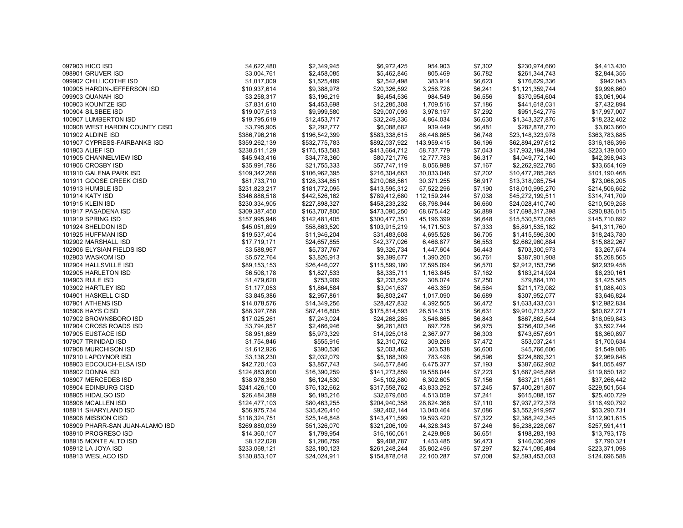| 097903 HICO ISD                 | \$4,622,480   | \$2,349,945   | \$6,972,425   | 954.903     | \$7,302 | \$230,974,660    | \$4,413,430                   |
|---------------------------------|---------------|---------------|---------------|-------------|---------|------------------|-------------------------------|
| 098901 GRUVER ISD               | \$3,004,761   | \$2,458,085   | \$5,462,846   | 805.469     | \$6,782 | \$261,344,743    | \$2,844,356                   |
| 099902 CHILLICOTHE ISD          | \$1,017,009   | \$1,525,489   | \$2,542,498   | 383.914     | \$6,623 | \$176,629,336    | \$942,043                     |
| 100905 HARDIN-JEFFERSON ISD     | \$10,937,614  | \$9,388,978   | \$20,326,592  | 3,256.728   | \$6,241 | \$1,121,359,744  | \$9,996,860                   |
| 099903 QUANAH ISD               | \$3,258,317   | \$3,196,219   | \$6,454,536   | 984.549     | \$6,556 | \$370,954,604    | \$3,061,904                   |
| 100903 KOUNTZE ISD              | \$7,831,610   | \$4,453,698   | \$12,285,308  | 1,709.516   | \$7,186 | \$441,618,031    | \$7,432,894                   |
| 100904 SILSBEE ISD              | \$19,007,513  | \$9,999,580   | \$29,007,093  | 3,978.197   | \$7,292 | \$951,542,775    | \$17,997,007                  |
| 100907 LUMBERTON ISD            | \$19,795,619  | \$12,453,717  | \$32,249,336  | 4,864.034   | \$6,630 | \$1,343,327,876  | \$18,232,402                  |
| 100908 WEST HARDIN COUNTY CISD  | \$3,795,905   | \$2,292,777   | \$6,088,682   | 939.449     | \$6,481 | \$282,878,770    | \$3,603,660                   |
| 101902 ALDINE ISD               | \$386,796,216 | \$196,542,399 | \$583,338,615 | 86,446.865  | \$6,748 | \$23,148,323,978 | \$363,783,885                 |
| 101907 CYPRESS-FAIRBANKS ISD    | \$359,262,139 | \$532,775,783 | \$892,037,922 | 143,959.415 | \$6,196 | \$62,894,297,612 | \$316,186,396                 |
| 101903 ALIEF ISD                | \$238,511,129 | \$175,153,583 | \$413,664,712 | 58,737.779  | \$7,043 | \$17,932,194,394 | \$223,139,050                 |
| 101905 CHANNELVIEW ISD          | \$45,943,416  | \$34,778,360  | \$80,721,776  | 12,777.783  | \$6,317 | \$4,049,772,140  | \$42,398,943                  |
| 101906 CROSBY ISD               | \$35,991,786  | \$21,755,333  | \$57,747,119  | 8,056.988   | \$7,167 | \$2,262,922,785  | \$33,654,169                  |
| 101910 GALENA PARK ISD          | \$109,342,268 | \$106,962,395 | \$216,304,663 | 30,033.046  | \$7,202 | \$10,477,285,265 | \$101,190,468                 |
| 101911 GOOSE CREEK CISD         | \$81,733,710  | \$128,334,851 | \$210,068,561 | 30,371.255  | \$6,917 | \$13,318,085,754 | \$73,068,205                  |
| 101913 HUMBLE ISD               | \$231,823,217 | \$181,772,095 | \$413,595,312 | 57,522.296  | \$7,190 | \$18,010,995,270 | \$214,506,652                 |
| <b>101914 KATY ISD</b>          | \$346,886,518 | \$442,526,162 | \$789,412,680 | 112,159.244 | \$7,038 | \$45,272,199,511 | \$314,741,709                 |
| 101915 KLEIN ISD                | \$230,334,905 | \$227,898,327 | \$458,233,232 | 68,798.944  | \$6,660 | \$24,028,410,740 | \$210,509,258                 |
| 101917 PASADENA ISD             | \$309,387,450 | \$163,707,800 | \$473,095,250 | 68,675.442  | \$6,889 | \$17,698,317,398 | \$290,836,015                 |
| 101919 SPRING ISD               | \$157,995,946 | \$142,481,405 | \$300,477,351 | 45,196.399  | \$6,648 | \$15,530,573,065 | \$145,710,892                 |
| 101924 SHELDON ISD              | \$45,051,699  | \$58,863,520  | \$103,915,219 | 14,171.503  | \$7,333 | \$5,891,535,182  | \$41,311,760                  |
| 101925 HUFFMAN ISD              | \$19,537,404  | \$11,946,204  | \$31,483,608  | 4,695.528   | \$6,705 | \$1,415,596,300  | \$18,243,780                  |
| 102902 MARSHALL ISD             | \$17,719,171  | \$24,657,855  | \$42,377,026  | 6,466.877   | \$6,553 | \$2,662,960,884  | \$15,882,267                  |
| 102906 ELYSIAN FIELDS ISD       | \$3,588,967   | \$5,737,767   | \$9,326,734   | 1,447.604   | \$6,443 | \$703,300,973    | \$3,267,674                   |
| 102903 WASKOM ISD               | \$5,572,764   | \$3,826,913   | \$9,399,677   | 1,390.260   | \$6,761 | \$387,901,908    | \$5,268,565                   |
| 102904 HALLSVILLE ISD           | \$89,153,153  | \$26,446,027  | \$115,599,180 | 17,595.094  | \$6,570 | \$2,912,153,756  | \$82,939,458                  |
| 102905 HARLETON ISD             | \$6,508,178   | \$1,827,533   | \$8,335,711   | 1,163.845   | \$7,162 | \$183,214,924    | \$6,230,161                   |
| 104903 RULE ISD                 | \$1,479,620   | \$753,909     | \$2,233,529   | 308.074     | \$7,250 | \$79,864,170     | \$1,425,585                   |
| 103902 HARTLEY ISD              | \$1,177,053   | \$1,864,584   | \$3,041,637   | 463.359     | \$6,564 | \$211,173,082    | \$1,088,403                   |
| 104901 HASKELL CISD             | \$3,845,386   | \$2,957,861   | \$6,803,247   | 1,017.090   | \$6,689 | \$307,952,077    | \$3,646,824                   |
| 107901 ATHENS ISD               | \$14,078,576  | \$14,349,256  | \$28,427,832  | 4,392.505   | \$6,472 | \$1,633,433,031  | \$12,982,834                  |
| 105906 HAYS CISD                | \$88,397,788  | \$87,416,805  | \$175,814,593 | 26,514.315  | \$6,631 | \$9,910,713,822  | \$80,827,271                  |
| 107902 BROWNSBORO ISD           | \$17,025,261  | \$7,243,024   | \$24,268,285  | 3,546.665   | \$6,843 | \$867,862,544    | \$16,059,843                  |
| 107904 CROSS ROADS ISD          | \$3,794,857   | \$2,466,946   | \$6,261,803   | 897.728     | \$6,975 | \$256,402,346    | \$3,592,744                   |
| 107905 EUSTACE ISD              | \$8,951,689   | \$5,973,329   | \$14,925,018  | 2,367.977   | \$6,303 | \$743,657,691    | \$8,360,897                   |
| 107907 TRINIDAD ISD             | \$1,754,846   | \$555,916     | \$2,310,762   | 309.268     | \$7,472 | \$53,037,241     | \$1,700,634                   |
| 107908 MURCHISON ISD            | \$1,612,926   | \$390,536     | \$2,003,462   | 303.538     | \$6,600 | \$45,766,606     | \$1,549,086                   |
| 107910 LAPOYNOR ISD             | \$3,136,230   | \$2,032,079   | \$5,168,309   | 783.498     | \$6,596 | \$224,889,321    | \$2,969,848                   |
| 108903 EDCOUCH-ELSA ISD         | \$42,720,103  | \$3,857,743   | \$46,577,846  | 6,475.377   | \$7,193 | \$387,662,902    | \$41,055,497                  |
| 108902 DONNA ISD                | \$124,883,600 | \$16,390,259  | \$141,273,859 | 19,558.044  | \$7,223 | \$1,687,945,888  | \$119,850,182                 |
| 108907 MERCEDES ISD             | \$38,978,350  | \$6,124,530   | \$45,102,880  | 6,302.605   | \$7,156 | \$637,211,661    |                               |
| 108904 EDINBURG CISD            | \$241,426,100 | \$76,132,662  | \$317,558,762 | 43,833.292  | \$7,245 | \$7,400,281,807  | \$37,266,442<br>\$229,501,554 |
| 108905 HIDALGO ISD              |               |               | \$32,679,605  |             | \$7,241 |                  |                               |
|                                 | \$26,484,389  | \$6,195,216   |               | 4,513.059   |         | \$615,088,157    | \$25,400,729                  |
| 108906 MCALLEN ISD              | \$124,477,103 | \$80,463,255  | \$204,940,358 | 28,824.368  | \$7,110 | \$7,937,272,378  | \$116,490,792                 |
| 108911 SHARYLAND ISD            | \$56,975,734  | \$35,426,410  | \$92,402,144  | 13,040.464  | \$7,086 | \$3,552,919,957  | \$53,290,731                  |
| 108908 MISSION CISD             | \$118,324,751 | \$25,146,848  | \$143,471,599 | 19,593.420  | \$7,322 | \$2,368,242,345  | \$112,901,615                 |
| 108909 PHARR-SAN JUAN-ALAMO ISD | \$269,880,039 | \$51,326,070  | \$321,206,109 | 44,328.343  | \$7,246 | \$5,238,228,067  | \$257,591,411                 |
| 108910 PROGRESO ISD             | \$14,360,107  | \$1,799,954   | \$16,160,061  | 2,429.868   | \$6,651 | \$198,283,193    | \$13,793,178                  |
| 108915 MONTE ALTO ISD           | \$8,122,028   | \$1,286,759   | \$9,408,787   | 1,453.485   | \$6,473 | \$146,030,909    | \$7,790,321                   |
| 108912 LA JOYA ISD              | \$233,068,121 | \$28,180,123  | \$261,248,244 | 35,802.496  | \$7,297 | \$2,741,085,484  | \$223,371,098                 |
| 108913 WESLACO ISD              | \$130,853,107 | \$24,024,911  | \$154,878,018 | 22,100.287  | \$7,008 | \$2,593,453,003  | \$124,696,588                 |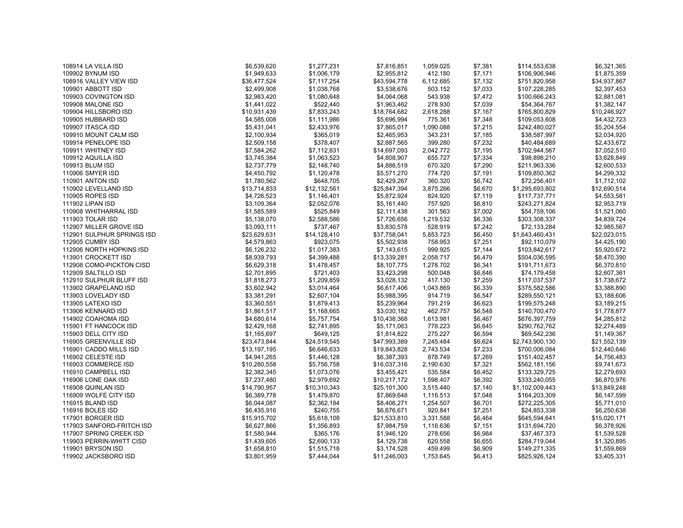| \$1,949,633<br>\$1,006,179<br>\$2,955,812<br>412.180<br>\$7,171<br>\$106,906,946<br>109902 BYNUM ISD<br>\$36,477,524<br>\$7,117,254<br>\$7,132<br>108916 VALLEY VIEW ISD<br>\$43,594,778<br>6,112.685<br>\$751,820,958<br>\$7,033<br>109901 ABBOTT ISD<br>\$2,499,908<br>\$1,038,768<br>\$3,538,676<br>503.152<br>\$107,228,285<br>109903 COVINGTON ISD<br>\$2,983,420<br>\$1,080,648<br>\$4,064,068<br>543.938<br>\$7,472<br>\$100,666,243<br>\$1,441,022<br>\$522,440<br>\$1,963,462<br>278.930<br>\$7,039<br>\$54,364,767<br>109908 MALONE ISD<br>\$10,931,439<br>\$7,833,243<br>\$18,764,682<br>2,618.288<br>\$7,167<br>\$765,800,829<br>109904 HILLSBORO ISD<br>\$4,585,008<br>\$1,111,986<br>\$5,696,994<br>\$7,348<br>109905 HUBBARD ISD<br>775.361<br>\$109,053,608 | \$1,875,359<br>\$34,937,867<br>\$2,397,453<br>\$2,881,081<br>\$1,382,147<br>\$10,246,927<br>\$4,432,723<br>\$5,204,554<br>\$2,034,920 |
|-----------------------------------------------------------------------------------------------------------------------------------------------------------------------------------------------------------------------------------------------------------------------------------------------------------------------------------------------------------------------------------------------------------------------------------------------------------------------------------------------------------------------------------------------------------------------------------------------------------------------------------------------------------------------------------------------------------------------------------------------------------------------------|---------------------------------------------------------------------------------------------------------------------------------------|
|                                                                                                                                                                                                                                                                                                                                                                                                                                                                                                                                                                                                                                                                                                                                                                             |                                                                                                                                       |
|                                                                                                                                                                                                                                                                                                                                                                                                                                                                                                                                                                                                                                                                                                                                                                             |                                                                                                                                       |
|                                                                                                                                                                                                                                                                                                                                                                                                                                                                                                                                                                                                                                                                                                                                                                             |                                                                                                                                       |
|                                                                                                                                                                                                                                                                                                                                                                                                                                                                                                                                                                                                                                                                                                                                                                             |                                                                                                                                       |
|                                                                                                                                                                                                                                                                                                                                                                                                                                                                                                                                                                                                                                                                                                                                                                             |                                                                                                                                       |
|                                                                                                                                                                                                                                                                                                                                                                                                                                                                                                                                                                                                                                                                                                                                                                             |                                                                                                                                       |
|                                                                                                                                                                                                                                                                                                                                                                                                                                                                                                                                                                                                                                                                                                                                                                             |                                                                                                                                       |
| \$5,431,041<br>\$7,215<br>109907 ITASCA ISD<br>\$2,433,976<br>\$7,865,017<br>1,090.088<br>\$242,480,027                                                                                                                                                                                                                                                                                                                                                                                                                                                                                                                                                                                                                                                                     |                                                                                                                                       |
| \$2,100,934<br>109910 MOUNT CALM ISD<br>\$365,019<br>\$2,465,953<br>343.231<br>\$7,185<br>\$38,587,997                                                                                                                                                                                                                                                                                                                                                                                                                                                                                                                                                                                                                                                                      |                                                                                                                                       |
| 109914 PENELOPE ISD<br>\$2,509,158<br>\$378,407<br>\$2,887,565<br>399.280<br>\$7,232<br>\$40,484,689                                                                                                                                                                                                                                                                                                                                                                                                                                                                                                                                                                                                                                                                        | \$2,433,872                                                                                                                           |
| \$7,584,262<br>\$14,697,093<br>\$7,195<br>\$702,944,567<br>109911 WHITNEY ISD<br>\$7,112,831<br>2,042.772                                                                                                                                                                                                                                                                                                                                                                                                                                                                                                                                                                                                                                                                   | \$7,052,510                                                                                                                           |
| \$3,745,384<br>\$1,063,523<br>\$7,334<br>109912 AQUILLA ISD<br>\$4,808,907<br>655.727<br>\$98,898,210                                                                                                                                                                                                                                                                                                                                                                                                                                                                                                                                                                                                                                                                       | \$3,628,849                                                                                                                           |
| \$2,737,779<br>\$2,148,740<br>\$4,886,519<br>670.320<br>\$7,290<br>\$211,963,336<br>109913 BLUM ISD                                                                                                                                                                                                                                                                                                                                                                                                                                                                                                                                                                                                                                                                         | \$2,600,533                                                                                                                           |
| \$4,450,792<br>\$5,571,270<br>774.720<br>\$7,191<br><b>110906 SMYER ISD</b><br>\$1,120,478<br>\$109,850,362                                                                                                                                                                                                                                                                                                                                                                                                                                                                                                                                                                                                                                                                 | \$4,299,332                                                                                                                           |
| \$1,780,562<br>\$648,705<br>\$2,429,267<br>360.320<br>\$72,256,401<br>110901 ANTON ISD<br>\$6,742                                                                                                                                                                                                                                                                                                                                                                                                                                                                                                                                                                                                                                                                           | \$1,712,102                                                                                                                           |
| \$12,132,561<br>110902 LEVELLAND ISD<br>\$13,714,833<br>\$25,847,394<br>3,875.266<br>\$6,670<br>\$1,295,693,802                                                                                                                                                                                                                                                                                                                                                                                                                                                                                                                                                                                                                                                             | \$12,690,514                                                                                                                          |
| \$4,726,523<br>\$5,872,924<br>824.920<br>110905 ROPES ISD<br>\$1,146,401<br>\$7,119<br>\$117,737,771                                                                                                                                                                                                                                                                                                                                                                                                                                                                                                                                                                                                                                                                        | \$4,553,581                                                                                                                           |
| \$3,109,364<br>\$2,052,076<br>\$5,161,440<br>757.920<br>\$6,810<br>\$243,271,824<br>111902 LIPAN ISD                                                                                                                                                                                                                                                                                                                                                                                                                                                                                                                                                                                                                                                                        | \$2,953,719                                                                                                                           |
| \$1,585,589<br>\$525,849<br>301.563<br>\$7,002<br>110908 WHITHARRAL ISD<br>\$2,111,438<br>\$54,759,106                                                                                                                                                                                                                                                                                                                                                                                                                                                                                                                                                                                                                                                                      | \$1,521,060                                                                                                                           |
| \$5,138,070<br>111903 TOLAR ISD<br>\$2,588,586<br>\$7,726,656<br>1,219.532<br>\$6,336<br>\$303,308,337                                                                                                                                                                                                                                                                                                                                                                                                                                                                                                                                                                                                                                                                      | \$4,839,724                                                                                                                           |
| \$3,093,111<br>528.919<br>\$72,133,284<br>112907 MILLER GROVE ISD<br>\$737,467<br>\$3,830,578<br>\$7,242                                                                                                                                                                                                                                                                                                                                                                                                                                                                                                                                                                                                                                                                    | \$2,985,567                                                                                                                           |
| \$23,629,631<br>\$14,128,410<br>\$37,758,041<br>\$6,450<br>\$1,643,460,431<br>112901 SULPHUR SPRINGS ISD<br>5,853.723                                                                                                                                                                                                                                                                                                                                                                                                                                                                                                                                                                                                                                                       | \$22,023,015                                                                                                                          |
| \$4,579,863<br>112905 CUMBY ISD<br>\$923,075<br>\$5,502,938<br>758.953<br>\$7,251<br>\$92,110,079                                                                                                                                                                                                                                                                                                                                                                                                                                                                                                                                                                                                                                                                           | \$4,425,190                                                                                                                           |
| 112906 NORTH HOPKINS ISD<br>\$6,126,232<br>\$1,017,383<br>999.925<br>\$7,144<br>\$7,143,615<br>\$103,842,617                                                                                                                                                                                                                                                                                                                                                                                                                                                                                                                                                                                                                                                                | \$5,920,672                                                                                                                           |
| \$8,939,793<br>\$4,399,488<br>\$6,479<br>\$504,036,595<br>113901 CROCKETT ISD<br>\$13,339,281<br>2,058.717                                                                                                                                                                                                                                                                                                                                                                                                                                                                                                                                                                                                                                                                  | \$8,470,390                                                                                                                           |
| \$6,629,318<br>112908 COMO-PICKTON CISD<br>\$1,478,457<br>\$8,107,775<br>1,278.702<br>\$6,341<br>\$191,711,673                                                                                                                                                                                                                                                                                                                                                                                                                                                                                                                                                                                                                                                              | \$6,370,810                                                                                                                           |
| 112909 SALTILLO ISD<br>\$2,701,895<br>\$721,403<br>\$3,423,298<br>500.048<br>\$6,846<br>\$74,179,458                                                                                                                                                                                                                                                                                                                                                                                                                                                                                                                                                                                                                                                                        | \$2,607,361                                                                                                                           |
| \$1,818,273<br>\$1,209,859<br>\$3,028,132<br>417.130<br>\$7,259<br>\$117,037,537<br>112910 SULPHUR BLUFF ISD                                                                                                                                                                                                                                                                                                                                                                                                                                                                                                                                                                                                                                                                | \$1,738,672                                                                                                                           |
| \$3,602,942<br>\$6,339<br>\$375,582,586<br>113902 GRAPELAND ISD<br>\$3,014,464<br>\$6,617,406<br>1,043.869                                                                                                                                                                                                                                                                                                                                                                                                                                                                                                                                                                                                                                                                  | \$3,388,890                                                                                                                           |
| 113903 LOVELADY ISD<br>\$3,381,291<br>\$2,607,104<br>\$5,988,395<br>914.719<br>\$6,547<br>\$289,550,121                                                                                                                                                                                                                                                                                                                                                                                                                                                                                                                                                                                                                                                                     | \$3,188,606                                                                                                                           |
| 113905 LATEXO ISD<br>\$3,360,551<br>\$1,879,413<br>\$5,239,964<br>791.219<br>\$6,623<br>\$199,575,248                                                                                                                                                                                                                                                                                                                                                                                                                                                                                                                                                                                                                                                                       | \$3,189,215                                                                                                                           |
| 113906 KENNARD ISD<br>\$1,861,517<br>\$1,168,665<br>\$6,548<br>\$140,700,470<br>\$3,030,182<br>462.757                                                                                                                                                                                                                                                                                                                                                                                                                                                                                                                                                                                                                                                                      | \$1,778,877                                                                                                                           |
| \$4,680,614<br>\$5,757,754<br>\$10,438,368<br>\$6,467<br>\$676,397,759<br>114902 COAHOMA ISD<br>1,613.981                                                                                                                                                                                                                                                                                                                                                                                                                                                                                                                                                                                                                                                                   | \$4,285,812                                                                                                                           |
| \$2,429,168<br>778.223<br>\$290,762,762<br>115901 FT HANCOCK ISD<br>\$2,741,895<br>\$5,171,063<br>\$6,645                                                                                                                                                                                                                                                                                                                                                                                                                                                                                                                                                                                                                                                                   | \$2,274,489                                                                                                                           |
| 275.227<br>115903 DELL CITY ISD<br>\$1,165,697<br>\$649,125<br>\$1,814,822<br>\$6,594<br>\$69,542,236                                                                                                                                                                                                                                                                                                                                                                                                                                                                                                                                                                                                                                                                       | \$1,149,367                                                                                                                           |
| \$23,473,844<br>\$24,519,545<br>\$47,993,389<br>\$6,624<br>\$2,743,900,130<br>116905 GREENVILLE ISD<br>7,245.484                                                                                                                                                                                                                                                                                                                                                                                                                                                                                                                                                                                                                                                            | \$21,552,139                                                                                                                          |
| \$13,197,195<br>\$6,646,633<br>2,743.534<br>\$7,233<br>116901 CADDO MILLS ISD<br>\$19,843,828<br>\$700,006,084                                                                                                                                                                                                                                                                                                                                                                                                                                                                                                                                                                                                                                                              | \$12,440,646                                                                                                                          |
| 116902 CELESTE ISD<br>\$4,941,265<br>\$1,446,128<br>\$6,387,393<br>878.749<br>\$7,269<br>\$151,402,457                                                                                                                                                                                                                                                                                                                                                                                                                                                                                                                                                                                                                                                                      | \$4,756,483                                                                                                                           |
| 116903 COMMERCE ISD<br>\$10,280,558<br>\$5,756,758<br>\$16,037,316<br>2,190.630<br>\$7,321<br>\$562,181,156                                                                                                                                                                                                                                                                                                                                                                                                                                                                                                                                                                                                                                                                 | \$9,741,673                                                                                                                           |
| 116910 CAMPBELL ISD<br>\$2,382,345<br>\$1,073,076<br>\$6,452<br>\$133,329,725<br>\$3,455,421<br>535.584                                                                                                                                                                                                                                                                                                                                                                                                                                                                                                                                                                                                                                                                     | \$2,279,693                                                                                                                           |
| \$7,237,480<br>\$2,979,692<br>\$10,217,172<br>\$6,392<br>\$333,240,055<br>116906 LONE OAK ISD<br>1,598.407                                                                                                                                                                                                                                                                                                                                                                                                                                                                                                                                                                                                                                                                  | \$6,870,976                                                                                                                           |
| \$14,790,957<br>\$10,310,343<br>\$25,101,300<br>\$7,140<br>\$1,102,009,443<br>116908 QUINLAN ISD<br>3,515.440                                                                                                                                                                                                                                                                                                                                                                                                                                                                                                                                                                                                                                                               | \$13,849,248                                                                                                                          |
| \$6,389,778<br>\$7,048<br>116909 WOLFE CITY ISD<br>\$1,479,870<br>\$7,869,648<br>\$164,203,309<br>1,116.513                                                                                                                                                                                                                                                                                                                                                                                                                                                                                                                                                                                                                                                                 | \$6,147,599                                                                                                                           |
| \$6,044,087<br>\$2,362,184<br>\$6,701<br>\$272,225,305<br>116915 BLAND ISD<br>\$8,406,271<br>1,254.507                                                                                                                                                                                                                                                                                                                                                                                                                                                                                                                                                                                                                                                                      | \$5,771,010                                                                                                                           |
| \$6,435,916<br>\$240,755<br>\$7,251<br>\$24,853,338<br>116916 BOLES ISD<br>\$6,676,671<br>920.841                                                                                                                                                                                                                                                                                                                                                                                                                                                                                                                                                                                                                                                                           | \$6,250,638                                                                                                                           |
| 117901 BORGER ISD<br>\$15,915,702<br>\$5,618,108<br>\$21,533,810<br>3,331.588<br>\$6,464<br>\$645,594,641                                                                                                                                                                                                                                                                                                                                                                                                                                                                                                                                                                                                                                                                   | \$15,020,171                                                                                                                          |
| \$6,627,866<br>\$1,356,893<br>\$131,694,720<br>117903 SANFORD-FRITCH ISD<br>\$7,984,759<br>1,116.636<br>\$7,151                                                                                                                                                                                                                                                                                                                                                                                                                                                                                                                                                                                                                                                             | \$6,378,926                                                                                                                           |
| 117907 SPRING CREEK ISD<br>\$1,580,944<br>\$365,176<br>\$1,946,120<br>278.656<br>\$6,984<br>\$37,467,373                                                                                                                                                                                                                                                                                                                                                                                                                                                                                                                                                                                                                                                                    | \$1,539,528                                                                                                                           |
| 119903 PERRIN-WHITT CISD<br>\$1,439,605<br>\$2,690,133<br>620.558<br>\$6,655<br>\$284,719,044<br>\$4,129,738                                                                                                                                                                                                                                                                                                                                                                                                                                                                                                                                                                                                                                                                | \$1,320,895                                                                                                                           |
| 119901 BRYSON ISD<br>\$1,658,810<br>459.499<br>\$6,909<br>\$149,271,335<br>\$1,515,718<br>\$3,174,528                                                                                                                                                                                                                                                                                                                                                                                                                                                                                                                                                                                                                                                                       | \$1,559,869                                                                                                                           |
| \$825,926,124<br>119902 JACKSBORO ISD<br>\$3,801,959<br>\$7,444,044<br>\$11,246,003<br>1,753.645<br>\$6,413                                                                                                                                                                                                                                                                                                                                                                                                                                                                                                                                                                                                                                                                 | \$3,405,331                                                                                                                           |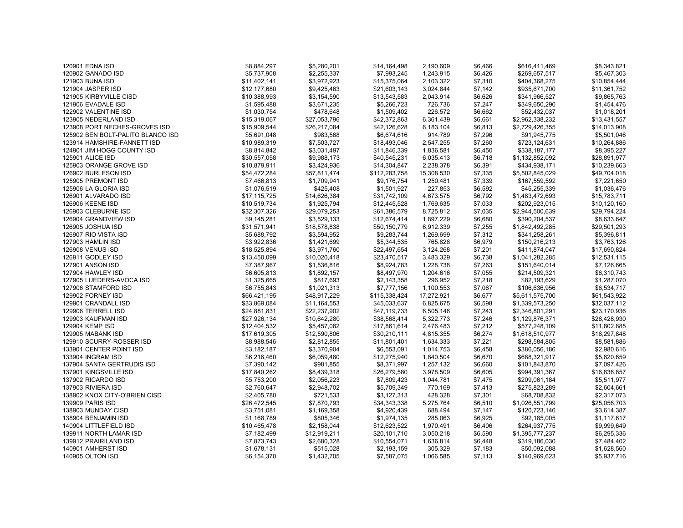| 120901 EDNA ISD                   | \$8,884,297  | \$5,280,201  | \$14,164,498  | 2,190.609  | \$6,466 | \$616,411,469   | \$8,343,821  |
|-----------------------------------|--------------|--------------|---------------|------------|---------|-----------------|--------------|
| 120902 GANADO ISD                 | \$5,737,908  | \$2,255,337  | \$7,993,245   | 1,243.915  | \$6,426 | \$269,657,517   | \$5,467,303  |
| 121903 BUNA ISD                   | \$11,402,141 | \$3,972,923  | \$15,375,064  | 2,103.322  | \$7,310 | \$404,368,275   | \$10,854,444 |
| 121904 JASPER ISD                 | \$12,177,680 | \$9,425,463  | \$21,603,143  | 3,024.844  | \$7,142 | \$935,671,700   | \$11,361,752 |
| 121905 KIRBYVILLE CISD            | \$10,388,993 | \$3,154,590  | \$13,543,583  | 2,043.914  | \$6,626 | \$341,966,527   | \$9,865,763  |
| 121906 EVADALE ISD                | \$1,595,488  | \$3,671,235  | \$5,266,723   | 726.736    | \$7,247 | \$349,650,290   | \$1,454,476  |
| 122902 VALENTINE ISD              | \$1,030,754  | \$478,648    | \$1,509,402   | 226.572    | \$6,662 | \$52,432,037    | \$1,018,201  |
| 123905 NEDERLAND ISD              | \$15,319,067 | \$27,053,796 | \$42,372,863  | 6,361.439  | \$6,661 | \$2,962,338,232 | \$13,431,557 |
| 123908 PORT NECHES-GROVES ISD     | \$15,909,544 | \$26,217,084 | \$42,126,628  | 6,183.104  | \$6,813 | \$2,729,426,355 | \$14,013,908 |
| 125902 BEN BOLT-PALITO BLANCO ISD | \$5,691,048  | \$983,568    | \$6,674,616   | 914.789    | \$7,296 | \$91,945,775    | \$5,501,046  |
| 123914 HAMSHIRE-FANNETT ISD       | \$10,989,319 | \$7,503,727  | \$18,493,046  | 2,547.255  | \$7,260 | \$723,124,631   | \$10,264,886 |
| 124901 JIM HOGG COUNTY ISD        | \$8,814,842  | \$3,031,497  | \$11,846,339  | 1,836.581  | \$6,450 | \$338,187,177   | \$8,395,227  |
| 125901 ALICE ISD                  | \$30,557,058 | \$9,988,173  | \$40,545,231  | 6,035.413  | \$6,718 | \$1,132,852,092 | \$28,891,977 |
| 125903 ORANGE GROVE ISD           | \$10,879,911 | \$3,424,936  | \$14,304,847  | 2,238.378  | \$6,391 | \$434,938,171   | \$10,239,663 |
| 126902 BURLESON ISD               | \$54,472,284 | \$57,811,474 | \$112,283,758 | 15,308.530 | \$7,335 | \$5,502,845,029 | \$49,704,018 |
| 125905 PREMONT ISD                | \$7,466,813  | \$1,709,941  | \$9,176,754   | 1,250.481  | \$7,339 | \$167,559,592   | \$7,221,650  |
| 125906 LA GLORIA ISD              | \$1,076,519  | \$425,408    | \$1,501,927   | 227.853    | \$6,592 | \$45,255,339    | \$1,036,476  |
| 126901 ALVARADO ISD               | \$17,115,725 | \$14,626,384 | \$31,742,109  | 4,673.575  | \$6,792 | \$1,483,472,693 | \$15,783,711 |
| 126906 KEENE ISD                  | \$10,519,734 | \$1,925,794  | \$12,445,528  | 1,769.635  | \$7,033 | \$202,923,015   | \$10,120,160 |
| 126903 CLEBURNE ISD               | \$32,307,326 | \$29,079,253 | \$61,386,579  | 8,725.812  | \$7,035 | \$2,944,500,639 | \$29,794,224 |
| 126904 GRANDVIEW ISD              | \$9,145,281  | \$3,529,133  | \$12,674,414  | 1,897.229  | \$6,680 | \$390,204,537   | \$8,633,647  |
| 126905 JOSHUA ISD                 | \$31,571,941 | \$18,578,838 | \$50,150,779  | 6,912.339  | \$7,255 | \$1,842,492,285 | \$29,501,293 |
| 126907 RIO VISTA ISD              | \$5,688,792  | \$3,594,952  | \$9,283,744   | 1,269.699  | \$7,312 | \$341,258,261   | \$5,396,811  |
| 127903 HAMLIN ISD                 | \$3,922,836  | \$1,421,699  | \$5,344,535   | 765.828    | \$6,979 | \$150,216,213   | \$3,763,126  |
| <b>126908 VENUS ISD</b>           | \$18,525,894 | \$3,971,760  | \$22,497,654  | 3,124.268  | \$7,201 | \$411,874,047   | \$17,690,824 |
| 126911 GODLEY ISD                 | \$13,450,099 | \$10,020,418 | \$23,470,517  | 3,483.329  | \$6,738 | \$1,041,282,285 | \$12,531,115 |
| 127901 ANSON ISD                  | \$7,387,967  | \$1,536,816  | \$8,924,783   | 1,228.738  | \$7,263 | \$151,640,014   | \$7,126,665  |
| 127904 HAWLEY ISD                 | \$6,605,813  | \$1,892,157  | \$8,497,970   | 1,204.616  | \$7,055 | \$214,509,321   | \$6,310,743  |
| 127905 LUEDERS-AVOCA ISD          | \$1,325,665  | \$817,693    | \$2,143,358   | 296.952    | \$7,218 | \$82,193,629    | \$1,287,070  |
| 127906 STAMFORD ISD               | \$6,755,843  | \$1,021,313  | \$7,777,156   | 1,100.553  | \$7,067 | \$106,636,956   | \$6,534,717  |
| 129902 FORNEY ISD                 | \$66,421,195 | \$48,917,229 | \$115,338,424 | 17,272.921 | \$6,677 | \$5,611,575,700 | \$61,543,922 |
| 129901 CRANDALL ISD               | \$33,869,084 | \$11,164,553 | \$45,033,637  | 6,825.675  | \$6,598 | \$1,339,573,250 | \$32,037,112 |
| 129906 TERRELL ISD                | \$24,881,831 | \$22,237,902 | \$47,119,733  | 6,505.146  | \$7,243 | \$2,346,801,291 | \$23,170,936 |
| 129903 KAUFMAN ISD                | \$27,926,134 | \$10,642,280 | \$38,568,414  | 5,322.773  | \$7,246 | \$1,129,876,371 | \$26,428,930 |
| 129904 KEMP ISD                   | \$12,404,532 | \$5,457,082  | \$17,861,614  | 2,476.483  | \$7,212 | \$577,248,109   | \$11,802,885 |
| 129905 MABANK ISD                 | \$17,619,305 | \$12,590,806 | \$30,210,111  | 4,815.355  | \$6,274 | \$1,618,510,977 | \$16,297,848 |
| 129910 SCURRY-ROSSER ISD          | \$8,988,546  | \$2,812,855  | \$11,801,401  | 1,634.333  | \$7,221 | \$298,584,805   | \$8,581,886  |
| 133901 CENTER POINT ISD           | \$3,182,187  | \$3,370,904  | \$6,553,091   | 1,014.753  | \$6,458 | \$386,056,186   | \$2,980,616  |
| 133904 INGRAM ISD                 | \$6,216,460  | \$6,059,480  | \$12,275,940  | 1,840.504  | \$6,670 | \$688,321,917   | \$5,820,659  |
| 137904 SANTA GERTRUDIS ISD        | \$7,390,142  | \$981,855    | \$8,371,997   | 1,257.132  | \$6,660 | \$101,843,870   | \$7,097,426  |
| 137901 KINGSVILLE ISD             | \$17,840,262 | \$8,439,318  | \$26,279,580  | 3,978.509  | \$6,605 | \$994,391,367   | \$16,836,857 |
| 137902 RICARDO ISD                | \$5,753,200  | \$2,056,223  | \$7,809,423   | 1,044.781  | \$7,475 | \$209,061,184   | \$5,511,977  |
| 137903 RIVIERA ISD                | \$2,760,647  | \$2,948,702  | \$5,709,349   | 770.169    | \$7,413 | \$275,823,289   | \$2,604,661  |
| 138902 KNOX CITY-O'BRIEN CISD     | \$2,405,780  | \$721,533    | \$3,127,313   | 428.328    | \$7,301 | \$68,708,832    | \$2,317,073  |
| 139909 PARIS ISD                  | \$26,472,545 | \$7,870,793  | \$34,343,338  | 5,275.764  | \$6,510 | \$1,026,551,799 | \$25,056,703 |
| 138903 MUNDAY CISD                | \$3,751,081  | \$1,169,358  | \$4,920,439   | 688.494    | \$7,147 | \$120,723,146   | \$3,614,387  |
| 138904 BENJAMIN ISD               | \$1,168,789  | \$805,346    | \$1,974,135   | 285.063    | \$6,925 | \$92,185,005    | \$1,117,617  |
| 140904 LITTLEFIELD ISD            | \$10,465,478 | \$2,158,044  | \$12,623,522  | 1,970.491  | \$6,406 | \$264,937,775   | \$9,999,649  |
| 139911 NORTH LAMAR ISD            | \$7,182,499  | \$12,919,211 | \$20,101,710  | 3,050.218  | \$6,590 | \$1,395,777,237 | \$6,295,336  |
| 139912 PRAIRILAND ISD             | \$7,873,743  | \$2,680,328  | \$10,554,071  | 1,636.814  | \$6,448 | \$319,186,030   | \$7,484,402  |
| 140901 AMHERST ISD                | \$1,678,131  | \$515,028    | \$2,193,159   | 305.329    | \$7,183 | \$50,092,088    | \$1,628,560  |
| 140905 OLTON ISD                  | \$6,154,370  | \$1,432,705  | \$7,587,075   | 1,066.585  | \$7,113 | \$140,969,623   | \$5,937,716  |
|                                   |              |              |               |            |         |                 |              |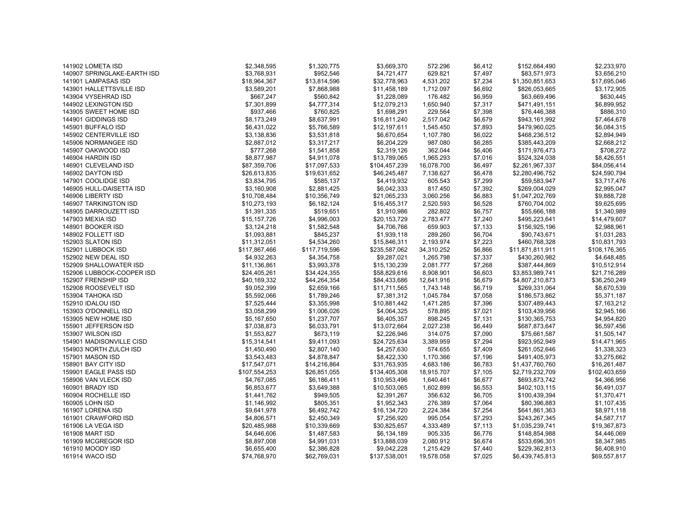| 141902 LOMETA ISD           | \$2,348,595   | \$1,320,775   | \$3,669,370   | 572.296    | \$6,412 | \$152,664,490    | \$2,233,970   |
|-----------------------------|---------------|---------------|---------------|------------|---------|------------------|---------------|
| 140907 SPRINGLAKE-EARTH ISD | \$3,768,931   | \$952,546     | \$4,721,477   | 629.821    | \$7,497 | \$83,571,973     | \$3,656,210   |
| 141901 LAMPASAS ISD         | \$18,964,367  | \$13,814,596  | \$32,778,963  | 4,531.202  | \$7,234 | \$1,350,851,653  | \$17,695,046  |
| 143901 HALLETTSVILLE ISD    | \$3,589,201   | \$7,868,988   | \$11,458,189  | 1,712.097  | \$6,692 | \$826,053,665    | \$3,172,905   |
| 143904 VYSEHRAD ISD         | \$667,247     | \$560,842     | \$1,228,089   | 176.482    | \$6,959 | \$63,669,496     | \$630,445     |
| 144902 LEXINGTON ISD        | \$7,301,899   | \$4,777,314   | \$12,079,213  | 1,650.940  | \$7,317 | \$471,491,151    | \$6,899,952   |
| 143905 SWEET HOME ISD       | \$937,466     | \$760,825     | \$1,698,291   | 229.564    | \$7,398 | \$76,446,388     | \$886,310     |
| 144901 GIDDINGS ISD         | \$8,173,249   | \$8,637,991   | \$16,811,240  | 2,517.042  | \$6,679 | \$943,161,992    | \$7,464,678   |
| 145901 BUFFALO ISD          | \$6,431,022   | \$5,766,589   | \$12,197,611  | 1,545.450  | \$7,893 | \$479,960,025    | \$6,084,315   |
| 145902 CENTERVILLE ISD      | \$3,138,836   | \$3,531,818   | \$6,670,654   | 1,107.780  | \$6,022 | \$468,236,512    | \$2,894,949   |
| 145906 NORMANGEE ISD        | \$2,887,012   | \$3,317,217   | \$6,204,229   | 987.080    | \$6,285 | \$385,443,209    | \$2,668,212   |
| 145907 OAKWOOD ISD          | \$777,268     | \$1,541,858   | \$2,319,126   | 362.044    | \$6,406 | \$171,976,473    | \$708,272     |
| 146904 HARDIN ISD           | \$8,877,987   | \$4,911,078   | \$13,789,065  | 1,965.293  | \$7,016 | \$524,324,038    | \$8,426,551   |
| 146901 CLEVELAND ISD        | \$87,359,706  | \$17,097,533  | \$104,457,239 | 16,078.700 | \$6,497 | \$2,261,967,337  | \$84,056,414  |
| 146902 DAYTON ISD           | \$26,613,835  | \$19,631,652  | \$46,245,487  | 7,138.627  | \$6,478 | \$2,280,496,752  | \$24,590,794  |
| 147901 COOLIDGE ISD         | \$3,834,795   | \$585,137     | \$4,419,932   | 605.543    | \$7,299 | \$59,583,947     | \$3,717,476   |
| 146905 HULL-DAISETTA ISD    | \$3,160,908   | \$2,881,425   | \$6,042,333   | 817.450    | \$7,392 | \$269,004,029    | \$2,995,047   |
| 146906 LIBERTY ISD          | \$10,708,484  | \$10,356,749  | \$21,065,233  | 3,060.256  | \$6,883 | \$1,047,202,769  | \$9,888,728   |
| 146907 TARKINGTON ISD       | \$10,273,193  | \$6,182,124   | \$16,455,317  | 2,520.593  | \$6,528 | \$760,704,002    | \$9,625,695   |
| 148905 DARROUZETT ISD       | \$1,391,335   | \$519,651     | \$1,910,986   | 282.802    | \$6,757 | \$55,666,188     | \$1,340,989   |
| 147903 MEXIA ISD            | \$15,157,726  | \$4,996,003   | \$20,153,729  | 2,783.477  | \$7,240 | \$495,223,641    | \$14,479,607  |
| 148901 BOOKER ISD           | \$3,124,218   | \$1,582,548   | \$4,706,766   | 659.903    | \$7,133 | \$156,925,196    | \$2,988,961   |
| 148902 FOLLETT ISD          | \$1,093,881   | \$845,237     | \$1,939,118   | 289.260    | \$6,704 | \$90,743,671     | \$1,031,283   |
| 152903 SLATON ISD           | \$11,312,051  | \$4,534,260   | \$15,846,311  | 2,193.974  | \$7,223 | \$460,768,328    | \$10,831,793  |
| 152901 LUBBOCK ISD          | \$117,867,466 | \$117,719,596 | \$235,587,062 | 34,310.252 | \$6,866 | \$11,871,811,911 | \$108,176,365 |
| 152902 NEW DEAL ISD         | \$4,932,263   | \$4,354,758   | \$9,287,021   | 1,265.798  | \$7,337 | \$430,260,982    | \$4,648,485   |
| 152909 SHALLOWATER ISD      | \$11,136,861  | \$3,993,378   | \$15,130,239  | 2,081.777  | \$7,268 | \$387,444,869    | \$10,512,914  |
| 152906 LUBBOCK-COOPER ISD   | \$24,405,261  | \$34,424,355  | \$58,829,616  | 8,908.901  | \$6,603 | \$3,853,989,741  | \$21,716,289  |
| 152907 FRENSHIP ISD         | \$40,169,332  | \$44,264,354  | \$84,433,686  | 12,641.916 | \$6,679 | \$4,807,210,873  | \$36,250,249  |
| 152908 ROOSEVELT ISD        | \$9,052,399   | \$2,659,166   | \$11,711,565  | 1,743.148  | \$6,719 | \$269,331,064    | \$8,670,539   |
| 153904 TAHOKA ISD           | \$5,592,066   | \$1,789,246   | \$7,381,312   | 1,045.784  | \$7,058 | \$186,573,862    | \$5,371,187   |
| 152910 IDALOU ISD           | \$7,525,444   | \$3,355,998   | \$10,881,442  | 1,471.285  | \$7,396 | \$307,489,443    | \$7,163,212   |
| 153903 O'DONNELL ISD        | \$3,058,299   | \$1,006,026   | \$4,064,325   | 578.895    | \$7,021 | \$103,439,956    | \$2,945,166   |
| 153905 NEW HOME ISD         | \$5,167,650   | \$1,237,707   | \$6,405,357   | 898.245    | \$7,131 | \$130,365,753    | \$4,954,820   |
| 155901 JEFFERSON ISD        | \$7,038,873   | \$6,033,791   | \$13,072,664  | 2,027.238  | \$6,449 | \$687,873,647    | \$6,597,456   |
| 153907 WILSON ISD           | \$1,553,827   | \$673,119     | \$2,226,946   | 314.075    | \$7,090 | \$75,661,587     | \$1,505,147   |
| 154901 MADISONVILLE CISD    | \$15,314,541  | \$9,411,093   | \$24,725,634  | 3,389.959  | \$7,294 | \$923,952,949    | \$14,471,965  |
| 154903 NORTH ZULCH ISD      | \$1,450,490   | \$2,807,140   | \$4,257,630   | 574.655    | \$7,409 | \$261,052,646    | \$1,338,323   |
| 157901 MASON ISD            | \$3,543,483   | \$4,878,847   | \$8,422,330   | 1,170.366  | \$7,196 | \$491,405,973    | \$3,275,662   |
| 158901 BAY CITY ISD         | \$17,547,071  | \$14,216,864  | \$31,763,935  | 4,683.186  | \$6,783 | \$1,437,760,760  | \$16,261,487  |
| 159901 EAGLE PASS ISD       | \$107,554,253 | \$26,851,055  | \$134,405,308 | 18,915.707 | \$7,105 | \$2,719,232,709  | \$102,403,659 |
| 158906 VAN VLECK ISD        | \$4,767,085   | \$6,186,411   | \$10,953,496  | 1,640.461  | \$6,677 | \$693,873,742    | \$4,366,956   |
| 160901 BRADY ISD            | \$6,853,677   | \$3,649,388   | \$10,503,065  | 1,602.899  | \$6,553 | \$402,103,115    | \$6,491,037   |
| 160904 ROCHELLE ISD         | \$1,441,762   | \$949,505     | \$2,391,267   | 356.632    | \$6,705 | \$100,439,394    | \$1,370,471   |
| 160905 LOHN ISD             | \$1,146,992   | \$805,351     | \$1,952,343   | 276.389    | \$7,064 | \$80,396,883     | \$1,107,435   |
| 161907 LORENA ISD           | \$9,641,978   | \$6,492,742   | \$16,134,720  | 2,224.384  | \$7,254 | \$641,861,363    | \$8,971,118   |
| 161901 CRAWFORD ISD         | \$4,806,571   | \$2,450,349   | \$7,256,920   | 995.054    | \$7,293 | \$243,267,345    | \$4,587,717   |
| 161906 LA VEGA ISD          | \$20,485,988  | \$10,339,669  | \$30,825,657  | 4,333.489  | \$7,113 | \$1,035,239,741  | \$19,367,873  |
| 161908 MART ISD             | \$4,646,606   | \$1,487,583   | \$6,134,189   | 905.335    | \$6,776 | \$148,854,988    | \$4,446,069   |
| 161909 MCGREGOR ISD         | \$8,897,008   | \$4,991,031   | \$13,888,039  | 2,080.912  | \$6,674 | \$533,696,301    | \$8,347,985   |
| 161910 MOODY ISD            | \$6,655,400   | \$2,386,828   | \$9,042,228   | 1,215.429  | \$7,440 | \$229,362,813    | \$6,408,910   |
| 161914 WACO ISD             | \$74,768,970  | \$62,769,031  | \$137,538,001 | 19,578.058 | \$7,025 | \$6,439,745,813  | \$69,557,817  |
|                             |               |               |               |            |         |                  |               |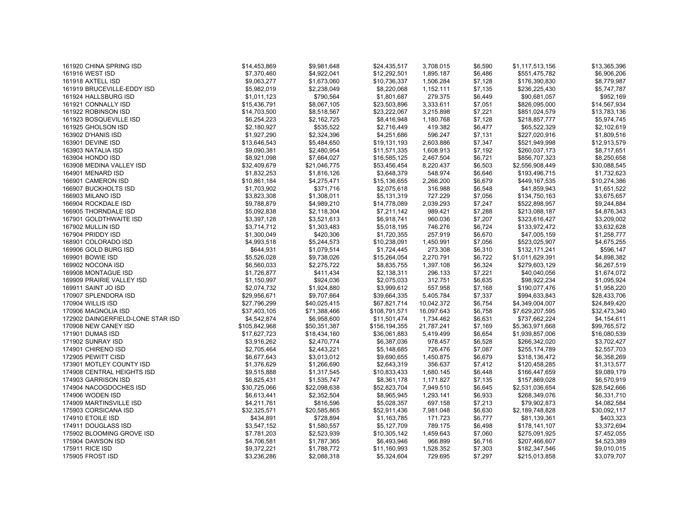| 161920 CHINA SPRING ISD           | \$14,453,869  | \$9,981,648                 | \$24,435,517  | 3,708.015               | \$6,590 | \$1,117,513,156 | \$13,365,396                |
|-----------------------------------|---------------|-----------------------------|---------------|-------------------------|---------|-----------------|-----------------------------|
| 161916 WEST ISD                   | \$7,370,460   | \$4,922,041                 | \$12,292,501  | 1,895.187               | \$6,486 | \$551,475,782   | \$6,906,206                 |
| 161918 AXTELL ISD                 | \$9,063,277   | \$1,673,060                 | \$10,736,337  | 1,506.284               | \$7,128 | \$176,390,830   | \$8,779,987                 |
| 161919 BRUCEVILLE-EDDY ISD        | \$5,982,019   | \$2,238,049                 | \$8,220,068   | 1,152.111               | \$7,135 | \$236,225,430   | \$5,747,787                 |
| 161924 HALLSBURG ISD              | \$1,011,123   | \$790,564                   | \$1,801,687   | 279.375                 | \$6,449 | \$90,681,057    | \$952,169                   |
| 161921 CONNALLY ISD               | \$15,436,791  | \$8,067,105                 | \$23,503,896  | 3,333.611               | \$7,051 | \$826,095,000   | \$14,567,934                |
| 161922 ROBINSON ISD               | \$14,703,500  | \$8,518,567                 | \$23,222,067  | 3,215.898               | \$7,221 | \$851,024,579   | \$13,783,136                |
| 161923 BOSQUEVILLE ISD            | \$6,254,223   | \$2,162,725                 | \$8,416,948   | 1,180.768               | \$7,128 | \$218,857,777   | \$5,974,745                 |
| 161925 GHOLSON ISD                | \$2,180,927   | \$535,522                   | \$2,716,449   | 419.382                 | \$6,477 | \$65,522,329    | \$2,102,619                 |
| 163902 D'HANIS ISD                | \$1,927,290   | \$2,324,396                 | \$4,251,686   | 596.247                 | \$7,131 | \$227,020,916   | \$1,809,516                 |
| 163901 DEVINE ISD                 | \$13,646,543  | \$5,484,650                 | \$19,131,193  | 2,603.886               | \$7,347 | \$521,949,998   | \$12,913,579                |
| 163903 NATALIA ISD                | \$9,090,381   | \$2,480,954                 | \$11,571,335  | 1,608.913               | \$7,192 | \$260,037,173   | \$8,717,651                 |
| 163904 HONDO ISD                  | \$8,921,098   | \$7,664,027                 | \$16,585,125  | 2,467.504               | \$6,721 | \$856,707,323   | \$8,250,658                 |
| 163908 MEDINA VALLEY ISD          | \$32,409,679  | \$21,046,775                | \$53,456,454  | 8,220.437               | \$6,503 | \$2,556,908,449 | \$30,088,545                |
| 164901 MENARD ISD                 | \$1,832,253   | \$1,816,126                 | \$3,648,379   | 548.974                 | \$6,646 | \$193,496,715   | \$1,732,623                 |
| 166901 CAMERON ISD                | \$10,861,184  | \$4,275,471                 | \$15,136,655  | 2,266.200               | \$6,679 | \$449,167,535   | \$10,274,386                |
| 166907 BUCKHOLTS ISD              | \$1,703,902   | \$371,716                   | \$2,075,618   | 316.988                 | \$6,548 | \$41,859,943    | \$1,651,522                 |
| 166903 MILANO ISD                 | \$3,823,308   | \$1,308,011                 | \$5,131,319   | 727.229                 | \$7,056 | \$134,750,163   | \$3,675,657                 |
| 166904 ROCKDALE ISD               | \$9,788,879   | \$4,989,210                 | \$14,778,089  | 2,039.293               | \$7,247 | \$522,898,957   | \$9,244,884                 |
| 166905 THORNDALE ISD              | \$5,092,838   | \$2,118,304                 | \$7,211,142   | 989.421                 | \$7,288 | \$213,088,187   | \$4,876,343                 |
| 167901 GOLDTHWAITE ISD            | \$3,397,128   | \$3,521,613                 | \$6,918,741   | 960.036                 | \$7,207 | \$323,616,427   | \$3,209,002                 |
| 167902 MULLIN ISD                 | \$3,714,712   | \$1,303,483                 | \$5,018,195   | 746.276                 | \$6,724 | \$133,972,472   | \$3,632,628                 |
| 167904 PRIDDY ISD                 | \$1,300,049   | \$420,306                   | \$1,720,355   | 257.919                 | \$6,670 | \$47,005,159    | \$1,258,777                 |
| 168901 COLORADO ISD               | \$4,993,518   | \$5,244,573                 | \$10,238,091  | 1,450.991               | \$7,056 | \$523,025,907   | \$4,675,255                 |
| 169906 GOLD BURG ISD              | \$644,931     | \$1,079,514                 | \$1,724,445   | 273.308                 | \$6,310 | \$132,171,241   | \$596,147                   |
| 169901 BOWIE ISD                  | \$5,526,028   | \$9,738,026                 | \$15,264,054  | 2,270.791               | \$6,722 | \$1,011,629,391 | \$4,898,382                 |
| 169902 NOCONA ISD                 | \$6,560,033   | \$2,275,722                 | \$8,835,755   | 1,397.108               | \$6,324 | \$279,603,129   | \$6,267,519                 |
| 169908 MONTAGUE ISD               | \$1,726,877   | \$411,434                   | \$2,138,311   | 296.133                 | \$7,221 | \$40,040,056    | \$1,674,072                 |
| 169909 PRAIRIE VALLEY ISD         | \$1,150,997   | \$924,036                   | \$2,075,033   | 312.751                 | \$6,635 | \$98,922,234    | \$1,095,924                 |
| 169911 SAINT JO ISD               | \$2,074,732   | \$1,924,880                 | \$3,999,612   | 557.958                 | \$7,168 | \$190,077,476   | \$1,958,220                 |
| 170907 SPLENDORA ISD              | \$29,956,671  | \$9,707,664                 | \$39,664,335  |                         | \$7,337 | \$994,633,843   | \$28,433,706                |
| 170904 WILLIS ISD                 | \$27,796,299  | \$40,025,415                | \$67,821,714  | 5,405.784<br>10,042.372 | \$6,754 | \$4,349,004,007 | \$24,849,420                |
| 170906 MAGNOLIA ISD               | \$37,403,105  | \$71,388,466                | \$108,791,571 | 16,097.643              | \$6,758 | \$7,629,207,595 | \$32,473,340                |
|                                   |               |                             |               |                         |         |                 |                             |
| 172902 DAINGERFIELD-LONE STAR ISD | \$4,542,874   | \$6,958,600<br>\$50,351,387 | \$11,501,474  | 1,734.462               | \$6,631 | \$737,662,224   | \$4,154,611<br>\$99,765,572 |
| 170908 NEW CANEY ISD              | \$105,842,968 |                             | \$156,194,355 | 21,787.241              | \$7,169 | \$5,363,971,668 |                             |
| 171901 DUMAS ISD                  | \$17,627,723  | \$18,434,160                | \$36,061,883  | 5,419.499               | \$6,654 | \$1,939,857,006 | \$16,080,539                |
| 171902 SUNRAY ISD                 | \$3,916,262   | \$2,470,774                 | \$6,387,036   | 978.457                 | \$6,528 | \$266,342,020   | \$3,702,427                 |
| 174901 CHIRENO ISD                | \$2,705,464   | \$2,443,221                 | \$5,148,685   | 726.476                 | \$7,087 | \$255,174,789   | \$2,557,703                 |
| 172905 PEWITT CISD                | \$6,677,643   | \$3,013,012                 | \$9,690,655   | 1,450.875               | \$6,679 | \$318,136,472   | \$6,358,269                 |
| 173901 MOTLEY COUNTY ISD          | \$1,376,629   | \$1,266,690                 | \$2,643,319   | 356.637                 | \$7,412 | \$120,458,285   | \$1,313,577                 |
| 174908 CENTRAL HEIGHTS ISD        | \$9,515,888   | \$1,317,545                 | \$10,833,433  | 1,680.145               | \$6,448 | \$166,447,659   | \$9,089,179                 |
| 174903 GARRISON ISD               | \$6,825,431   | \$1,535,747                 | \$8,361,178   | 1,171.827               | \$7,135 | \$157,869,028   | \$6,570,919                 |
| 174904 NACOGDOCHES ISD            | \$30,725,066  | \$22,098,638                | \$52,823,704  | 7,949.510               | \$6,645 | \$2,531,036,654 | \$28,542,666                |
| 174906 WODEN ISD                  | \$6,613,441   | \$2,352,504                 | \$8,965,945   | 1,293.141               | \$6,933 | \$268,349,076   | \$6,331,710                 |
| 174909 MARTINSVILLE ISD           | \$4,211,761   | \$816,596                   | \$5,028,357   | 697.158                 | \$7,213 | \$79,902,873    | \$4,082,584                 |
| 175903 CORSICANA ISD              | \$32,325,571  | \$20,585,865                | \$52,911,436  | 7,981.048               | \$6,630 | \$2,189,748,828 | \$30,092,117                |
| 174910 ETOILE ISD                 | \$434,891     | \$728,894                   | \$1,163,785   | 171.723                 | \$6,777 | \$81,139,361    | \$403,323                   |
| 174911 DOUGLASS ISD               | \$3,547,152   | \$1,580,557                 | \$5,127,709   | 789.175                 | \$6,498 | \$178,141,107   | \$3,372,694                 |
| 175902 BLOOMING GROVE ISD         | \$7,781,203   | \$2,523,939                 | \$10,305,142  | 1,459.643               | \$7,060 | \$275,091,925   | \$7,452,055                 |
| 175904 DAWSON ISD                 | \$4,706,581   | \$1,787,365                 | \$6,493,946   | 966.899                 | \$6,716 | \$207,466,607   | \$4,523,389                 |
| 175911 RICE ISD                   | \$9,372,221   | \$1,788,772                 | \$11,160,993  | 1,528.352               | \$7,303 | \$182,347,546   | \$9,010,015                 |
| 175905 FROST ISD                  | \$3,236,286   | \$2,088,318                 | \$5,324,604   | 729.695                 | \$7,297 | \$215,013,858   | \$3,079,707                 |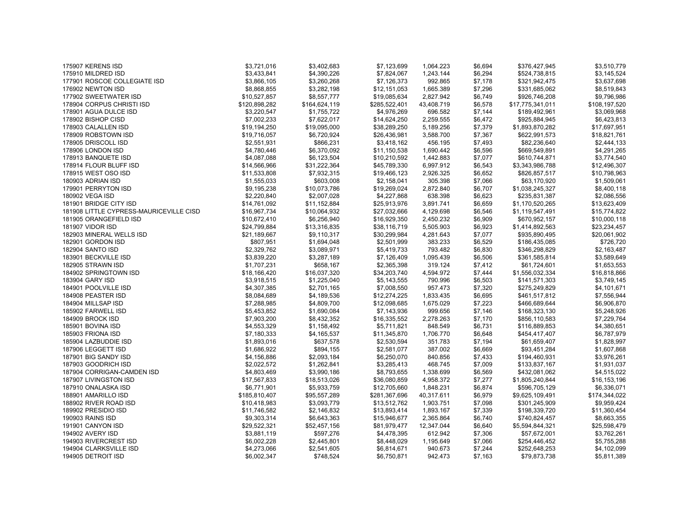| 175907 KERENS ISD                       | \$3,721,016   | \$3,402,683   | \$7,123,699   | 1,064.223  | \$6,694 | \$376,427,945    | \$3,510,779   |
|-----------------------------------------|---------------|---------------|---------------|------------|---------|------------------|---------------|
| 175910 MILDRED ISD                      | \$3,433,841   | \$4,390,226   | \$7,824,067   | 1,243.144  | \$6,294 | \$524,738,815    | \$3,145,524   |
| 177901 ROSCOE COLLEGIATE ISD            | \$3,866,105   | \$3,260,268   | \$7,126,373   | 992.865    | \$7,178 | \$321,942,475    | \$3,637,698   |
| 176902 NEWTON ISD                       | \$8,868,855   | \$3,282,198   | \$12,151,053  | 1,665.389  | \$7,296 | \$331,685,062    | \$8,519,843   |
| 177902 SWEETWATER ISD                   | \$10,527,857  | \$8,557,777   | \$19,085,634  | 2,827.942  | \$6,749 | \$926,746,208    | \$9,796,986   |
| 178904 CORPUS CHRISTI ISD               | \$120,898,282 | \$164,624,119 | \$285,522,401 | 43,408.719 | \$6,578 | \$17,775,341,011 | \$108,197,520 |
| 178901 AGUA DULCE ISD                   | \$3,220,547   | \$1,755,722   | \$4,976,269   | 696.582    | \$7,144 | \$189,492,961    | \$3,069,968   |
| 178902 BISHOP CISD                      | \$7,002,233   | \$7,622,017   | \$14,624,250  | 2,259.555  | \$6,472 | \$925,884,945    | \$6,423,813   |
| 178903 CALALLEN ISD                     | \$19,194,250  | \$19,095,000  | \$38,289,250  | 5,189.256  | \$7,379 | \$1,893,870,282  | \$17,697,951  |
| 178909 ROBSTOWN ISD                     | \$19,716,057  | \$6,720,924   | \$26,436,981  | 3,588.700  | \$7,367 | \$622,991,573    | \$18,821,761  |
| 178905 DRISCOLL ISD                     | \$2,551,931   | \$866,231     | \$3,418,162   | 456.195    | \$7,493 | \$82,236,640     | \$2,444,133   |
| 178906 LONDON ISD                       | \$4,780,446   | \$6,370,092   | \$11,150,538  | 1,690.442  | \$6,596 | \$669,549,891    | \$4,291,265   |
| 178913 BANQUETE ISD                     | \$4,087,088   | \$6,123,504   | \$10,210,592  | 1,442.883  | \$7,077 | \$610,744,871    | \$3,774,540   |
| 178914 FLOUR BLUFF ISD                  | \$14,566,966  | \$31,222,364  | \$45,789,330  | 6,997.912  | \$6,543 | \$3,343,986,788  | \$12,496,307  |
| 178915 WEST OSO ISD                     | \$11,533,808  | \$7,932,315   | \$19,466,123  | 2,926.325  | \$6,652 | \$826,857,517    | \$10,798,963  |
| 180903 ADRIAN ISD                       | \$1,555,033   | \$603,008     | \$2,158,041   | 305.398    | \$7,066 | \$63,170,920     | \$1,509,061   |
| 179901 PERRYTON ISD                     | \$9,195,238   | \$10,073,786  | \$19,269,024  | 2,872.840  | \$6,707 | \$1,038,245,327  | \$8,400,118   |
| 180902 VEGA ISD                         | \$2,220,840   | \$2,007,028   | \$4,227,868   | 638.398    | \$6,623 | \$235,831,387    | \$2,086,556   |
| 181901 BRIDGE CITY ISD                  | \$14,761,092  | \$11,152,884  | \$25,913,976  | 3,891.741  | \$6,659 | \$1,170,520,265  | \$13,623,409  |
| 181908 LITTLE CYPRESS-MAURICEVILLE CISD | \$16,967,734  | \$10,064,932  | \$27,032,666  | 4,129.698  | \$6,546 | \$1,119,547,491  | \$15,774,822  |
| 181905 ORANGEFIELD ISD                  | \$10,672,410  | \$6,256,940   | \$16,929,350  | 2,450.232  | \$6,909 | \$670,952,157    | \$10,000,118  |
| 181907 VIDOR ISD                        | \$24,799,884  | \$13,316,835  | \$38,116,719  | 5,505.903  | \$6,923 | \$1,414,892,563  | \$23,234,457  |
| 182903 MINERAL WELLS ISD                | \$21,189,667  | \$9,110,317   | \$30,299,984  | 4,281.643  | \$7,077 | \$935,890,495    | \$20,061,902  |
| 182901 GORDON ISD                       | \$807,951     | \$1,694,048   | \$2,501,999   | 383.233    | \$6,529 | \$186,435,085    | \$726,720     |
| 182904 SANTO ISD                        | \$2,329,762   | \$3,089,971   | \$5,419,733   | 793.482    | \$6,830 | \$346,298,829    | \$2,163,487   |
| 183901 BECKVILLE ISD                    | \$3,839,220   | \$3,287,189   | \$7,126,409   | 1,095.439  | \$6,506 | \$361,585,814    | \$3,589,649   |
| 182905 STRAWN ISD                       | \$1,707,231   | \$658,167     | \$2,365,398   | 319.124    | \$7,412 | \$61,724,601     | \$1,653,553   |
| 184902 SPRINGTOWN ISD                   | \$18,166,420  | \$16,037,320  | \$34,203,740  | 4,594.972  | \$7,444 | \$1,556,032,334  | \$16,818,866  |
| 183904 GARY ISD                         | \$3,918,515   | \$1,225,040   | \$5,143,555   | 790.996    | \$6,503 | \$141,571,303    | \$3,749,145   |
| 184901 POOLVILLE ISD                    | \$4,307,385   | \$2,701,165   | \$7,008,550   | 957.473    | \$7,320 | \$275,249,829    | \$4,101,671   |
| 184908 PEASTER ISD                      | \$8,084,689   | \$4,189,536   | \$12,274,225  | 1,833.435  | \$6,695 | \$461,517,812    | \$7,556,944   |
| 184904 MILLSAP ISD                      | \$7,288,985   | \$4,809,700   | \$12,098,685  | 1,675.029  | \$7,223 | \$466,689,644    | \$6,906,870   |
| 185902 FARWELL ISD                      | \$5,453,852   | \$1,690,084   | \$7,143,936   | 999.656    | \$7,146 | \$168,323,130    | \$5,248,926   |
| 184909 BROCK ISD                        | \$7,903,200   | \$8,432,352   | \$16,335,552  | 2,278.263  | \$7,170 | \$856,110,583    | \$7,229,764   |
| 185901 BOVINA ISD                       | \$4,553,329   | \$1,158,492   | \$5,711,821   | 848.549    | \$6,731 | \$116,889,853    | \$4,380,651   |
| 185903 FRIONA ISD                       | \$7,180,333   | \$4,165,537   | \$11,345,870  | 1,706.770  | \$6,648 | \$454,417,407    | \$6,787,979   |
| 185904 LAZBUDDIE ISD                    | \$1,893,016   | \$637,578     | \$2,530.594   | 351.783    | \$7,194 | \$61,659,407     | \$1,828,997   |
| 187906 LEGGETT ISD                      | \$1,686,922   | \$894,155     | \$2,581,077   | 387.002    | \$6,669 | \$93,451,284     | \$1,607,868   |
| 187901 BIG SANDY ISD                    | \$4,156,886   | \$2,093,184   | \$6,250,070   | 840.856    | \$7,433 | \$194,460,931    | \$3,976,261   |
| 187903 GOODRICH ISD                     | \$2,022,572   | \$1,262,841   | \$3,285,413   | 468.745    | \$7,009 | \$133,837,167    | \$1,931,037   |
| 187904 CORRIGAN-CAMDEN ISD              | \$4,803,469   | \$3,990,186   | \$8,793,655   | 1,338.699  | \$6,569 | \$432,081,062    | \$4,515,022   |
| 187907 LIVINGSTON ISD                   | \$17,567,833  | \$18,513,026  | \$36,080,859  | 4,958.372  | \$7,277 | \$1,805,240,844  | \$16,153,196  |
| 187910 ONALASKA ISD                     | \$6,771,901   | \$5,933,759   | \$12,705,660  | 1,848.231  | \$6,874 | \$596,705,129    | \$6,336,071   |
| 188901 AMARILLO ISD                     | \$185,810,407 | \$95,557,289  | \$281,367,696 | 40,317.611 | \$6,979 | \$9,625,109,491  | \$174,344,022 |
| 188902 RIVER ROAD ISD                   | \$10,418,983  | \$3,093,779   | \$13,512,762  | 1,903.751  | \$7,098 | \$301,245,909    | \$9,959,424   |
| 189902 PRESIDIO ISD                     | \$11,746,582  | \$2,146,832   | \$13,893,414  | 1,893.167  | \$7,339 | \$198,339,720    | \$11,360,454  |
| <b>190903 RAINS ISD</b>                 | \$9,303,314   | \$6,643,363   | \$15,946,677  | 2,365.864  | \$6,740 | \$740,824,457    | \$8,663,355   |
| 191901 CANYON ISD                       | \$29,522,321  | \$52,457,156  | \$81,979,477  | 12,347.044 | \$6,640 | \$5,594,844,321  | \$25,598,479  |
| 194902 AVERY ISD                        | \$3,881,119   | \$597,276     | \$4,478,395   | 612.942    | \$7,306 | \$57,672,001     | \$3,762,261   |
| 194903 RIVERCREST ISD                   | \$6,002,228   | \$2,445,801   | \$8,448,029   | 1,195.649  | \$7,066 | \$254,446,452    | \$5,755,288   |
| 194904 CLARKSVILLE ISD                  | \$4,273,066   | \$2,541,605   | \$6,814,671   | 940.673    | \$7,244 | \$252,648,253    | \$4,102,099   |
| 194905 DETROIT ISD                      | \$6,002,347   | \$748,524     | \$6,750,871   | 942.473    | \$7,163 | \$79,873,738     | \$5,811,389   |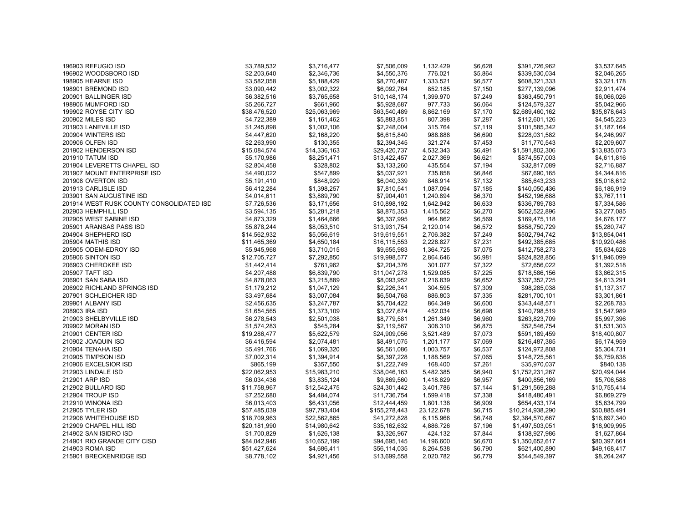| 196903 REFUGIO ISD                       | \$3,789,532  | \$3,716,477  | \$7,506,009   | 1,132.429  | \$6,628            | \$391,726,962                    | \$3,537,645  |
|------------------------------------------|--------------|--------------|---------------|------------|--------------------|----------------------------------|--------------|
| 196902 WOODSBORO ISD                     | \$2,203,640  | \$2,346,736  | \$4,550,376   | 776.021    | \$5,864            | \$339,530,034                    | \$2,046,265  |
| 198905 HEARNE ISD                        | \$3,582,058  | \$5,188,429  | \$8,770,487   | 1,333.521  | \$6,577            | \$608,321,333                    | \$3,321,178  |
| 198901 BREMOND ISD                       | \$3,090,442  | \$3,002,322  | \$6,092,764   | 852.185    | \$7,150            | \$277,139,096                    | \$2,911,474  |
| 200901 BALLINGER ISD                     | \$6,382,516  | \$3,765,658  | \$10,148,174  | 1,399.970  | \$7,249            | \$363,450,791                    | \$6,066,026  |
| 198906 MUMFORD ISD                       | \$5,266,727  | \$661,960    | \$5,928,687   | 977.733    | \$6,064            | \$124,579,327                    | \$5,042,966  |
| 199902 ROYSE CITY ISD                    | \$38,476,520 | \$25,063,969 | \$63,540,489  | 8,862.169  | \$7,170            | \$2,689,460,162                  | \$35,878,643 |
| 200902 MILES ISD                         | \$4,722,389  | \$1,161,462  | \$5,883,851   | 807.398    | \$7,287            | \$112,601,126                    | \$4,545,223  |
| 201903 LANEVILLE ISD                     | \$1,245,898  | \$1,002,106  | \$2,248,004   | 315.764    | \$7,119            | \$101,585,342                    | \$1,187,164  |
| 200904 WINTERS ISD                       | \$4,447,620  | \$2,168,220  | \$6,615,840   | 988.888    | \$6,690            | \$228,031,582                    | \$4,246,997  |
| 200906 OLFEN ISD                         | \$2,263,990  | \$130,355    | \$2,394,345   | 321.274    | \$7,453            | \$11,770,543                     | \$2,209,607  |
| 201902 HENDERSON ISD                     | \$15,084,574 | \$14,336,163 | \$29,420,737  | 4,532.343  | \$6,491            | \$1,591,802,306                  | \$13,835,073 |
| 201910 TATUM ISD                         | \$5,170,986  | \$8,251,471  | \$13,422,457  | 2,027.369  | \$6,621            | \$874,557,003                    | \$4,611,816  |
| 201904 LEVERETTS CHAPEL ISD              | \$2,804,458  | \$328,802    | \$3,133,260   | 435.554    | \$7,194            | \$32,817,089                     | \$2,716,887  |
| 201907 MOUNT ENTERPRISE ISD              | \$4,490,022  | \$547,899    | \$5,037,921   | 735.858    | \$6,846            | \$67,690,165                     | \$4,344,816  |
| 201908 OVERTON ISD                       | \$5,191,410  | \$848,929    | \$6,040,339   | 846.914    | \$7,132            | \$85,643,233                     | \$5,018,612  |
| 201913 CARLISLE ISD                      | \$6,412,284  | \$1,398,257  | \$7,810,541   | 1,087.094  | \$7,185            | \$140,050,436                    | \$6,186,919  |
| 203901 SAN AUGUSTINE ISD                 | \$4,014,611  | \$3,889,790  | \$7,904,401   | 1,240.894  | \$6,370            | \$452,196,688                    | \$3,767,111  |
| 201914 WEST RUSK COUNTY CONSOLIDATED ISD | \$7,726,536  | \$3,171,656  | \$10,898,192  | 1,642.942  | \$6,633            | \$336,789,783                    | \$7,334,586  |
| 202903 HEMPHILL ISD                      | \$3,594,135  | \$5,281,218  | \$8,875,353   | 1,415.562  | \$6,270            | \$652,522,896                    | \$3,277,085  |
| 202905 WEST SABINE ISD                   | \$4,873,329  | \$1,464,666  | \$6,337,995   | 964.862    | \$6,569            | \$169,475,118                    | \$4,676,177  |
| 205901 ARANSAS PASS ISD                  | \$5,878,244  | \$8,053,510  | \$13,931,754  | 2,120.014  | \$6,572            | \$858,750,729                    | \$5,280,747  |
| 204904 SHEPHERD ISD                      | \$14,562,932 | \$5,056,619  | \$19,619,551  | 2,706.382  | \$7,249            | \$502,794,742                    | \$13,854,041 |
| 205904 MATHIS ISD                        | \$11,465,369 | \$4,650,184  | \$16,115,553  | 2,228.827  | \$7,231            | \$492,385,685                    | \$10,920,486 |
| 205905 ODEM-EDROY ISD                    | \$5,945,968  | \$3,710,015  | \$9,655,983   | 1,364.725  | \$7,075            | \$412,758,273                    | \$5,634,628  |
| 205906 SINTON ISD                        | \$12,705,727 | \$7,292,850  | \$19,998,577  | 2,864.646  | \$6,981            | \$824,828,856                    | \$11,946,099 |
| 206903 CHEROKEE ISD                      | \$1,442,414  | \$761,962    | \$2,204,376   | 301.077    | \$7,322            | \$72,656,022                     | \$1,392,518  |
| 205907 TAFT ISD                          | \$4,207,488  | \$6,839,790  | \$11,047,278  | 1,529.085  | \$7,225            | \$718,586,156                    | \$3,862,315  |
| 206901 SAN SABA ISD                      | \$4,878,063  | \$3,215,889  | \$8,093,952   | 1,216.839  | \$6,652            | \$337,352,725                    | \$4,613,291  |
| 206902 RICHLAND SPRINGS ISD              | \$1,179,212  | \$1,047,129  | \$2,226,341   | 304.595    | \$7,309            | \$98,285,038                     | \$1,137,317  |
| 207901 SCHLEICHER ISD                    | \$3,497,684  | \$3,007,084  | \$6,504,768   | 886.803    | \$7,335            | \$281,700,101                    | \$3,301,861  |
| 209901 ALBANY ISD                        | \$2,456,635  | \$3,247,787  | \$5,704,422   | 864.349    | \$6,600            | \$343,448,571                    | \$2,268,783  |
| 208903 IRA ISD                           | \$1,654,565  | \$1,373,109  | \$3,027,674   | 452.034    | \$6,698            | \$140,798,519                    | \$1,547,989  |
| 210903 SHELBYVILLE ISD                   | \$6,278,543  | \$2,501,038  | \$8,779,581   | 1,261.349  | \$6,960            | \$263,823,709                    | \$5,997,396  |
| 209902 MORAN ISD                         | \$1,574,283  | \$545,284    | \$2,119,567   | 308.310    | \$6,875            | \$52,546,754                     | \$1,531,303  |
| 210901 CENTER ISD                        | \$19,286,477 | \$5,622,579  | \$24,909,056  | 3,521.489  | \$7,073            | \$591,189,459                    | \$18,400,807 |
| 210902 JOAQUIN ISD                       | \$6,416,594  | \$2,074,481  | \$8,491,075   | 1,201.177  | \$7,069            | \$216,487,385                    | \$6,174,959  |
| 210904 TENAHA ISD                        | \$5,491,766  | \$1,069,320  | \$6,561,086   | 1,003.757  | \$6,537            | \$124,972,808                    | \$5,304,731  |
| 210905 TIMPSON ISD                       | \$7,002,314  | \$1,394,914  | \$8,397,228   | 1,188.569  | \$7,065            | \$148,725,561                    | \$6,759,838  |
| 210906 EXCELSIOR ISD                     | \$865,199    | \$357,550    | \$1,222,749   | 168.400    | \$7,261            | \$35,970,037                     | \$840,138    |
| 212903 LINDALE ISD                       | \$22,062,953 | \$15,983,210 | \$38,046,163  | 5,482.385  | \$6,940            | \$1,752,231,267                  | \$20,494,044 |
| 212901 ARP ISD                           | \$6,034,436  | \$3,835,124  | \$9,869,560   | 1,418.629  | \$6,957            | \$400,856,169                    | \$5,706,588  |
| 212902 BULLARD ISD                       | \$11,758,967 | \$12,542,475 | \$24,301,442  |            |                    |                                  | \$10,755,414 |
| 212904 TROUP ISD                         | \$7,252,680  | \$4,484,074  | \$11,736,754  | 3,401.786  | \$7,144<br>\$7,338 | \$1,291,569,288<br>\$418,480,491 | \$6,869,279  |
| 212910 WINONA ISD                        |              |              |               | 1,599.418  |                    |                                  |              |
|                                          | \$6,013,403  | \$6,431,056  | \$12,444,459  | 1,801.138  | \$6,909            | \$654,433,174                    | \$5,634,799  |
| 212905 TYLER ISD                         | \$57,485,039 | \$97,793,404 | \$155,278,443 | 23,122.678 | \$6,715            | \$10,214,938,290                 | \$50,885,491 |
| 212906 WHITEHOUSE ISD                    | \$18,709,963 | \$22,562,865 | \$41,272,828  | 6,115.966  | \$6,748            | \$2,384,570,667                  | \$16,897,340 |
| 212909 CHAPEL HILL ISD                   | \$20,181,990 | \$14,980,642 | \$35,162,632  | 4,886.726  | \$7,196            | \$1,497,503,051                  | \$18,909,995 |
| 214902 SAN ISIDRO ISD                    | \$1,700,829  | \$1,626,138  | \$3,326,967   | 424.132    | \$7,844            | \$138,927,986                    | \$1,627,864  |
| 214901 RIO GRANDE CITY CISD              | \$84,042,946 | \$10,652,199 | \$94,695,145  | 14,196.600 | \$6,670            | \$1,350,652,617                  | \$80,397,661 |
| 214903 ROMA ISD                          | \$51,427,624 | \$4,686,411  | \$56,114,035  | 8,264.538  | \$6,790            | \$621,400,890                    | \$49,168,417 |
| 215901 BRECKENRIDGE ISD                  | \$8,778,102  | \$4,921,456  | \$13,699,558  | 2,020.782  | \$6,779            | \$544,549,397                    | \$8,264,247  |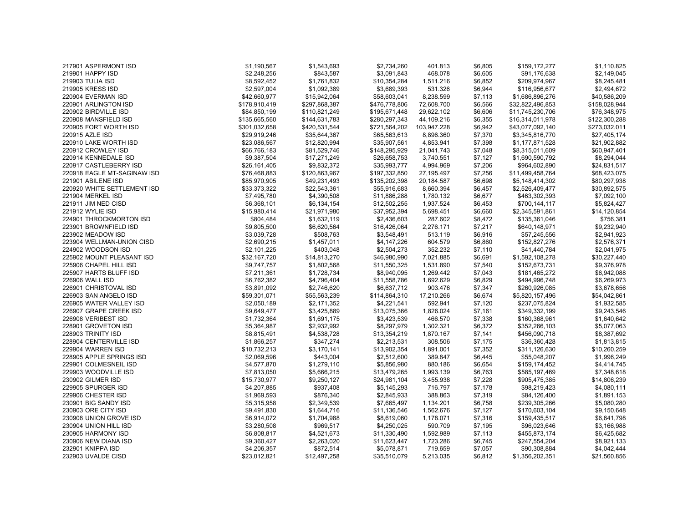| 219901 HAPPY ISD<br>\$2,248,256<br>\$843,587<br>\$3,091,843<br>468.078<br>\$6,605<br>\$2,149,045<br>\$91,176,638<br>219903 TULIA ISD<br>\$8,592,452<br>\$1,761,832<br>\$209,974,967<br>\$8,245,481<br>\$10,354,284<br>1,511.216<br>\$6,852<br>\$1,092,389<br>\$3,689,393<br>531.326<br>219905 KRESS ISD<br>\$2,597,004<br>\$6,944<br>\$116,956,677<br>\$2,494,672<br>220904 EVERMAN ISD<br>\$42,660,977<br>\$15,942,064<br>\$58,603,041<br>8,238.599<br>\$7,113<br>\$1,686,896,276<br>\$40,586,209<br>220901 ARLINGTON ISD<br>\$178,910,419<br>\$297,868,387<br>\$476,778,806<br>\$32,822,496,853<br>\$158,028,944<br>72,608.700<br>\$6,566<br>220902 BIRDVILLE ISD<br>\$84,850,199<br>\$110,821,249<br>\$195,671,448<br>29,622.102<br>\$6,606<br>\$11,745,230,706<br>\$76,348,975<br>\$280,297,343<br>\$122,300,288<br>220908 MANSFIELD ISD<br>\$135,665,560<br>\$144,631,783<br>44,109.216<br>\$6,355<br>\$16,314,011,978<br>\$273,032,011<br>220905 FORT WORTH ISD<br>\$301,032,658<br>\$420,531,544<br>\$721,564,202<br>103,947.228<br>\$6,942<br>\$43,077,092,140<br>220915 AZLE ISD<br>\$29,919,246<br>\$35,644,367<br>\$65,563,613<br>8,896.360<br>\$7,370<br>\$3,345,816,770<br>\$27,405,174<br>220910 LAKE WORTH ISD<br>\$23,086,567<br>\$12,820,994<br>\$35,907,561<br>\$7,398<br>\$1,177,871,528<br>\$21,902,882<br>4,853.941<br>220912 CROWLEY ISD<br>\$66,766,183<br>\$81,529,746<br>\$60,947,401<br>\$148,295,929<br>21,041.743<br>\$7,048<br>\$8,315,011,609<br>\$9,387,504<br>\$17,271,249<br>\$8,294,044<br>220914 KENNEDALE ISD<br>\$26,658,753<br>3,740.551<br>\$7,127<br>\$1,690,590,792<br>220917 CASTLEBERRY ISD<br>\$26,161,405<br>\$9,832,372<br>\$35,993,777<br>4,994.969<br>\$7,206<br>\$964,602,890<br>\$24,831,517<br>\$76,468,883<br>\$120,863,967<br>\$68,423,075<br>220918 EAGLE MT-SAGINAW ISD<br>\$197,332,850<br>27,195.497<br>\$7,256<br>\$11,499,458,764<br>\$85,970,905<br>\$49,231,493<br>\$80,297,938<br>221901 ABILENE ISD<br>\$135,202,398<br>20,184.587<br>\$6,698<br>\$5,148,414,302<br>220920 WHITE SETTLEMENT ISD<br>\$33,373,322<br>\$22,543,361<br>\$30,892,575<br>\$55,916,683<br>8,660.394<br>\$6,457<br>\$2,526,409,477<br>\$7,495,780<br>\$4,390,508<br>\$7,092,100<br>221904 MERKEL ISD<br>\$11,886,288<br>1,780.132<br>\$6,677<br>\$463,302,393<br>221911 JIM NED CISD<br>\$6,368,101<br>\$6,134,154<br>\$12,502,255<br>1,937.524<br>\$700,144,117<br>\$5,824,427<br>\$6,453<br>\$15,980,414<br>\$21,971,980<br>\$37,952,394<br>\$14,120,854<br>221912 WYLIE ISD<br>5,698.451<br>\$6,660<br>\$2,345,591,861<br>224901 THROCKMORTON ISD<br>\$1,632,119<br>287.602<br>\$135,361,046<br>\$756,381<br>\$804,484<br>\$2,436,603<br>\$8,472<br>\$9,805,500<br>223901 BROWNFIELD ISD<br>\$6,620,564<br>\$16,426,064<br>2,276.171<br>\$7,217<br>\$640,148,971<br>\$9,232,940<br>\$3,039,728<br>513.119<br>\$57,245,556<br>\$2,941,923<br>223902 MEADOW ISD<br>\$508,763<br>\$3,548,491<br>\$6,916<br>223904 WELLMAN-UNION CISD<br>\$2,690,215<br>\$1,457,011<br>\$4,147,226<br>604.579<br>\$6,860<br>\$152,827,276<br>\$2,576,371<br>\$2,101,225<br>\$2,504,273<br>352.232<br>\$2,041,975<br>224902 WOODSON ISD<br>\$403,048<br>\$7,110<br>\$41,440,784<br>\$32,167,720<br>\$46,980,990<br>\$30,227,440<br>225902 MOUNT PLEASANT ISD<br>\$14,813,270<br>7,021.885<br>\$6,691<br>\$1,592,108,278<br>\$9,747,757<br>\$1,802,568<br>\$9,376,978<br>225906 CHAPEL HILL ISD<br>\$11,550,325<br>1,531.890<br>\$7,540<br>\$152,673,731<br>225907 HARTS BLUFF ISD<br>\$7,211,361<br>\$1,728,734<br>\$8,940,095<br>1,269.442<br>\$7,043<br>\$181,465,272<br>\$6,942,088<br>226906 WALL ISD<br>\$6,762,382<br>\$11,558,786<br>\$6,269,973<br>\$4,796,404<br>1,692.629<br>\$6,829<br>\$494,996,748<br>226901 CHRISTOVAL ISD<br>\$3,891,092<br>\$3,678,656<br>\$2,746,620<br>\$6,637,712<br>903.476<br>\$7,347<br>\$260,926,085<br>226903 SAN ANGELO ISD<br>\$59,301,071<br>\$55,563,239<br>\$114,864,310<br>17,210.266<br>\$6,674<br>\$5,820,157,496<br>\$54,042,861<br>226905 WATER VALLEY ISD<br>\$2,050,189<br>\$2,171,352<br>\$4,221,541<br>592.941<br>\$7,120<br>\$237,075,824<br>\$1,932,585<br>226907 GRAPE CREEK ISD<br>\$9,649,477<br>\$3,425,889<br>\$13,075,366<br>\$7,161<br>\$349,332,199<br>\$9,243,546<br>1,826.024<br>226908 VERIBEST ISD<br>\$1,732,364<br>\$3,423,539<br>\$7,338<br>\$1,640,642<br>\$1,691,175<br>466.570<br>\$160,368,961<br>\$5,364,987<br>\$8,297,979<br>\$352,266,103<br>\$5,077,063<br>228901 GROVETON ISD<br>\$2,932,992<br>1,302.321<br>\$6,372<br>228903 TRINITY ISD<br>\$8,815,491<br>\$4,538,728<br>\$13,354,219<br>1,870.167<br>\$7,141<br>\$456,090,718<br>\$8,387,692<br>\$1,813,815<br>228904 CENTERVILLE ISD<br>\$1,866,257<br>\$347,274<br>\$2,213,531<br>\$7,175<br>\$36,360,428<br>308.506<br>229904 WARREN ISD<br>\$10,732,213<br>\$3,170,141<br>\$13,902,354<br>1,891.001<br>\$7,352<br>\$311,126,630<br>\$10,260,259<br>\$2,069,596<br>\$1,996,249<br>228905 APPLE SPRINGS ISD<br>\$443,004<br>\$2,512,600<br>389.847<br>\$6,445<br>\$55,048,207<br>\$4,577,870<br>\$1,279,110<br>\$6,654<br>\$159,174,452<br>\$4,414,745<br>229901 COLMESNEIL ISD<br>\$5,856,980<br>880.186<br>229903 WOODVILLE ISD<br>\$7,813,050<br>\$13,479,265<br>\$6,763<br>\$585,197,469<br>\$7,348,618<br>\$5,666,215<br>1,993.139<br>230902 GILMER ISD<br>\$15,730,977<br>\$24,981,104<br>\$7,228<br>\$905,475,385<br>\$14,806,239<br>\$9,250,127<br>3,455.938<br>229905 SPURGER ISD<br>\$4,207,885<br>\$937,408<br>\$5,145,293<br>716.797<br>\$7,178<br>\$98,219,423<br>\$4,080,111<br>\$1,969,593<br>229906 CHESTER ISD<br>\$876,340<br>\$2,845,933<br>388.863<br>\$7,319<br>\$84,126,400<br>\$1,891,153<br>230901 BIG SANDY ISD<br>\$5,315,958<br>\$2,349,539<br>\$7,665,497<br>\$6,758<br>\$239,305,266<br>\$5,080,280<br>1,134.201<br>230903 ORE CITY ISD<br>\$9,491,830<br>\$11,136,546<br>\$9,150,648<br>\$1,644,716<br>1,562.676<br>\$7,127<br>\$170,603,104<br>\$6,914,072<br>\$8,619,060<br>\$7,316<br>\$159,435,517<br>230908 UNION GROVE ISD<br>\$1,704,988<br>1,178.071<br>\$6,641,798<br>\$3,280,508<br>\$969,517<br>\$4,250,025<br>\$7,195<br>\$96,023,646<br>\$3,166,988<br>230904 UNION HILL ISD<br>590.709<br>230905 HARMONY ISD<br>\$6,808,817<br>\$4,521,673<br>\$11,330,490<br>1,592.989<br>\$7,113<br>\$455,873,174<br>\$6,425,682<br>230906 NEW DIANA ISD<br>\$9,360,427<br>\$2,263,020<br>\$11,623,447<br>\$6,745<br>\$247,554,204<br>\$8,921,133<br>1,723.286<br>232901 KNIPPA ISD<br>\$4,206,357<br>\$872,514<br>\$5,078,871<br>719.659<br>\$7,057<br>\$90,308,884<br>\$4,042,444<br>232903 UVALDE CISD<br>\$23,012,821<br>\$12,497,258<br>\$35.510.079<br>5,213.035<br>\$6,812<br>\$1,356,202,351<br>\$21,560,856 | 217901 ASPERMONT ISD | \$1,190,567 | \$1,543,693 | \$2,734,260 | 401.813 | \$6,805 | \$159,172,277 | \$1,110,825 |
|----------------------------------------------------------------------------------------------------------------------------------------------------------------------------------------------------------------------------------------------------------------------------------------------------------------------------------------------------------------------------------------------------------------------------------------------------------------------------------------------------------------------------------------------------------------------------------------------------------------------------------------------------------------------------------------------------------------------------------------------------------------------------------------------------------------------------------------------------------------------------------------------------------------------------------------------------------------------------------------------------------------------------------------------------------------------------------------------------------------------------------------------------------------------------------------------------------------------------------------------------------------------------------------------------------------------------------------------------------------------------------------------------------------------------------------------------------------------------------------------------------------------------------------------------------------------------------------------------------------------------------------------------------------------------------------------------------------------------------------------------------------------------------------------------------------------------------------------------------------------------------------------------------------------------------------------------------------------------------------------------------------------------------------------------------------------------------------------------------------------------------------------------------------------------------------------------------------------------------------------------------------------------------------------------------------------------------------------------------------------------------------------------------------------------------------------------------------------------------------------------------------------------------------------------------------------------------------------------------------------------------------------------------------------------------------------------------------------------------------------------------------------------------------------------------------------------------------------------------------------------------------------------------------------------------------------------------------------------------------------------------------------------------------------------------------------------------------------------------------------------------------------------------------------------------------------------------------------------------------------------------------------------------------------------------------------------------------------------------------------------------------------------------------------------------------------------------------------------------------------------------------------------------------------------------------------------------------------------------------------------------------------------------------------------------------------------------------------------------------------------------------------------------------------------------------------------------------------------------------------------------------------------------------------------------------------------------------------------------------------------------------------------------------------------------------------------------------------------------------------------------------------------------------------------------------------------------------------------------------------------------------------------------------------------------------------------------------------------------------------------------------------------------------------------------------------------------------------------------------------------------------------------------------------------------------------------------------------------------------------------------------------------------------------------------------------------------------------------------------------------------------------------------------------------------------------------------------------------------------------------------------------------------------------------------------------------------------------------------------------------------------------------------------------------------------------------------------------------------------------------------------------------------------------------------------------------------------------------------------------------------------------------------------------------------------------------------------------------------------------------------------------------------------------------------------------------------------------------------------------------------------------------------------------------------------------------------------------------------------------------------------------------------------------------------------------------------------------------------------------------------------------------------------------------------------------------------------------------------------------------------------------------------------------------------------------------------------------------------------------------------------------------------------------------------------------------------------------------------------------------------------------------------------------------------------------------------------------------------------------------------------------------------------------------------------------------------------------------------------------------------------------------------------------------------------------------------------------------------------------------------------------------------------------------------------------------------------------------------------------------------------------------------------------------------------------------------------|----------------------|-------------|-------------|-------------|---------|---------|---------------|-------------|
|                                                                                                                                                                                                                                                                                                                                                                                                                                                                                                                                                                                                                                                                                                                                                                                                                                                                                                                                                                                                                                                                                                                                                                                                                                                                                                                                                                                                                                                                                                                                                                                                                                                                                                                                                                                                                                                                                                                                                                                                                                                                                                                                                                                                                                                                                                                                                                                                                                                                                                                                                                                                                                                                                                                                                                                                                                                                                                                                                                                                                                                                                                                                                                                                                                                                                                                                                                                                                                                                                                                                                                                                                                                                                                                                                                                                                                                                                                                                                                                                                                                                                                                                                                                                                                                                                                                                                                                                                                                                                                                                                                                                                                                                                                                                                                                                                                                                                                                                                                                                                                                                                                                                                                                                                                                                                                                                                                                                                                                                                                                                                                                                                                                                                                                                                                                                                                                                                                                                                                                                                                                                                                                                                                                                                                                                                                                                                                                                                                                                                                                                                                                                                                                                                                                |                      |             |             |             |         |         |               |             |
|                                                                                                                                                                                                                                                                                                                                                                                                                                                                                                                                                                                                                                                                                                                                                                                                                                                                                                                                                                                                                                                                                                                                                                                                                                                                                                                                                                                                                                                                                                                                                                                                                                                                                                                                                                                                                                                                                                                                                                                                                                                                                                                                                                                                                                                                                                                                                                                                                                                                                                                                                                                                                                                                                                                                                                                                                                                                                                                                                                                                                                                                                                                                                                                                                                                                                                                                                                                                                                                                                                                                                                                                                                                                                                                                                                                                                                                                                                                                                                                                                                                                                                                                                                                                                                                                                                                                                                                                                                                                                                                                                                                                                                                                                                                                                                                                                                                                                                                                                                                                                                                                                                                                                                                                                                                                                                                                                                                                                                                                                                                                                                                                                                                                                                                                                                                                                                                                                                                                                                                                                                                                                                                                                                                                                                                                                                                                                                                                                                                                                                                                                                                                                                                                                                                |                      |             |             |             |         |         |               |             |
|                                                                                                                                                                                                                                                                                                                                                                                                                                                                                                                                                                                                                                                                                                                                                                                                                                                                                                                                                                                                                                                                                                                                                                                                                                                                                                                                                                                                                                                                                                                                                                                                                                                                                                                                                                                                                                                                                                                                                                                                                                                                                                                                                                                                                                                                                                                                                                                                                                                                                                                                                                                                                                                                                                                                                                                                                                                                                                                                                                                                                                                                                                                                                                                                                                                                                                                                                                                                                                                                                                                                                                                                                                                                                                                                                                                                                                                                                                                                                                                                                                                                                                                                                                                                                                                                                                                                                                                                                                                                                                                                                                                                                                                                                                                                                                                                                                                                                                                                                                                                                                                                                                                                                                                                                                                                                                                                                                                                                                                                                                                                                                                                                                                                                                                                                                                                                                                                                                                                                                                                                                                                                                                                                                                                                                                                                                                                                                                                                                                                                                                                                                                                                                                                                                                |                      |             |             |             |         |         |               |             |
|                                                                                                                                                                                                                                                                                                                                                                                                                                                                                                                                                                                                                                                                                                                                                                                                                                                                                                                                                                                                                                                                                                                                                                                                                                                                                                                                                                                                                                                                                                                                                                                                                                                                                                                                                                                                                                                                                                                                                                                                                                                                                                                                                                                                                                                                                                                                                                                                                                                                                                                                                                                                                                                                                                                                                                                                                                                                                                                                                                                                                                                                                                                                                                                                                                                                                                                                                                                                                                                                                                                                                                                                                                                                                                                                                                                                                                                                                                                                                                                                                                                                                                                                                                                                                                                                                                                                                                                                                                                                                                                                                                                                                                                                                                                                                                                                                                                                                                                                                                                                                                                                                                                                                                                                                                                                                                                                                                                                                                                                                                                                                                                                                                                                                                                                                                                                                                                                                                                                                                                                                                                                                                                                                                                                                                                                                                                                                                                                                                                                                                                                                                                                                                                                                                                |                      |             |             |             |         |         |               |             |
|                                                                                                                                                                                                                                                                                                                                                                                                                                                                                                                                                                                                                                                                                                                                                                                                                                                                                                                                                                                                                                                                                                                                                                                                                                                                                                                                                                                                                                                                                                                                                                                                                                                                                                                                                                                                                                                                                                                                                                                                                                                                                                                                                                                                                                                                                                                                                                                                                                                                                                                                                                                                                                                                                                                                                                                                                                                                                                                                                                                                                                                                                                                                                                                                                                                                                                                                                                                                                                                                                                                                                                                                                                                                                                                                                                                                                                                                                                                                                                                                                                                                                                                                                                                                                                                                                                                                                                                                                                                                                                                                                                                                                                                                                                                                                                                                                                                                                                                                                                                                                                                                                                                                                                                                                                                                                                                                                                                                                                                                                                                                                                                                                                                                                                                                                                                                                                                                                                                                                                                                                                                                                                                                                                                                                                                                                                                                                                                                                                                                                                                                                                                                                                                                                                                |                      |             |             |             |         |         |               |             |
|                                                                                                                                                                                                                                                                                                                                                                                                                                                                                                                                                                                                                                                                                                                                                                                                                                                                                                                                                                                                                                                                                                                                                                                                                                                                                                                                                                                                                                                                                                                                                                                                                                                                                                                                                                                                                                                                                                                                                                                                                                                                                                                                                                                                                                                                                                                                                                                                                                                                                                                                                                                                                                                                                                                                                                                                                                                                                                                                                                                                                                                                                                                                                                                                                                                                                                                                                                                                                                                                                                                                                                                                                                                                                                                                                                                                                                                                                                                                                                                                                                                                                                                                                                                                                                                                                                                                                                                                                                                                                                                                                                                                                                                                                                                                                                                                                                                                                                                                                                                                                                                                                                                                                                                                                                                                                                                                                                                                                                                                                                                                                                                                                                                                                                                                                                                                                                                                                                                                                                                                                                                                                                                                                                                                                                                                                                                                                                                                                                                                                                                                                                                                                                                                                                                |                      |             |             |             |         |         |               |             |
|                                                                                                                                                                                                                                                                                                                                                                                                                                                                                                                                                                                                                                                                                                                                                                                                                                                                                                                                                                                                                                                                                                                                                                                                                                                                                                                                                                                                                                                                                                                                                                                                                                                                                                                                                                                                                                                                                                                                                                                                                                                                                                                                                                                                                                                                                                                                                                                                                                                                                                                                                                                                                                                                                                                                                                                                                                                                                                                                                                                                                                                                                                                                                                                                                                                                                                                                                                                                                                                                                                                                                                                                                                                                                                                                                                                                                                                                                                                                                                                                                                                                                                                                                                                                                                                                                                                                                                                                                                                                                                                                                                                                                                                                                                                                                                                                                                                                                                                                                                                                                                                                                                                                                                                                                                                                                                                                                                                                                                                                                                                                                                                                                                                                                                                                                                                                                                                                                                                                                                                                                                                                                                                                                                                                                                                                                                                                                                                                                                                                                                                                                                                                                                                                                                                |                      |             |             |             |         |         |               |             |
|                                                                                                                                                                                                                                                                                                                                                                                                                                                                                                                                                                                                                                                                                                                                                                                                                                                                                                                                                                                                                                                                                                                                                                                                                                                                                                                                                                                                                                                                                                                                                                                                                                                                                                                                                                                                                                                                                                                                                                                                                                                                                                                                                                                                                                                                                                                                                                                                                                                                                                                                                                                                                                                                                                                                                                                                                                                                                                                                                                                                                                                                                                                                                                                                                                                                                                                                                                                                                                                                                                                                                                                                                                                                                                                                                                                                                                                                                                                                                                                                                                                                                                                                                                                                                                                                                                                                                                                                                                                                                                                                                                                                                                                                                                                                                                                                                                                                                                                                                                                                                                                                                                                                                                                                                                                                                                                                                                                                                                                                                                                                                                                                                                                                                                                                                                                                                                                                                                                                                                                                                                                                                                                                                                                                                                                                                                                                                                                                                                                                                                                                                                                                                                                                                                                |                      |             |             |             |         |         |               |             |
|                                                                                                                                                                                                                                                                                                                                                                                                                                                                                                                                                                                                                                                                                                                                                                                                                                                                                                                                                                                                                                                                                                                                                                                                                                                                                                                                                                                                                                                                                                                                                                                                                                                                                                                                                                                                                                                                                                                                                                                                                                                                                                                                                                                                                                                                                                                                                                                                                                                                                                                                                                                                                                                                                                                                                                                                                                                                                                                                                                                                                                                                                                                                                                                                                                                                                                                                                                                                                                                                                                                                                                                                                                                                                                                                                                                                                                                                                                                                                                                                                                                                                                                                                                                                                                                                                                                                                                                                                                                                                                                                                                                                                                                                                                                                                                                                                                                                                                                                                                                                                                                                                                                                                                                                                                                                                                                                                                                                                                                                                                                                                                                                                                                                                                                                                                                                                                                                                                                                                                                                                                                                                                                                                                                                                                                                                                                                                                                                                                                                                                                                                                                                                                                                                                                |                      |             |             |             |         |         |               |             |
|                                                                                                                                                                                                                                                                                                                                                                                                                                                                                                                                                                                                                                                                                                                                                                                                                                                                                                                                                                                                                                                                                                                                                                                                                                                                                                                                                                                                                                                                                                                                                                                                                                                                                                                                                                                                                                                                                                                                                                                                                                                                                                                                                                                                                                                                                                                                                                                                                                                                                                                                                                                                                                                                                                                                                                                                                                                                                                                                                                                                                                                                                                                                                                                                                                                                                                                                                                                                                                                                                                                                                                                                                                                                                                                                                                                                                                                                                                                                                                                                                                                                                                                                                                                                                                                                                                                                                                                                                                                                                                                                                                                                                                                                                                                                                                                                                                                                                                                                                                                                                                                                                                                                                                                                                                                                                                                                                                                                                                                                                                                                                                                                                                                                                                                                                                                                                                                                                                                                                                                                                                                                                                                                                                                                                                                                                                                                                                                                                                                                                                                                                                                                                                                                                                                |                      |             |             |             |         |         |               |             |
|                                                                                                                                                                                                                                                                                                                                                                                                                                                                                                                                                                                                                                                                                                                                                                                                                                                                                                                                                                                                                                                                                                                                                                                                                                                                                                                                                                                                                                                                                                                                                                                                                                                                                                                                                                                                                                                                                                                                                                                                                                                                                                                                                                                                                                                                                                                                                                                                                                                                                                                                                                                                                                                                                                                                                                                                                                                                                                                                                                                                                                                                                                                                                                                                                                                                                                                                                                                                                                                                                                                                                                                                                                                                                                                                                                                                                                                                                                                                                                                                                                                                                                                                                                                                                                                                                                                                                                                                                                                                                                                                                                                                                                                                                                                                                                                                                                                                                                                                                                                                                                                                                                                                                                                                                                                                                                                                                                                                                                                                                                                                                                                                                                                                                                                                                                                                                                                                                                                                                                                                                                                                                                                                                                                                                                                                                                                                                                                                                                                                                                                                                                                                                                                                                                                |                      |             |             |             |         |         |               |             |
|                                                                                                                                                                                                                                                                                                                                                                                                                                                                                                                                                                                                                                                                                                                                                                                                                                                                                                                                                                                                                                                                                                                                                                                                                                                                                                                                                                                                                                                                                                                                                                                                                                                                                                                                                                                                                                                                                                                                                                                                                                                                                                                                                                                                                                                                                                                                                                                                                                                                                                                                                                                                                                                                                                                                                                                                                                                                                                                                                                                                                                                                                                                                                                                                                                                                                                                                                                                                                                                                                                                                                                                                                                                                                                                                                                                                                                                                                                                                                                                                                                                                                                                                                                                                                                                                                                                                                                                                                                                                                                                                                                                                                                                                                                                                                                                                                                                                                                                                                                                                                                                                                                                                                                                                                                                                                                                                                                                                                                                                                                                                                                                                                                                                                                                                                                                                                                                                                                                                                                                                                                                                                                                                                                                                                                                                                                                                                                                                                                                                                                                                                                                                                                                                                                                |                      |             |             |             |         |         |               |             |
|                                                                                                                                                                                                                                                                                                                                                                                                                                                                                                                                                                                                                                                                                                                                                                                                                                                                                                                                                                                                                                                                                                                                                                                                                                                                                                                                                                                                                                                                                                                                                                                                                                                                                                                                                                                                                                                                                                                                                                                                                                                                                                                                                                                                                                                                                                                                                                                                                                                                                                                                                                                                                                                                                                                                                                                                                                                                                                                                                                                                                                                                                                                                                                                                                                                                                                                                                                                                                                                                                                                                                                                                                                                                                                                                                                                                                                                                                                                                                                                                                                                                                                                                                                                                                                                                                                                                                                                                                                                                                                                                                                                                                                                                                                                                                                                                                                                                                                                                                                                                                                                                                                                                                                                                                                                                                                                                                                                                                                                                                                                                                                                                                                                                                                                                                                                                                                                                                                                                                                                                                                                                                                                                                                                                                                                                                                                                                                                                                                                                                                                                                                                                                                                                                                                |                      |             |             |             |         |         |               |             |
|                                                                                                                                                                                                                                                                                                                                                                                                                                                                                                                                                                                                                                                                                                                                                                                                                                                                                                                                                                                                                                                                                                                                                                                                                                                                                                                                                                                                                                                                                                                                                                                                                                                                                                                                                                                                                                                                                                                                                                                                                                                                                                                                                                                                                                                                                                                                                                                                                                                                                                                                                                                                                                                                                                                                                                                                                                                                                                                                                                                                                                                                                                                                                                                                                                                                                                                                                                                                                                                                                                                                                                                                                                                                                                                                                                                                                                                                                                                                                                                                                                                                                                                                                                                                                                                                                                                                                                                                                                                                                                                                                                                                                                                                                                                                                                                                                                                                                                                                                                                                                                                                                                                                                                                                                                                                                                                                                                                                                                                                                                                                                                                                                                                                                                                                                                                                                                                                                                                                                                                                                                                                                                                                                                                                                                                                                                                                                                                                                                                                                                                                                                                                                                                                                                                |                      |             |             |             |         |         |               |             |
|                                                                                                                                                                                                                                                                                                                                                                                                                                                                                                                                                                                                                                                                                                                                                                                                                                                                                                                                                                                                                                                                                                                                                                                                                                                                                                                                                                                                                                                                                                                                                                                                                                                                                                                                                                                                                                                                                                                                                                                                                                                                                                                                                                                                                                                                                                                                                                                                                                                                                                                                                                                                                                                                                                                                                                                                                                                                                                                                                                                                                                                                                                                                                                                                                                                                                                                                                                                                                                                                                                                                                                                                                                                                                                                                                                                                                                                                                                                                                                                                                                                                                                                                                                                                                                                                                                                                                                                                                                                                                                                                                                                                                                                                                                                                                                                                                                                                                                                                                                                                                                                                                                                                                                                                                                                                                                                                                                                                                                                                                                                                                                                                                                                                                                                                                                                                                                                                                                                                                                                                                                                                                                                                                                                                                                                                                                                                                                                                                                                                                                                                                                                                                                                                                                                |                      |             |             |             |         |         |               |             |
|                                                                                                                                                                                                                                                                                                                                                                                                                                                                                                                                                                                                                                                                                                                                                                                                                                                                                                                                                                                                                                                                                                                                                                                                                                                                                                                                                                                                                                                                                                                                                                                                                                                                                                                                                                                                                                                                                                                                                                                                                                                                                                                                                                                                                                                                                                                                                                                                                                                                                                                                                                                                                                                                                                                                                                                                                                                                                                                                                                                                                                                                                                                                                                                                                                                                                                                                                                                                                                                                                                                                                                                                                                                                                                                                                                                                                                                                                                                                                                                                                                                                                                                                                                                                                                                                                                                                                                                                                                                                                                                                                                                                                                                                                                                                                                                                                                                                                                                                                                                                                                                                                                                                                                                                                                                                                                                                                                                                                                                                                                                                                                                                                                                                                                                                                                                                                                                                                                                                                                                                                                                                                                                                                                                                                                                                                                                                                                                                                                                                                                                                                                                                                                                                                                                |                      |             |             |             |         |         |               |             |
|                                                                                                                                                                                                                                                                                                                                                                                                                                                                                                                                                                                                                                                                                                                                                                                                                                                                                                                                                                                                                                                                                                                                                                                                                                                                                                                                                                                                                                                                                                                                                                                                                                                                                                                                                                                                                                                                                                                                                                                                                                                                                                                                                                                                                                                                                                                                                                                                                                                                                                                                                                                                                                                                                                                                                                                                                                                                                                                                                                                                                                                                                                                                                                                                                                                                                                                                                                                                                                                                                                                                                                                                                                                                                                                                                                                                                                                                                                                                                                                                                                                                                                                                                                                                                                                                                                                                                                                                                                                                                                                                                                                                                                                                                                                                                                                                                                                                                                                                                                                                                                                                                                                                                                                                                                                                                                                                                                                                                                                                                                                                                                                                                                                                                                                                                                                                                                                                                                                                                                                                                                                                                                                                                                                                                                                                                                                                                                                                                                                                                                                                                                                                                                                                                                                |                      |             |             |             |         |         |               |             |
|                                                                                                                                                                                                                                                                                                                                                                                                                                                                                                                                                                                                                                                                                                                                                                                                                                                                                                                                                                                                                                                                                                                                                                                                                                                                                                                                                                                                                                                                                                                                                                                                                                                                                                                                                                                                                                                                                                                                                                                                                                                                                                                                                                                                                                                                                                                                                                                                                                                                                                                                                                                                                                                                                                                                                                                                                                                                                                                                                                                                                                                                                                                                                                                                                                                                                                                                                                                                                                                                                                                                                                                                                                                                                                                                                                                                                                                                                                                                                                                                                                                                                                                                                                                                                                                                                                                                                                                                                                                                                                                                                                                                                                                                                                                                                                                                                                                                                                                                                                                                                                                                                                                                                                                                                                                                                                                                                                                                                                                                                                                                                                                                                                                                                                                                                                                                                                                                                                                                                                                                                                                                                                                                                                                                                                                                                                                                                                                                                                                                                                                                                                                                                                                                                                                |                      |             |             |             |         |         |               |             |
|                                                                                                                                                                                                                                                                                                                                                                                                                                                                                                                                                                                                                                                                                                                                                                                                                                                                                                                                                                                                                                                                                                                                                                                                                                                                                                                                                                                                                                                                                                                                                                                                                                                                                                                                                                                                                                                                                                                                                                                                                                                                                                                                                                                                                                                                                                                                                                                                                                                                                                                                                                                                                                                                                                                                                                                                                                                                                                                                                                                                                                                                                                                                                                                                                                                                                                                                                                                                                                                                                                                                                                                                                                                                                                                                                                                                                                                                                                                                                                                                                                                                                                                                                                                                                                                                                                                                                                                                                                                                                                                                                                                                                                                                                                                                                                                                                                                                                                                                                                                                                                                                                                                                                                                                                                                                                                                                                                                                                                                                                                                                                                                                                                                                                                                                                                                                                                                                                                                                                                                                                                                                                                                                                                                                                                                                                                                                                                                                                                                                                                                                                                                                                                                                                                                |                      |             |             |             |         |         |               |             |
|                                                                                                                                                                                                                                                                                                                                                                                                                                                                                                                                                                                                                                                                                                                                                                                                                                                                                                                                                                                                                                                                                                                                                                                                                                                                                                                                                                                                                                                                                                                                                                                                                                                                                                                                                                                                                                                                                                                                                                                                                                                                                                                                                                                                                                                                                                                                                                                                                                                                                                                                                                                                                                                                                                                                                                                                                                                                                                                                                                                                                                                                                                                                                                                                                                                                                                                                                                                                                                                                                                                                                                                                                                                                                                                                                                                                                                                                                                                                                                                                                                                                                                                                                                                                                                                                                                                                                                                                                                                                                                                                                                                                                                                                                                                                                                                                                                                                                                                                                                                                                                                                                                                                                                                                                                                                                                                                                                                                                                                                                                                                                                                                                                                                                                                                                                                                                                                                                                                                                                                                                                                                                                                                                                                                                                                                                                                                                                                                                                                                                                                                                                                                                                                                                                                |                      |             |             |             |         |         |               |             |
|                                                                                                                                                                                                                                                                                                                                                                                                                                                                                                                                                                                                                                                                                                                                                                                                                                                                                                                                                                                                                                                                                                                                                                                                                                                                                                                                                                                                                                                                                                                                                                                                                                                                                                                                                                                                                                                                                                                                                                                                                                                                                                                                                                                                                                                                                                                                                                                                                                                                                                                                                                                                                                                                                                                                                                                                                                                                                                                                                                                                                                                                                                                                                                                                                                                                                                                                                                                                                                                                                                                                                                                                                                                                                                                                                                                                                                                                                                                                                                                                                                                                                                                                                                                                                                                                                                                                                                                                                                                                                                                                                                                                                                                                                                                                                                                                                                                                                                                                                                                                                                                                                                                                                                                                                                                                                                                                                                                                                                                                                                                                                                                                                                                                                                                                                                                                                                                                                                                                                                                                                                                                                                                                                                                                                                                                                                                                                                                                                                                                                                                                                                                                                                                                                                                |                      |             |             |             |         |         |               |             |
|                                                                                                                                                                                                                                                                                                                                                                                                                                                                                                                                                                                                                                                                                                                                                                                                                                                                                                                                                                                                                                                                                                                                                                                                                                                                                                                                                                                                                                                                                                                                                                                                                                                                                                                                                                                                                                                                                                                                                                                                                                                                                                                                                                                                                                                                                                                                                                                                                                                                                                                                                                                                                                                                                                                                                                                                                                                                                                                                                                                                                                                                                                                                                                                                                                                                                                                                                                                                                                                                                                                                                                                                                                                                                                                                                                                                                                                                                                                                                                                                                                                                                                                                                                                                                                                                                                                                                                                                                                                                                                                                                                                                                                                                                                                                                                                                                                                                                                                                                                                                                                                                                                                                                                                                                                                                                                                                                                                                                                                                                                                                                                                                                                                                                                                                                                                                                                                                                                                                                                                                                                                                                                                                                                                                                                                                                                                                                                                                                                                                                                                                                                                                                                                                                                                |                      |             |             |             |         |         |               |             |
|                                                                                                                                                                                                                                                                                                                                                                                                                                                                                                                                                                                                                                                                                                                                                                                                                                                                                                                                                                                                                                                                                                                                                                                                                                                                                                                                                                                                                                                                                                                                                                                                                                                                                                                                                                                                                                                                                                                                                                                                                                                                                                                                                                                                                                                                                                                                                                                                                                                                                                                                                                                                                                                                                                                                                                                                                                                                                                                                                                                                                                                                                                                                                                                                                                                                                                                                                                                                                                                                                                                                                                                                                                                                                                                                                                                                                                                                                                                                                                                                                                                                                                                                                                                                                                                                                                                                                                                                                                                                                                                                                                                                                                                                                                                                                                                                                                                                                                                                                                                                                                                                                                                                                                                                                                                                                                                                                                                                                                                                                                                                                                                                                                                                                                                                                                                                                                                                                                                                                                                                                                                                                                                                                                                                                                                                                                                                                                                                                                                                                                                                                                                                                                                                                                                |                      |             |             |             |         |         |               |             |
|                                                                                                                                                                                                                                                                                                                                                                                                                                                                                                                                                                                                                                                                                                                                                                                                                                                                                                                                                                                                                                                                                                                                                                                                                                                                                                                                                                                                                                                                                                                                                                                                                                                                                                                                                                                                                                                                                                                                                                                                                                                                                                                                                                                                                                                                                                                                                                                                                                                                                                                                                                                                                                                                                                                                                                                                                                                                                                                                                                                                                                                                                                                                                                                                                                                                                                                                                                                                                                                                                                                                                                                                                                                                                                                                                                                                                                                                                                                                                                                                                                                                                                                                                                                                                                                                                                                                                                                                                                                                                                                                                                                                                                                                                                                                                                                                                                                                                                                                                                                                                                                                                                                                                                                                                                                                                                                                                                                                                                                                                                                                                                                                                                                                                                                                                                                                                                                                                                                                                                                                                                                                                                                                                                                                                                                                                                                                                                                                                                                                                                                                                                                                                                                                                                                |                      |             |             |             |         |         |               |             |
|                                                                                                                                                                                                                                                                                                                                                                                                                                                                                                                                                                                                                                                                                                                                                                                                                                                                                                                                                                                                                                                                                                                                                                                                                                                                                                                                                                                                                                                                                                                                                                                                                                                                                                                                                                                                                                                                                                                                                                                                                                                                                                                                                                                                                                                                                                                                                                                                                                                                                                                                                                                                                                                                                                                                                                                                                                                                                                                                                                                                                                                                                                                                                                                                                                                                                                                                                                                                                                                                                                                                                                                                                                                                                                                                                                                                                                                                                                                                                                                                                                                                                                                                                                                                                                                                                                                                                                                                                                                                                                                                                                                                                                                                                                                                                                                                                                                                                                                                                                                                                                                                                                                                                                                                                                                                                                                                                                                                                                                                                                                                                                                                                                                                                                                                                                                                                                                                                                                                                                                                                                                                                                                                                                                                                                                                                                                                                                                                                                                                                                                                                                                                                                                                                                                |                      |             |             |             |         |         |               |             |
|                                                                                                                                                                                                                                                                                                                                                                                                                                                                                                                                                                                                                                                                                                                                                                                                                                                                                                                                                                                                                                                                                                                                                                                                                                                                                                                                                                                                                                                                                                                                                                                                                                                                                                                                                                                                                                                                                                                                                                                                                                                                                                                                                                                                                                                                                                                                                                                                                                                                                                                                                                                                                                                                                                                                                                                                                                                                                                                                                                                                                                                                                                                                                                                                                                                                                                                                                                                                                                                                                                                                                                                                                                                                                                                                                                                                                                                                                                                                                                                                                                                                                                                                                                                                                                                                                                                                                                                                                                                                                                                                                                                                                                                                                                                                                                                                                                                                                                                                                                                                                                                                                                                                                                                                                                                                                                                                                                                                                                                                                                                                                                                                                                                                                                                                                                                                                                                                                                                                                                                                                                                                                                                                                                                                                                                                                                                                                                                                                                                                                                                                                                                                                                                                                                                |                      |             |             |             |         |         |               |             |
|                                                                                                                                                                                                                                                                                                                                                                                                                                                                                                                                                                                                                                                                                                                                                                                                                                                                                                                                                                                                                                                                                                                                                                                                                                                                                                                                                                                                                                                                                                                                                                                                                                                                                                                                                                                                                                                                                                                                                                                                                                                                                                                                                                                                                                                                                                                                                                                                                                                                                                                                                                                                                                                                                                                                                                                                                                                                                                                                                                                                                                                                                                                                                                                                                                                                                                                                                                                                                                                                                                                                                                                                                                                                                                                                                                                                                                                                                                                                                                                                                                                                                                                                                                                                                                                                                                                                                                                                                                                                                                                                                                                                                                                                                                                                                                                                                                                                                                                                                                                                                                                                                                                                                                                                                                                                                                                                                                                                                                                                                                                                                                                                                                                                                                                                                                                                                                                                                                                                                                                                                                                                                                                                                                                                                                                                                                                                                                                                                                                                                                                                                                                                                                                                                                                |                      |             |             |             |         |         |               |             |
|                                                                                                                                                                                                                                                                                                                                                                                                                                                                                                                                                                                                                                                                                                                                                                                                                                                                                                                                                                                                                                                                                                                                                                                                                                                                                                                                                                                                                                                                                                                                                                                                                                                                                                                                                                                                                                                                                                                                                                                                                                                                                                                                                                                                                                                                                                                                                                                                                                                                                                                                                                                                                                                                                                                                                                                                                                                                                                                                                                                                                                                                                                                                                                                                                                                                                                                                                                                                                                                                                                                                                                                                                                                                                                                                                                                                                                                                                                                                                                                                                                                                                                                                                                                                                                                                                                                                                                                                                                                                                                                                                                                                                                                                                                                                                                                                                                                                                                                                                                                                                                                                                                                                                                                                                                                                                                                                                                                                                                                                                                                                                                                                                                                                                                                                                                                                                                                                                                                                                                                                                                                                                                                                                                                                                                                                                                                                                                                                                                                                                                                                                                                                                                                                                                                |                      |             |             |             |         |         |               |             |
|                                                                                                                                                                                                                                                                                                                                                                                                                                                                                                                                                                                                                                                                                                                                                                                                                                                                                                                                                                                                                                                                                                                                                                                                                                                                                                                                                                                                                                                                                                                                                                                                                                                                                                                                                                                                                                                                                                                                                                                                                                                                                                                                                                                                                                                                                                                                                                                                                                                                                                                                                                                                                                                                                                                                                                                                                                                                                                                                                                                                                                                                                                                                                                                                                                                                                                                                                                                                                                                                                                                                                                                                                                                                                                                                                                                                                                                                                                                                                                                                                                                                                                                                                                                                                                                                                                                                                                                                                                                                                                                                                                                                                                                                                                                                                                                                                                                                                                                                                                                                                                                                                                                                                                                                                                                                                                                                                                                                                                                                                                                                                                                                                                                                                                                                                                                                                                                                                                                                                                                                                                                                                                                                                                                                                                                                                                                                                                                                                                                                                                                                                                                                                                                                                                                |                      |             |             |             |         |         |               |             |
|                                                                                                                                                                                                                                                                                                                                                                                                                                                                                                                                                                                                                                                                                                                                                                                                                                                                                                                                                                                                                                                                                                                                                                                                                                                                                                                                                                                                                                                                                                                                                                                                                                                                                                                                                                                                                                                                                                                                                                                                                                                                                                                                                                                                                                                                                                                                                                                                                                                                                                                                                                                                                                                                                                                                                                                                                                                                                                                                                                                                                                                                                                                                                                                                                                                                                                                                                                                                                                                                                                                                                                                                                                                                                                                                                                                                                                                                                                                                                                                                                                                                                                                                                                                                                                                                                                                                                                                                                                                                                                                                                                                                                                                                                                                                                                                                                                                                                                                                                                                                                                                                                                                                                                                                                                                                                                                                                                                                                                                                                                                                                                                                                                                                                                                                                                                                                                                                                                                                                                                                                                                                                                                                                                                                                                                                                                                                                                                                                                                                                                                                                                                                                                                                                                                |                      |             |             |             |         |         |               |             |
|                                                                                                                                                                                                                                                                                                                                                                                                                                                                                                                                                                                                                                                                                                                                                                                                                                                                                                                                                                                                                                                                                                                                                                                                                                                                                                                                                                                                                                                                                                                                                                                                                                                                                                                                                                                                                                                                                                                                                                                                                                                                                                                                                                                                                                                                                                                                                                                                                                                                                                                                                                                                                                                                                                                                                                                                                                                                                                                                                                                                                                                                                                                                                                                                                                                                                                                                                                                                                                                                                                                                                                                                                                                                                                                                                                                                                                                                                                                                                                                                                                                                                                                                                                                                                                                                                                                                                                                                                                                                                                                                                                                                                                                                                                                                                                                                                                                                                                                                                                                                                                                                                                                                                                                                                                                                                                                                                                                                                                                                                                                                                                                                                                                                                                                                                                                                                                                                                                                                                                                                                                                                                                                                                                                                                                                                                                                                                                                                                                                                                                                                                                                                                                                                                                                |                      |             |             |             |         |         |               |             |
|                                                                                                                                                                                                                                                                                                                                                                                                                                                                                                                                                                                                                                                                                                                                                                                                                                                                                                                                                                                                                                                                                                                                                                                                                                                                                                                                                                                                                                                                                                                                                                                                                                                                                                                                                                                                                                                                                                                                                                                                                                                                                                                                                                                                                                                                                                                                                                                                                                                                                                                                                                                                                                                                                                                                                                                                                                                                                                                                                                                                                                                                                                                                                                                                                                                                                                                                                                                                                                                                                                                                                                                                                                                                                                                                                                                                                                                                                                                                                                                                                                                                                                                                                                                                                                                                                                                                                                                                                                                                                                                                                                                                                                                                                                                                                                                                                                                                                                                                                                                                                                                                                                                                                                                                                                                                                                                                                                                                                                                                                                                                                                                                                                                                                                                                                                                                                                                                                                                                                                                                                                                                                                                                                                                                                                                                                                                                                                                                                                                                                                                                                                                                                                                                                                                |                      |             |             |             |         |         |               |             |
|                                                                                                                                                                                                                                                                                                                                                                                                                                                                                                                                                                                                                                                                                                                                                                                                                                                                                                                                                                                                                                                                                                                                                                                                                                                                                                                                                                                                                                                                                                                                                                                                                                                                                                                                                                                                                                                                                                                                                                                                                                                                                                                                                                                                                                                                                                                                                                                                                                                                                                                                                                                                                                                                                                                                                                                                                                                                                                                                                                                                                                                                                                                                                                                                                                                                                                                                                                                                                                                                                                                                                                                                                                                                                                                                                                                                                                                                                                                                                                                                                                                                                                                                                                                                                                                                                                                                                                                                                                                                                                                                                                                                                                                                                                                                                                                                                                                                                                                                                                                                                                                                                                                                                                                                                                                                                                                                                                                                                                                                                                                                                                                                                                                                                                                                                                                                                                                                                                                                                                                                                                                                                                                                                                                                                                                                                                                                                                                                                                                                                                                                                                                                                                                                                                                |                      |             |             |             |         |         |               |             |
|                                                                                                                                                                                                                                                                                                                                                                                                                                                                                                                                                                                                                                                                                                                                                                                                                                                                                                                                                                                                                                                                                                                                                                                                                                                                                                                                                                                                                                                                                                                                                                                                                                                                                                                                                                                                                                                                                                                                                                                                                                                                                                                                                                                                                                                                                                                                                                                                                                                                                                                                                                                                                                                                                                                                                                                                                                                                                                                                                                                                                                                                                                                                                                                                                                                                                                                                                                                                                                                                                                                                                                                                                                                                                                                                                                                                                                                                                                                                                                                                                                                                                                                                                                                                                                                                                                                                                                                                                                                                                                                                                                                                                                                                                                                                                                                                                                                                                                                                                                                                                                                                                                                                                                                                                                                                                                                                                                                                                                                                                                                                                                                                                                                                                                                                                                                                                                                                                                                                                                                                                                                                                                                                                                                                                                                                                                                                                                                                                                                                                                                                                                                                                                                                                                                |                      |             |             |             |         |         |               |             |
|                                                                                                                                                                                                                                                                                                                                                                                                                                                                                                                                                                                                                                                                                                                                                                                                                                                                                                                                                                                                                                                                                                                                                                                                                                                                                                                                                                                                                                                                                                                                                                                                                                                                                                                                                                                                                                                                                                                                                                                                                                                                                                                                                                                                                                                                                                                                                                                                                                                                                                                                                                                                                                                                                                                                                                                                                                                                                                                                                                                                                                                                                                                                                                                                                                                                                                                                                                                                                                                                                                                                                                                                                                                                                                                                                                                                                                                                                                                                                                                                                                                                                                                                                                                                                                                                                                                                                                                                                                                                                                                                                                                                                                                                                                                                                                                                                                                                                                                                                                                                                                                                                                                                                                                                                                                                                                                                                                                                                                                                                                                                                                                                                                                                                                                                                                                                                                                                                                                                                                                                                                                                                                                                                                                                                                                                                                                                                                                                                                                                                                                                                                                                                                                                                                                |                      |             |             |             |         |         |               |             |
|                                                                                                                                                                                                                                                                                                                                                                                                                                                                                                                                                                                                                                                                                                                                                                                                                                                                                                                                                                                                                                                                                                                                                                                                                                                                                                                                                                                                                                                                                                                                                                                                                                                                                                                                                                                                                                                                                                                                                                                                                                                                                                                                                                                                                                                                                                                                                                                                                                                                                                                                                                                                                                                                                                                                                                                                                                                                                                                                                                                                                                                                                                                                                                                                                                                                                                                                                                                                                                                                                                                                                                                                                                                                                                                                                                                                                                                                                                                                                                                                                                                                                                                                                                                                                                                                                                                                                                                                                                                                                                                                                                                                                                                                                                                                                                                                                                                                                                                                                                                                                                                                                                                                                                                                                                                                                                                                                                                                                                                                                                                                                                                                                                                                                                                                                                                                                                                                                                                                                                                                                                                                                                                                                                                                                                                                                                                                                                                                                                                                                                                                                                                                                                                                                                                |                      |             |             |             |         |         |               |             |
|                                                                                                                                                                                                                                                                                                                                                                                                                                                                                                                                                                                                                                                                                                                                                                                                                                                                                                                                                                                                                                                                                                                                                                                                                                                                                                                                                                                                                                                                                                                                                                                                                                                                                                                                                                                                                                                                                                                                                                                                                                                                                                                                                                                                                                                                                                                                                                                                                                                                                                                                                                                                                                                                                                                                                                                                                                                                                                                                                                                                                                                                                                                                                                                                                                                                                                                                                                                                                                                                                                                                                                                                                                                                                                                                                                                                                                                                                                                                                                                                                                                                                                                                                                                                                                                                                                                                                                                                                                                                                                                                                                                                                                                                                                                                                                                                                                                                                                                                                                                                                                                                                                                                                                                                                                                                                                                                                                                                                                                                                                                                                                                                                                                                                                                                                                                                                                                                                                                                                                                                                                                                                                                                                                                                                                                                                                                                                                                                                                                                                                                                                                                                                                                                                                                |                      |             |             |             |         |         |               |             |
|                                                                                                                                                                                                                                                                                                                                                                                                                                                                                                                                                                                                                                                                                                                                                                                                                                                                                                                                                                                                                                                                                                                                                                                                                                                                                                                                                                                                                                                                                                                                                                                                                                                                                                                                                                                                                                                                                                                                                                                                                                                                                                                                                                                                                                                                                                                                                                                                                                                                                                                                                                                                                                                                                                                                                                                                                                                                                                                                                                                                                                                                                                                                                                                                                                                                                                                                                                                                                                                                                                                                                                                                                                                                                                                                                                                                                                                                                                                                                                                                                                                                                                                                                                                                                                                                                                                                                                                                                                                                                                                                                                                                                                                                                                                                                                                                                                                                                                                                                                                                                                                                                                                                                                                                                                                                                                                                                                                                                                                                                                                                                                                                                                                                                                                                                                                                                                                                                                                                                                                                                                                                                                                                                                                                                                                                                                                                                                                                                                                                                                                                                                                                                                                                                                                |                      |             |             |             |         |         |               |             |
|                                                                                                                                                                                                                                                                                                                                                                                                                                                                                                                                                                                                                                                                                                                                                                                                                                                                                                                                                                                                                                                                                                                                                                                                                                                                                                                                                                                                                                                                                                                                                                                                                                                                                                                                                                                                                                                                                                                                                                                                                                                                                                                                                                                                                                                                                                                                                                                                                                                                                                                                                                                                                                                                                                                                                                                                                                                                                                                                                                                                                                                                                                                                                                                                                                                                                                                                                                                                                                                                                                                                                                                                                                                                                                                                                                                                                                                                                                                                                                                                                                                                                                                                                                                                                                                                                                                                                                                                                                                                                                                                                                                                                                                                                                                                                                                                                                                                                                                                                                                                                                                                                                                                                                                                                                                                                                                                                                                                                                                                                                                                                                                                                                                                                                                                                                                                                                                                                                                                                                                                                                                                                                                                                                                                                                                                                                                                                                                                                                                                                                                                                                                                                                                                                                                |                      |             |             |             |         |         |               |             |
|                                                                                                                                                                                                                                                                                                                                                                                                                                                                                                                                                                                                                                                                                                                                                                                                                                                                                                                                                                                                                                                                                                                                                                                                                                                                                                                                                                                                                                                                                                                                                                                                                                                                                                                                                                                                                                                                                                                                                                                                                                                                                                                                                                                                                                                                                                                                                                                                                                                                                                                                                                                                                                                                                                                                                                                                                                                                                                                                                                                                                                                                                                                                                                                                                                                                                                                                                                                                                                                                                                                                                                                                                                                                                                                                                                                                                                                                                                                                                                                                                                                                                                                                                                                                                                                                                                                                                                                                                                                                                                                                                                                                                                                                                                                                                                                                                                                                                                                                                                                                                                                                                                                                                                                                                                                                                                                                                                                                                                                                                                                                                                                                                                                                                                                                                                                                                                                                                                                                                                                                                                                                                                                                                                                                                                                                                                                                                                                                                                                                                                                                                                                                                                                                                                                |                      |             |             |             |         |         |               |             |
|                                                                                                                                                                                                                                                                                                                                                                                                                                                                                                                                                                                                                                                                                                                                                                                                                                                                                                                                                                                                                                                                                                                                                                                                                                                                                                                                                                                                                                                                                                                                                                                                                                                                                                                                                                                                                                                                                                                                                                                                                                                                                                                                                                                                                                                                                                                                                                                                                                                                                                                                                                                                                                                                                                                                                                                                                                                                                                                                                                                                                                                                                                                                                                                                                                                                                                                                                                                                                                                                                                                                                                                                                                                                                                                                                                                                                                                                                                                                                                                                                                                                                                                                                                                                                                                                                                                                                                                                                                                                                                                                                                                                                                                                                                                                                                                                                                                                                                                                                                                                                                                                                                                                                                                                                                                                                                                                                                                                                                                                                                                                                                                                                                                                                                                                                                                                                                                                                                                                                                                                                                                                                                                                                                                                                                                                                                                                                                                                                                                                                                                                                                                                                                                                                                                |                      |             |             |             |         |         |               |             |
|                                                                                                                                                                                                                                                                                                                                                                                                                                                                                                                                                                                                                                                                                                                                                                                                                                                                                                                                                                                                                                                                                                                                                                                                                                                                                                                                                                                                                                                                                                                                                                                                                                                                                                                                                                                                                                                                                                                                                                                                                                                                                                                                                                                                                                                                                                                                                                                                                                                                                                                                                                                                                                                                                                                                                                                                                                                                                                                                                                                                                                                                                                                                                                                                                                                                                                                                                                                                                                                                                                                                                                                                                                                                                                                                                                                                                                                                                                                                                                                                                                                                                                                                                                                                                                                                                                                                                                                                                                                                                                                                                                                                                                                                                                                                                                                                                                                                                                                                                                                                                                                                                                                                                                                                                                                                                                                                                                                                                                                                                                                                                                                                                                                                                                                                                                                                                                                                                                                                                                                                                                                                                                                                                                                                                                                                                                                                                                                                                                                                                                                                                                                                                                                                                                                |                      |             |             |             |         |         |               |             |
|                                                                                                                                                                                                                                                                                                                                                                                                                                                                                                                                                                                                                                                                                                                                                                                                                                                                                                                                                                                                                                                                                                                                                                                                                                                                                                                                                                                                                                                                                                                                                                                                                                                                                                                                                                                                                                                                                                                                                                                                                                                                                                                                                                                                                                                                                                                                                                                                                                                                                                                                                                                                                                                                                                                                                                                                                                                                                                                                                                                                                                                                                                                                                                                                                                                                                                                                                                                                                                                                                                                                                                                                                                                                                                                                                                                                                                                                                                                                                                                                                                                                                                                                                                                                                                                                                                                                                                                                                                                                                                                                                                                                                                                                                                                                                                                                                                                                                                                                                                                                                                                                                                                                                                                                                                                                                                                                                                                                                                                                                                                                                                                                                                                                                                                                                                                                                                                                                                                                                                                                                                                                                                                                                                                                                                                                                                                                                                                                                                                                                                                                                                                                                                                                                                                |                      |             |             |             |         |         |               |             |
|                                                                                                                                                                                                                                                                                                                                                                                                                                                                                                                                                                                                                                                                                                                                                                                                                                                                                                                                                                                                                                                                                                                                                                                                                                                                                                                                                                                                                                                                                                                                                                                                                                                                                                                                                                                                                                                                                                                                                                                                                                                                                                                                                                                                                                                                                                                                                                                                                                                                                                                                                                                                                                                                                                                                                                                                                                                                                                                                                                                                                                                                                                                                                                                                                                                                                                                                                                                                                                                                                                                                                                                                                                                                                                                                                                                                                                                                                                                                                                                                                                                                                                                                                                                                                                                                                                                                                                                                                                                                                                                                                                                                                                                                                                                                                                                                                                                                                                                                                                                                                                                                                                                                                                                                                                                                                                                                                                                                                                                                                                                                                                                                                                                                                                                                                                                                                                                                                                                                                                                                                                                                                                                                                                                                                                                                                                                                                                                                                                                                                                                                                                                                                                                                                                                |                      |             |             |             |         |         |               |             |
|                                                                                                                                                                                                                                                                                                                                                                                                                                                                                                                                                                                                                                                                                                                                                                                                                                                                                                                                                                                                                                                                                                                                                                                                                                                                                                                                                                                                                                                                                                                                                                                                                                                                                                                                                                                                                                                                                                                                                                                                                                                                                                                                                                                                                                                                                                                                                                                                                                                                                                                                                                                                                                                                                                                                                                                                                                                                                                                                                                                                                                                                                                                                                                                                                                                                                                                                                                                                                                                                                                                                                                                                                                                                                                                                                                                                                                                                                                                                                                                                                                                                                                                                                                                                                                                                                                                                                                                                                                                                                                                                                                                                                                                                                                                                                                                                                                                                                                                                                                                                                                                                                                                                                                                                                                                                                                                                                                                                                                                                                                                                                                                                                                                                                                                                                                                                                                                                                                                                                                                                                                                                                                                                                                                                                                                                                                                                                                                                                                                                                                                                                                                                                                                                                                                |                      |             |             |             |         |         |               |             |
|                                                                                                                                                                                                                                                                                                                                                                                                                                                                                                                                                                                                                                                                                                                                                                                                                                                                                                                                                                                                                                                                                                                                                                                                                                                                                                                                                                                                                                                                                                                                                                                                                                                                                                                                                                                                                                                                                                                                                                                                                                                                                                                                                                                                                                                                                                                                                                                                                                                                                                                                                                                                                                                                                                                                                                                                                                                                                                                                                                                                                                                                                                                                                                                                                                                                                                                                                                                                                                                                                                                                                                                                                                                                                                                                                                                                                                                                                                                                                                                                                                                                                                                                                                                                                                                                                                                                                                                                                                                                                                                                                                                                                                                                                                                                                                                                                                                                                                                                                                                                                                                                                                                                                                                                                                                                                                                                                                                                                                                                                                                                                                                                                                                                                                                                                                                                                                                                                                                                                                                                                                                                                                                                                                                                                                                                                                                                                                                                                                                                                                                                                                                                                                                                                                                |                      |             |             |             |         |         |               |             |
|                                                                                                                                                                                                                                                                                                                                                                                                                                                                                                                                                                                                                                                                                                                                                                                                                                                                                                                                                                                                                                                                                                                                                                                                                                                                                                                                                                                                                                                                                                                                                                                                                                                                                                                                                                                                                                                                                                                                                                                                                                                                                                                                                                                                                                                                                                                                                                                                                                                                                                                                                                                                                                                                                                                                                                                                                                                                                                                                                                                                                                                                                                                                                                                                                                                                                                                                                                                                                                                                                                                                                                                                                                                                                                                                                                                                                                                                                                                                                                                                                                                                                                                                                                                                                                                                                                                                                                                                                                                                                                                                                                                                                                                                                                                                                                                                                                                                                                                                                                                                                                                                                                                                                                                                                                                                                                                                                                                                                                                                                                                                                                                                                                                                                                                                                                                                                                                                                                                                                                                                                                                                                                                                                                                                                                                                                                                                                                                                                                                                                                                                                                                                                                                                                                                |                      |             |             |             |         |         |               |             |
|                                                                                                                                                                                                                                                                                                                                                                                                                                                                                                                                                                                                                                                                                                                                                                                                                                                                                                                                                                                                                                                                                                                                                                                                                                                                                                                                                                                                                                                                                                                                                                                                                                                                                                                                                                                                                                                                                                                                                                                                                                                                                                                                                                                                                                                                                                                                                                                                                                                                                                                                                                                                                                                                                                                                                                                                                                                                                                                                                                                                                                                                                                                                                                                                                                                                                                                                                                                                                                                                                                                                                                                                                                                                                                                                                                                                                                                                                                                                                                                                                                                                                                                                                                                                                                                                                                                                                                                                                                                                                                                                                                                                                                                                                                                                                                                                                                                                                                                                                                                                                                                                                                                                                                                                                                                                                                                                                                                                                                                                                                                                                                                                                                                                                                                                                                                                                                                                                                                                                                                                                                                                                                                                                                                                                                                                                                                                                                                                                                                                                                                                                                                                                                                                                                                |                      |             |             |             |         |         |               |             |
|                                                                                                                                                                                                                                                                                                                                                                                                                                                                                                                                                                                                                                                                                                                                                                                                                                                                                                                                                                                                                                                                                                                                                                                                                                                                                                                                                                                                                                                                                                                                                                                                                                                                                                                                                                                                                                                                                                                                                                                                                                                                                                                                                                                                                                                                                                                                                                                                                                                                                                                                                                                                                                                                                                                                                                                                                                                                                                                                                                                                                                                                                                                                                                                                                                                                                                                                                                                                                                                                                                                                                                                                                                                                                                                                                                                                                                                                                                                                                                                                                                                                                                                                                                                                                                                                                                                                                                                                                                                                                                                                                                                                                                                                                                                                                                                                                                                                                                                                                                                                                                                                                                                                                                                                                                                                                                                                                                                                                                                                                                                                                                                                                                                                                                                                                                                                                                                                                                                                                                                                                                                                                                                                                                                                                                                                                                                                                                                                                                                                                                                                                                                                                                                                                                                |                      |             |             |             |         |         |               |             |
|                                                                                                                                                                                                                                                                                                                                                                                                                                                                                                                                                                                                                                                                                                                                                                                                                                                                                                                                                                                                                                                                                                                                                                                                                                                                                                                                                                                                                                                                                                                                                                                                                                                                                                                                                                                                                                                                                                                                                                                                                                                                                                                                                                                                                                                                                                                                                                                                                                                                                                                                                                                                                                                                                                                                                                                                                                                                                                                                                                                                                                                                                                                                                                                                                                                                                                                                                                                                                                                                                                                                                                                                                                                                                                                                                                                                                                                                                                                                                                                                                                                                                                                                                                                                                                                                                                                                                                                                                                                                                                                                                                                                                                                                                                                                                                                                                                                                                                                                                                                                                                                                                                                                                                                                                                                                                                                                                                                                                                                                                                                                                                                                                                                                                                                                                                                                                                                                                                                                                                                                                                                                                                                                                                                                                                                                                                                                                                                                                                                                                                                                                                                                                                                                                                                |                      |             |             |             |         |         |               |             |
|                                                                                                                                                                                                                                                                                                                                                                                                                                                                                                                                                                                                                                                                                                                                                                                                                                                                                                                                                                                                                                                                                                                                                                                                                                                                                                                                                                                                                                                                                                                                                                                                                                                                                                                                                                                                                                                                                                                                                                                                                                                                                                                                                                                                                                                                                                                                                                                                                                                                                                                                                                                                                                                                                                                                                                                                                                                                                                                                                                                                                                                                                                                                                                                                                                                                                                                                                                                                                                                                                                                                                                                                                                                                                                                                                                                                                                                                                                                                                                                                                                                                                                                                                                                                                                                                                                                                                                                                                                                                                                                                                                                                                                                                                                                                                                                                                                                                                                                                                                                                                                                                                                                                                                                                                                                                                                                                                                                                                                                                                                                                                                                                                                                                                                                                                                                                                                                                                                                                                                                                                                                                                                                                                                                                                                                                                                                                                                                                                                                                                                                                                                                                                                                                                                                |                      |             |             |             |         |         |               |             |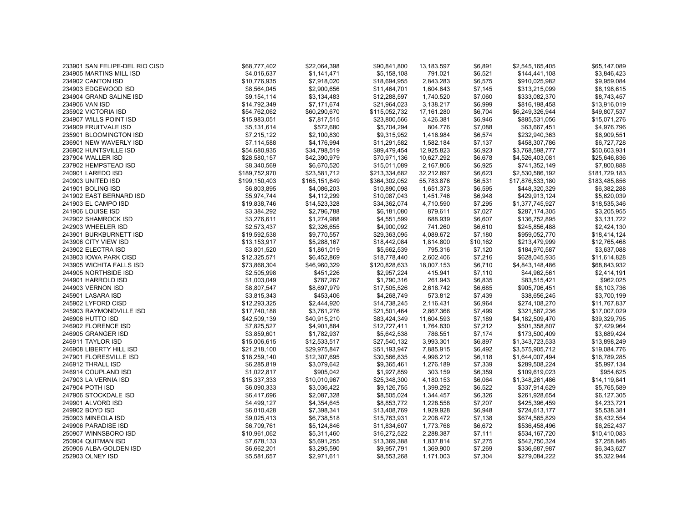| 233901 SAN FELIPE-DEL RIO CISD | \$68,777,402  | \$22,064,398  | \$90,841,800  | 13,183.597 | \$6,891  | \$2,545,165,405  | \$65,147,089  |
|--------------------------------|---------------|---------------|---------------|------------|----------|------------------|---------------|
| 234905 MARTINS MILL ISD        | \$4,016,637   | \$1,141,471   | \$5,158,108   | 791.021    | \$6,521  | \$144,441,108    | \$3,846,423   |
| 234902 CANTON ISD              | \$10,776,935  | \$7,918,020   | \$18,694,955  | 2,843.283  | \$6,575  | \$910,025,982    | \$9,959,084   |
| 234903 EDGEWOOD ISD            | \$8,564,045   | \$2,900,656   | \$11,464,701  | 1,604.643  | \$7,145  | \$313,215,099    | \$8,198,615   |
| 234904 GRAND SALINE ISD        | \$9,154,114   | \$3,134,483   | \$12,288,597  | 1,740.520  | \$7,060  | \$333,082,370    | \$8,743,457   |
| 234906 VAN ISD                 | \$14,792,349  | \$7,171,674   | \$21,964,023  | 3,138.217  | \$6,999  | \$816,198,458    | \$13,916,019  |
| 235902 VICTORIA ISD            | \$54,762,062  | \$60,290,670  | \$115,052,732 | 17,161.280 | \$6,704  | \$6,249,326,944  | \$49,807,537  |
| 234907 WILLS POINT ISD         | \$15,983,051  | \$7,817,515   | \$23,800,566  | 3,426.381  | \$6,946  | \$885,531,056    | \$15,071,276  |
| 234909 FRUITVALE ISD           | \$5,131,614   | \$572,680     | \$5,704,294   | 804.776    | \$7,088  | \$63,667,451     | \$4,976,796   |
| 235901 BLOOMINGTON ISD         | \$7,215,122   | \$2,100,830   | \$9,315,952   | 1,416.984  | \$6,574  | \$232,940,363    | \$6,909,551   |
| 236901 NEW WAVERLY ISD         | \$7,114,588   | \$4,176,994   | \$11,291,582  | 1,582.184  | \$7,137  | \$458,307,786    | \$6,727,728   |
| 236902 HUNTSVILLE ISD          | \$54,680,935  | \$34,798,519  | \$89,479,454  | 12,925.823 | \$6,923  | \$3,768,598,777  | \$50,603,931  |
| 237904 WALLER ISD              | \$28,580,157  | \$42,390,979  | \$70,971,136  | 10,627.292 | \$6,678  | \$4,526,403,081  | \$25,646,836  |
| 237902 HEMPSTEAD ISD           | \$8,340,569   | \$6,670,520   | \$15,011,089  | 2,167.806  | \$6,925  | \$741,352,149    | \$7,800,888   |
| 240901 LAREDO ISD              | \$189,752,970 | \$23,581,712  | \$213,334,682 | 32,212.897 | \$6,623  | \$2,530,586,192  | \$181,729,183 |
| 240903 UNITED ISD              | \$199,150,403 | \$165,151,649 | \$364,302,052 | 55,783.876 | \$6,531  | \$17,876,533,180 | \$183,485,856 |
| 241901 BOLING ISD              | \$6,803,895   | \$4,086,203   | \$10,890,098  | 1,651.373  | \$6,595  | \$448,320,329    | \$6,382,288   |
| 241902 EAST BERNARD ISD        | \$5,974,744   | \$4,112,299   | \$10,087,043  | 1,451.746  | \$6,948  | \$429,913,124    | \$5,620,039   |
| 241903 EL CAMPO ISD            | \$19,838,746  | \$14,523,328  | \$34,362,074  | 4,710.590  | \$7,295  | \$1,377,745,927  | \$18,535,346  |
| 241906 LOUISE ISD              | \$3,384,292   | \$2,796,788   | \$6,181,080   | 879.611    | \$7,027  | \$287,174,305    | \$3,205,955   |
| 242902 SHAMROCK ISD            | \$3,276,611   | \$1,274,988   | \$4,551,599   | 688.939    | \$6,607  | \$136,752,895    | \$3,131,722   |
| 242903 WHEELER ISD             | \$2,573,437   | \$2,326,655   | \$4,900,092   | 741.260    | \$6,610  | \$245,856,488    | \$2,424,130   |
| 243901 BURKBURNETT ISD         | \$19,592,538  | \$9,770,557   | \$29,363,095  | 4,089.672  | \$7,180  | \$959,052,770    | \$18,414,124  |
| 243906 CITY VIEW ISD           | \$13,153,917  | \$5,288,167   | \$18,442,084  | 1,814.800  | \$10,162 | \$213,479,999    | \$12,765,468  |
| 243902 ELECTRA ISD             | \$3,801,520   | \$1,861,019   | \$5,662,539   | 795.316    | \$7,120  | \$184,970,587    | \$3,637,088   |
| 243903 IOWA PARK CISD          | \$12,325,571  | \$6,452,869   | \$18,778,440  | 2,602.406  | \$7,216  | \$628,045,935    | \$11,614,828  |
| 243905 WICHITA FALLS ISD       | \$73,868,304  | \$46,960,329  | \$120,828,633 | 18,007.153 | \$6,710  | \$4,843,148,486  | \$68,843,932  |
| 244905 NORTHSIDE ISD           | \$2,505,998   | \$451,226     | \$2,957,224   | 415.941    | \$7,110  | \$44,962,561     | \$2,414,191   |
| 244901 HARROLD ISD             | \$1,003,049   | \$787,267     | \$1,790,316   | 261.943    | \$6,835  | \$83,515,421     | \$962,025     |
| 244903 VERNON ISD              | \$8,807,547   | \$8,697,979   | \$17,505,526  | 2,618.742  | \$6,685  | \$905,706,451    | \$8,103,736   |
| 245901 LASARA ISD              | \$3,815,343   | \$453,406     | \$4,268,749   | 573.812    | \$7,439  | \$38,656,245     | \$3,700,199   |
| 245902 LYFORD CISD             | \$12,293,325  | \$2,444,920   | \$14,738,245  | 2,116.431  | \$6,964  | \$274,108,270    | \$11,767,837  |
| 245903 RAYMONDVILLE ISD        | \$17,740,188  | \$3,761,276   | \$21,501,464  | 2,867.366  | \$7,499  | \$321,587,236    | \$17,007,029  |
| 246906 HUTTO ISD               | \$42,509,139  | \$40,915,210  | \$83,424,349  | 11,604.593 | \$7,189  | \$4,182,509,470  | \$39,329,795  |
| 246902 FLORENCE ISD            | \$7,825,527   | \$4,901,884   | \$12,727,411  | 1,764.830  | \$7,212  | \$501,358,807    | \$7,429,964   |
| 246905 GRANGER ISD             | \$3,859,601   | \$1,782,937   | \$5,642,538   | 786.551    | \$7,174  | \$173,500,409    | \$3,689,424   |
| 246911 TAYLOR ISD              | \$15,006,615  | \$12,533,517  | \$27,540,132  | 3,993.301  | \$6,897  | \$1,343,723,533  | \$13,898,249  |
| 246908 LIBERTY HILL ISD        | \$21,218,100  | \$29,975,847  | \$51,193,947  | 7,885.915  | \$6,492  | \$3,575,905,712  | \$19,084,776  |
| 247901 FLORESVILLE ISD         | \$18,259,140  | \$12,307,695  | \$30,566,835  | 4,996.212  | \$6,118  | \$1,644,007,494  | \$16,789,285  |
| 246912 THRALL ISD              | \$6,285,819   | \$3,079,642   | \$9,365,461   | 1,276.189  | \$7,339  | \$289,508,224    | \$5,997,134   |
| 246914 COUPLAND ISD            | \$1,022,817   | \$905,042     | \$1,927,859   | 303.159    | \$6,359  | \$109,619,023    | \$954,625     |
| 247903 LA VERNIA ISD           | \$15,337,333  | \$10,010,967  | \$25,348,300  | 4,180.153  | \$6,064  | \$1,348,261,486  | \$14,119,841  |
| 247904 POTH ISD                | \$6,090,333   | \$3,036,422   | \$9,126,755   | 1,399.292  | \$6,522  | \$337,914,629    | \$5,765,589   |
| 247906 STOCKDALE ISD           | \$6,417,696   | \$2,087,328   | \$8,505,024   | 1,344.457  | \$6,326  | \$261,928,654    | \$6,127,305   |
| 249901 ALVORD ISD              | \$4,499,127   | \$4,354,645   | \$8,853,772   | 1,228.558  | \$7,207  | \$425,396,459    | \$4,233,721   |
| 249902 BOYD ISD                | \$6,010,428   | \$7,398,341   | \$13,408,769  | 1,929.928  | \$6,948  | \$724,613,177    | \$5,538,381   |
| 250903 MINEOLA ISD             | \$9,025,413   | \$6,738,518   | \$15,763,931  | 2,208.472  | \$7,138  | \$674,565,829    | \$8,432,554   |
| 249906 PARADISE ISD            | \$6,709,761   | \$5,124,846   | \$11,834,607  | 1,773.768  | \$6,672  | \$536,458,496    | \$6,252,437   |
| 250907 WINNSBORO ISD           | \$10,961,062  | \$5,311,460   | \$16,272,522  | 2,288.387  | \$7,111  | \$534,167,720    | \$10,410,083  |
| 250904 QUITMAN ISD             | \$7,678,133   | \$5,691,255   | \$13,369,388  | 1,837.814  | \$7,275  | \$542,750,324    | \$7,258,846   |
| 250906 ALBA-GOLDEN ISD         | \$6,662,201   | \$3,295,590   | \$9,957,791   | 1,369.900  | \$7,269  | \$336,687,987    | \$6,343,627   |
| 252903 OLNEY ISD               | \$5.581.657   | \$2,971,611   | \$8,553,268   | 1.171.003  | \$7,304  | \$279.084.222    | \$5.322.944   |
|                                |               |               |               |            |          |                  |               |